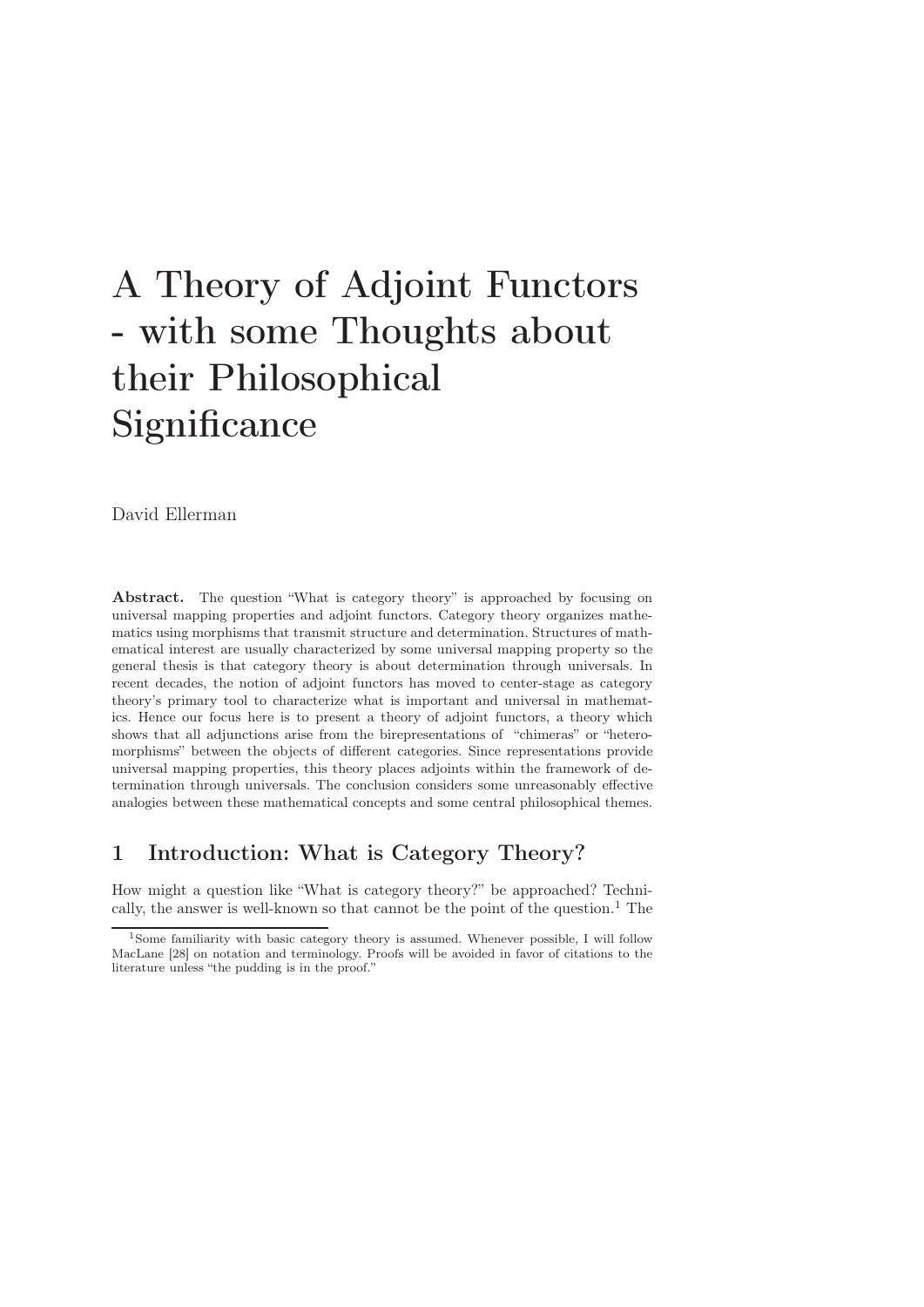# A Theory of Adjoint Functors - with some Thoughts about their Philosophical **Significance**

David Ellerman

Abstract. The question "What is category theory" is approached by focusing on universal mapping properties and adjoint functors. Category theory organizes mathematics using morphisms that transmit structure and determination. Structures of mathematical interest are usually characterized by some universal mapping property so the general thesis is that category theory is about determination through universals. In recent decades, the notion of adjoint functors has moved to center-stage as category theory's primary tool to characterize what is important and universal in mathematics. Hence our focus here is to present a theory of adjoint functors, a theory which shows that all adjunctions arise from the birepresentations of "chimeras" or "heteromorphisms" between the objects of different categories. Since representations provide universal mapping properties, this theory places adjoints within the framework of determination through universals. The conclusion considers some unreasonably effective analogies between these mathematical concepts and some central philosophical themes.

# 1 Introduction: What is Category Theory?

How might a question like "What is category theory?" be approached? Technically, the answer is well-known so that cannot be the point of the question.<sup>1</sup> The

<sup>1</sup>Some familiarity with basic category theory is assumed. Whenever possible, I will follow MacLane [28] on notation and terminology. Proofs will be avoided in favor of citations to the literature unless "the pudding is in the proof."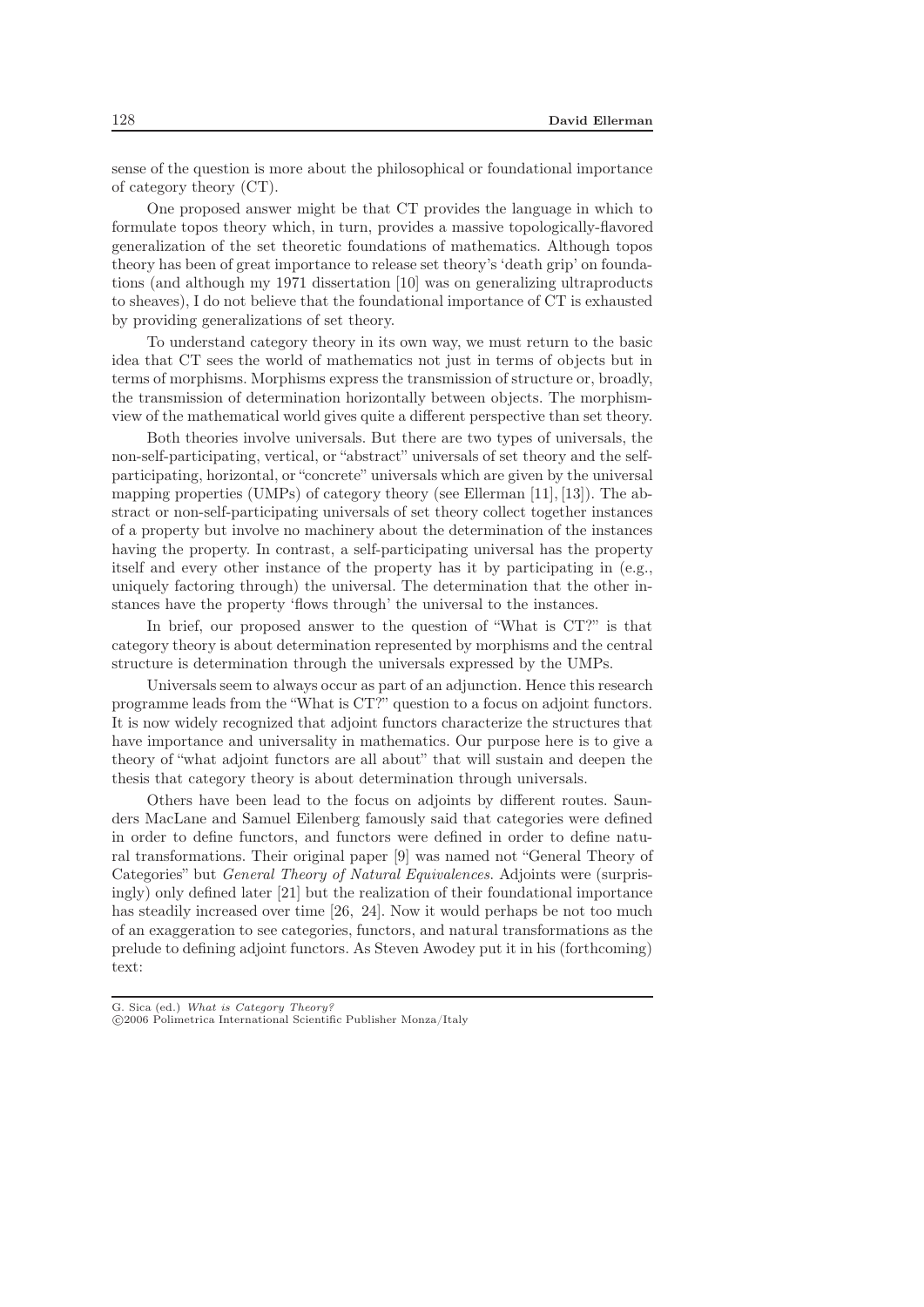sense of the question is more about the philosophical or foundational importance of category theory (CT).

One proposed answer might be that CT provides the language in which to formulate topos theory which, in turn, provides a massive topologically-flavored generalization of the set theoretic foundations of mathematics. Although topos theory has been of great importance to release set theory's 'death grip' on foundations (and although my 1971 dissertation [10] was on generalizing ultraproducts to sheaves), I do not believe that the foundational importance of CT is exhausted by providing generalizations of set theory.

To understand category theory in its own way, we must return to the basic idea that CT sees the world of mathematics not just in terms of objects but in terms of morphisms. Morphisms express the transmission of structure or, broadly, the transmission of determination horizontally between objects. The morphismview of the mathematical world gives quite a different perspective than set theory.

Both theories involve universals. But there are two types of universals, the non-self-participating, vertical, or "abstract" universals of set theory and the selfparticipating, horizontal, or "concrete" universals which are given by the universal mapping properties (UMPs) of category theory (see Ellerman [11], [13]). The abstract or non-self-participating universals of set theory collect together instances of a property but involve no machinery about the determination of the instances having the property. In contrast, a self-participating universal has the property itself and every other instance of the property has it by participating in (e.g., uniquely factoring through) the universal. The determination that the other instances have the property 'flows through' the universal to the instances.

In brief, our proposed answer to the question of "What is CT?" is that category theory is about determination represented by morphisms and the central structure is determination through the universals expressed by the UMPs.

Universals seem to always occur as part of an adjunction. Hence this research programme leads from the "What is CT?" question to a focus on adjoint functors. It is now widely recognized that adjoint functors characterize the structures that have importance and universality in mathematics. Our purpose here is to give a theory of "what adjoint functors are all about" that will sustain and deepen the thesis that category theory is about determination through universals.

Others have been lead to the focus on adjoints by different routes. Saunders MacLane and Samuel Eilenberg famously said that categories were defined in order to define functors, and functors were defined in order to define natural transformations. Their original paper [9] was named not "General Theory of Categories" but *General Theory of Natural Equivalences*. Adjoints were (surprisingly) only defined later [21] but the realization of their foundational importance has steadily increased over time [26, 24]. Now it would perhaps be not too much of an exaggeration to see categories, functors, and natural transformations as the prelude to defining adjoint functors. As Steven Awodey put it in his (forthcoming) text: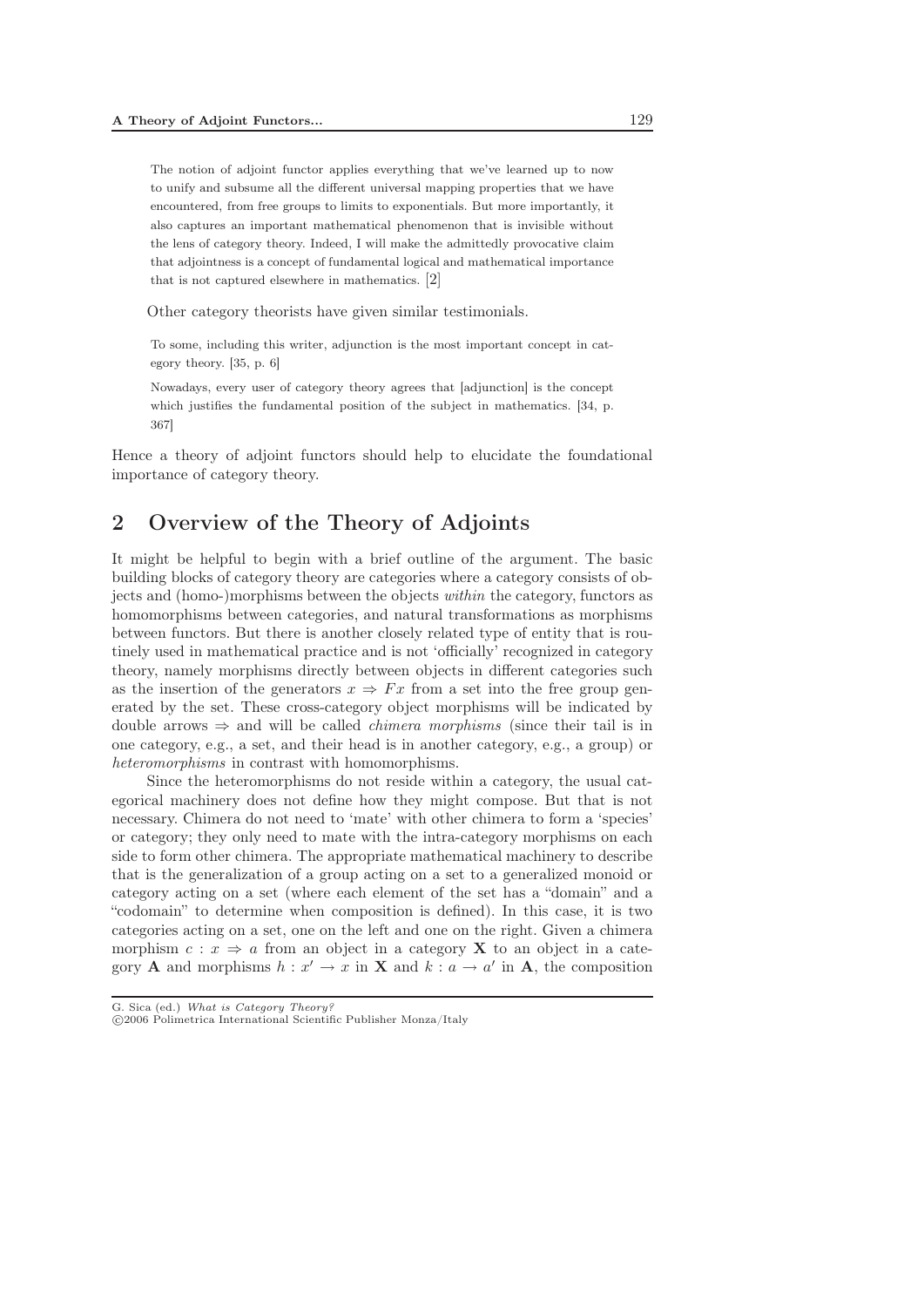The notion of adjoint functor applies everything that we've learned up to now to unify and subsume all the different universal mapping properties that we have encountered, from free groups to limits to exponentials. But more importantly, it also captures an important mathematical phenomenon that is invisible without the lens of category theory. Indeed, I will make the admittedly provocative claim that adjointness is a concept of fundamental logical and mathematical importance that is not captured elsewhere in mathematics. [2]

Other category theorists have given similar testimonials.

To some, including this writer, adjunction is the most important concept in category theory. [35, p. 6]

Nowadays, every user of category theory agrees that [adjunction] is the concept which justifies the fundamental position of the subject in mathematics. [34, p. 367]

Hence a theory of adjoint functors should help to elucidate the foundational importance of category theory.

# 2 Overview of the Theory of Adjoints

It might be helpful to begin with a brief outline of the argument. The basic building blocks of category theory are categories where a category consists of objects and (homo-)morphisms between the objects *within* the category, functors as homomorphisms between categories, and natural transformations as morphisms between functors. But there is another closely related type of entity that is routinely used in mathematical practice and is not 'officially' recognized in category theory, namely morphisms directly between objects in different categories such as the insertion of the generators  $x \Rightarrow Fx$  from a set into the free group generated by the set. These cross-category object morphisms will be indicated by double arrows ⇒ and will be called *chimera morphisms* (since their tail is in one category, e.g., a set, and their head is in another category, e.g., a group) or *heteromorphisms* in contrast with homomorphisms.

Since the heteromorphisms do not reside within a category, the usual categorical machinery does not define how they might compose. But that is not necessary. Chimera do not need to 'mate' with other chimera to form a 'species' or category; they only need to mate with the intra-category morphisms on each side to form other chimera. The appropriate mathematical machinery to describe that is the generalization of a group acting on a set to a generalized monoid or category acting on a set (where each element of the set has a "domain" and a "codomain" to determine when composition is defined). In this case, it is two categories acting on a set, one on the left and one on the right. Given a chimera morphism  $c: x \Rightarrow a$  from an object in a category **X** to an object in a category **A** and morphisms  $h: x' \to x$  in **X** and  $k: a \to a'$  in **A**, the composition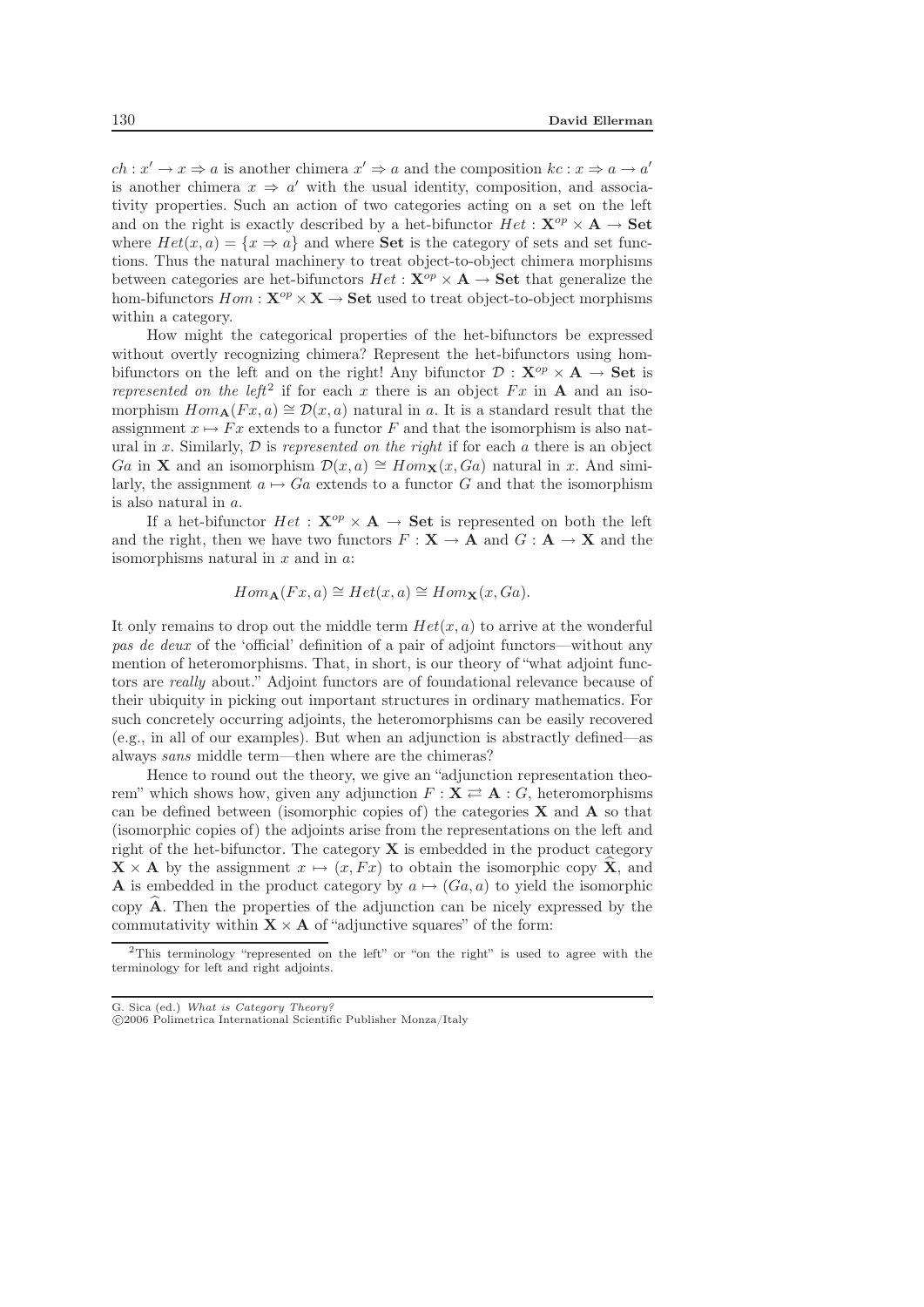$ch: x' \to x \Rightarrow a$  is another chimera  $x' \Rightarrow a$  and the composition  $kc: x \Rightarrow a \to a'$ is another chimera  $x \Rightarrow a'$  with the usual identity, composition, and associativity properties. Such an action of two categories acting on a set on the left and on the right is exactly described by a het-bifunctor  $He^t : \mathbf{X}^{op} \times \mathbf{A} \rightarrow \mathbf{Set}$ where  $Het(x,a)=\{x\Rightarrow a\}$  and where **Set** is the category of sets and set functions. Thus the natural machinery to treat object-to-object chimera morphisms between categories are het-bifunctors  $Het:\mathbf{X}^{op}\times\mathbf{A}\rightarrow \mathbf{Set}$  that generalize the hom-bifunctors  $Hom : \mathbf{X}^{op} \times \mathbf{X} \to \mathbf{Set}$  used to treat object-to-object morphisms within a category.

How might the categorical properties of the het-bifunctors be expressed without overtly recognizing chimera? Represent the het-bifunctors using hombifunctors on the left and on the right! Any bifunctor  $\mathcal{D}: \mathbf{X}^{op} \times \mathbf{A} \to \mathbf{Set}$  is *represented on the left*<sup>2</sup> if for each x there is an object  $Fx$  in **A** and an isomorphism  $Hom_{\mathbf{A}}(Fx, a) \cong \mathcal{D}(x, a)$  natural in a. It is a standard result that the assignment  $x \mapsto Fx$  extends to a functor F and that the isomorphism is also natural in x. Similarly,  $\mathcal D$  is *represented on the right* if for each a there is an object Ga in **X** and an isomorphism  $\mathcal{D}(x, a) \cong Hom_{\mathbf{X}}(x, Ga)$  natural in x. And similarly, the assignment  $a \mapsto Ga$  extends to a functor G and that the isomorphism is also natural in a.

If a het-bifunctor  $Het: \mathbf{X}^{op}\times\mathbf{A}\rightarrow \mathbf{Set}$  is represented on both the left and the right, then we have two functors  $F : \mathbf{X} \to \mathbf{A}$  and  $G : \mathbf{A} \to \mathbf{X}$  and the isomorphisms natural in  $x$  and in  $a$ :

$$
Hom_{\mathbf{A}}(Fx,a) \cong Het(x,a) \cong Hom_{\mathbf{X}}(x,Ga).
$$

It only remains to drop out the middle term  $Het(x, a)$  to arrive at the wonderful *pas de deux* of the 'official' definition of a pair of adjoint functors—without any mention of heteromorphisms. That, in short, is our theory of "what adjoint functors are *really* about." Adjoint functors are of foundational relevance because of their ubiquity in picking out important structures in ordinary mathematics. For such concretely occurring adjoints, the heteromorphisms can be easily recovered (e.g., in all of our examples). But when an adjunction is abstractly defined—as always *sans* middle term—then where are the chimeras?

Hence to round out the theory, we give an "adjunction representation theorem" which shows how, given any adjunction  $F: \mathbf{X} \rightleftarrows \mathbf{A}: G$ , heteromorphisms can be defined between (isomorphic copies of) the categories **X** and **A** so that (isomorphic copies of) the adjoints arise from the representations on the left and right of the het-bifunctor. The category  $\bf{X}$  is embedded in the product category  $\mathbf{X} \times \mathbf{A}$  by the assignment  $x \mapsto (x, Fx)$  to obtain the isomorphic copy  $\hat{\mathbf{X}}$ , and **A** is embedded in the product category by  $a \mapsto (Ga, a)$  to yield the isomorphic copy  $\hat{A}$ . Then the properties of the adjunction can be nicely expressed by the commutativity within  $X \times A$  of "adjunctive squares" of the form:

G. Sica (ed.) *What is Category Theory?* -c 2006 Polimetrica International Scientific Publisher Monza/Italy

<sup>2</sup>This terminology "represented on the left" or "on the right" is used to agree with the terminology for left and right adjoints.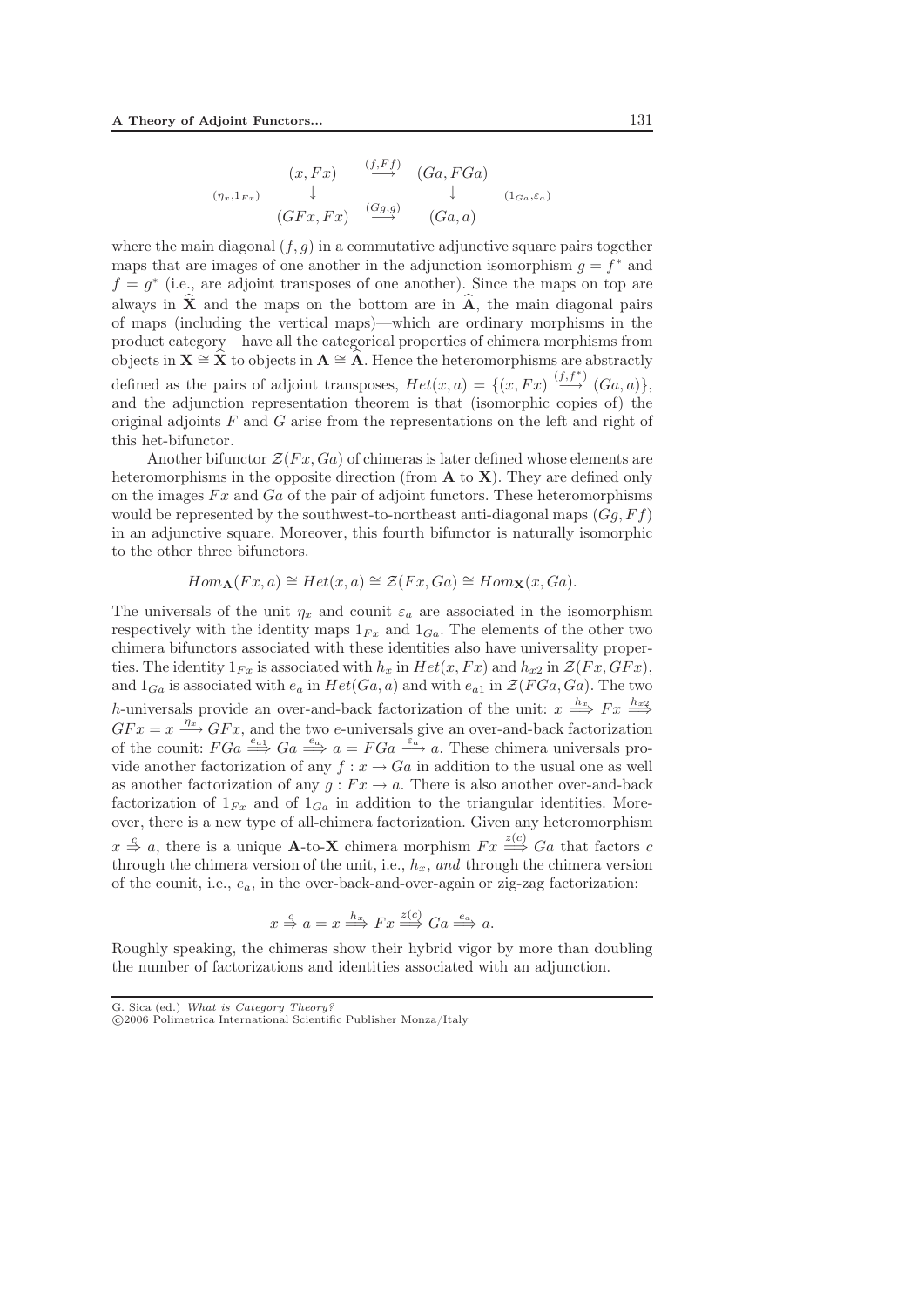$$
(x, Fx) \xrightarrow{(f, Ff)} (Ga, FGa)
$$
  
\n
$$
(x, Fx) \xrightarrow{(Gg,g)} (Ga, a)
$$
  
\n
$$
(GFx, Fx) \xrightarrow{(Gg,g)} (Ga, a)
$$

where the main diagonal  $(f, g)$  in a commutative adjunctive square pairs together maps that are images of one another in the adjunction isomorphism  $g = f^*$  and  $f = g^*$  (i.e., are adjoint transposes of one another). Since the maps on top are always in  $\hat{\mathbf{X}}$  and the maps on the bottom are in  $\hat{\mathbf{A}}$ , the main diagonal pairs of maps (including the vertical maps)—which are ordinary morphisms in the product category—have all the categorical properties of chimera morphisms from objects in  $\mathbf{X} \cong \hat{\mathbf{X}}$  to objects in  $\mathbf{A} \cong \hat{\mathbf{A}}$ . Hence the heteromorphisms are abstractly defined as the pairs of adjoint transposes,  $Het(x,a)=\{(x,Fx)\stackrel{(f,f^*)}{\longrightarrow}(Ga,a)\},$ and the adjunction representation theorem is that (isomorphic copies of) the original adjoints  $F$  and  $G$  arise from the representations on the left and right of this het-bifunctor.

Another bifunctor  $\mathcal{Z}(Fx,Ga)$  of chimeras is later defined whose elements are heteromorphisms in the opposite direction (from **A** to **X**). They are defined only on the images  $Fx$  and  $Ga$  of the pair of adjoint functors. These heteromorphisms would be represented by the southwest-to-northeast anti-diagonal maps  $(Gq, Ff)$ in an adjunctive square. Moreover, this fourth bifunctor is naturally isomorphic to the other three bifunctors.

$$
Hom_{\mathbf{A}}(Fx,a) \cong Het(x,a) \cong \mathcal{Z}(Fx,Ga) \cong Hom_{\mathbf{X}}(x,Ga).
$$

The universals of the unit  $\eta_x$  and counit  $\varepsilon_a$  are associated in the isomorphism respectively with the identity maps  $1_{Fx}$  and  $1_{Ga}$ . The elements of the other two chimera bifunctors associated with these identities also have universality properties. The identity  $1_{Fx}$  is associated with  $h_x$  in  $Het(x, Fx)$  and  $h_{x2}$  in  $\mathcal{Z}(Fx, GFx)$ , and  $1_{Ga}$  is associated with  $e_a$  in  $Het(Ga,a)$  and with  $e_{a1}$  in  $\mathcal{Z}(FGa,Ga)$ . The two h-universals provide an over-and-back factorization of the unit:  $x \stackrel{h_x}{\Longrightarrow} F x \stackrel{h_{x_2}}{\Longrightarrow}$  $GFx = x \xrightarrow{\eta_x} GFx$ , and the two e-universals give an over-and-back factorization of the counit:  $FGa \stackrel{e_{a1}}{\Longrightarrow} Ga \stackrel{e_a}{\Longrightarrow} a = FGa \stackrel{e_a}{\Longrightarrow} a$ . These chimera universals provide another factorization of any  $f: x \to Ga$  in addition to the usual one as well as another factorization of any  $g : Fx \to a$ . There is also another over-and-back factorization of  $1_{Fx}$  and of  $1_{Ga}$  in addition to the triangular identities. Moreover, there is a new type of all-chimera factorization. Given any heteromorphism  $x \stackrel{c}{\Rightarrow} a$ , there is a unique **A**-to-**X** chimera morphism  $Fx \stackrel{z(c)}{\Longrightarrow} Ga$  that factors c through the chimera version of the unit, i.e.,  $h_x$ , *and* through the chimera version of the counit, i.e.,  $e_a$ , in the over-back-and-over-again or zig-zag factorization:

$$
x \stackrel{c}{\Rightarrow} a = x \stackrel{h_x}{\Longrightarrow} Fx \stackrel{z(c)}{\Longrightarrow} Ga \stackrel{e_a}{\Longrightarrow} a.
$$

Roughly speaking, the chimeras show their hybrid vigor by more than doubling the number of factorizations and identities associated with an adjunction.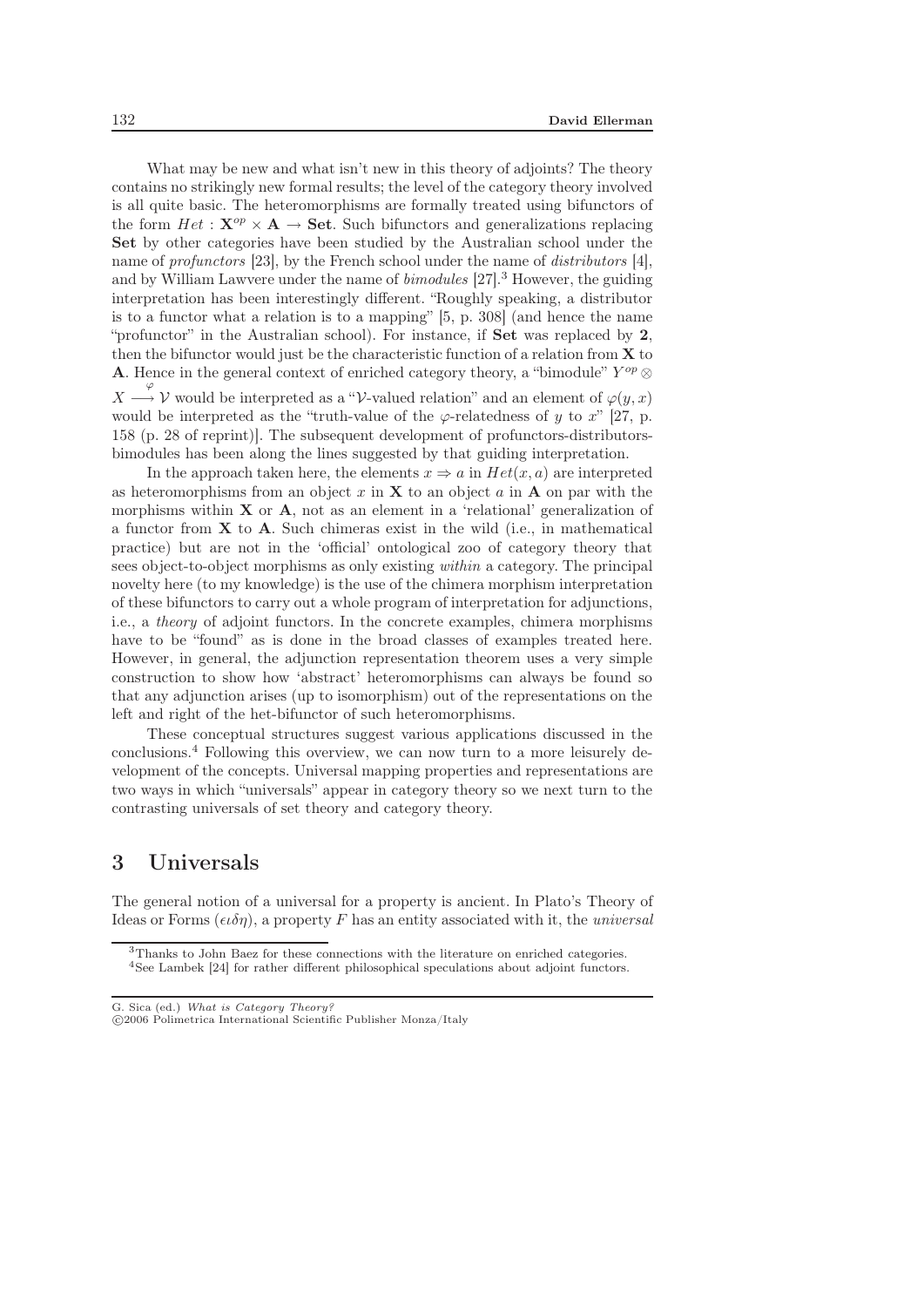What may be new and what isn't new in this theory of adjoints? The theory contains no strikingly new formal results; the level of the category theory involved is all quite basic. The heteromorphisms are formally treated using bifunctors of the form  $Het:\mathbf{X}^{op}\times\mathbf{A}\rightarrow\mathbf{Set}$ . Such bifunctors and generalizations replacing **Set** by other categories have been studied by the Australian school under the name of *profunctors* [23], by the French school under the name of *distributors* [4], and by William Lawvere under the name of *bimodules* [27].<sup>3</sup> However, the guiding interpretation has been interestingly different. "Roughly speaking, a distributor is to a functor what a relation is to a mapping" [5, p. 308] (and hence the name "profunctor" in the Australian school). For instance, if **Set** was replaced by **2**, then the bifunctor would just be the characteristic function of a relation from **X** to **A**. Hence in the general context of enriched category theory, a "bimodule"  $Y^{op} \otimes$  $X \stackrel{\varphi}{\longrightarrow}$  V would be interpreted as a "V-valued relation" and an element of  $\varphi(y, x)$ would be interpreted as the "truth-value of the  $\varphi$ -relatedness of y to x" [27, p. 158 (p. 28 of reprint)]. The subsequent development of profunctors-distributorsbimodules has been along the lines suggested by that guiding interpretation.

In the approach taken here, the elements  $x \Rightarrow a$  in  $Het(x,a)$  are interpreted as heteromorphisms from an object x in  $X$  to an object a in  $A$  on par with the morphisms within  $X$  or  $A$ , not as an element in a 'relational' generalization of a functor from **X** to **A**. Such chimeras exist in the wild (i.e., in mathematical practice) but are not in the 'official' ontological zoo of category theory that sees object-to-object morphisms as only existing *within* a category. The principal novelty here (to my knowledge) is the use of the chimera morphism interpretation of these bifunctors to carry out a whole program of interpretation for adjunctions, i.e., a *theory* of adjoint functors. In the concrete examples, chimera morphisms have to be "found" as is done in the broad classes of examples treated here. However, in general, the adjunction representation theorem uses a very simple construction to show how 'abstract' heteromorphisms can always be found so that any adjunction arises (up to isomorphism) out of the representations on the left and right of the het-bifunctor of such heteromorphisms.

These conceptual structures suggest various applications discussed in the conclusions.<sup>4</sup> Following this overview, we can now turn to a more leisurely development of the concepts. Universal mapping properties and representations are two ways in which "universals" appear in category theory so we next turn to the contrasting universals of set theory and category theory.

## 3 Universals

The general notion of a universal for a property is ancient. In Plato's Theory of Ideas or Forms  $(\epsilon \iota \delta \eta)$ , a property F has an entity associated with it, the *universal* 

<sup>3</sup>Thanks to John Baez for these connections with the literature on enriched categories.

<sup>4</sup>See Lambek [24] for rather different philosophical speculations about adjoint functors.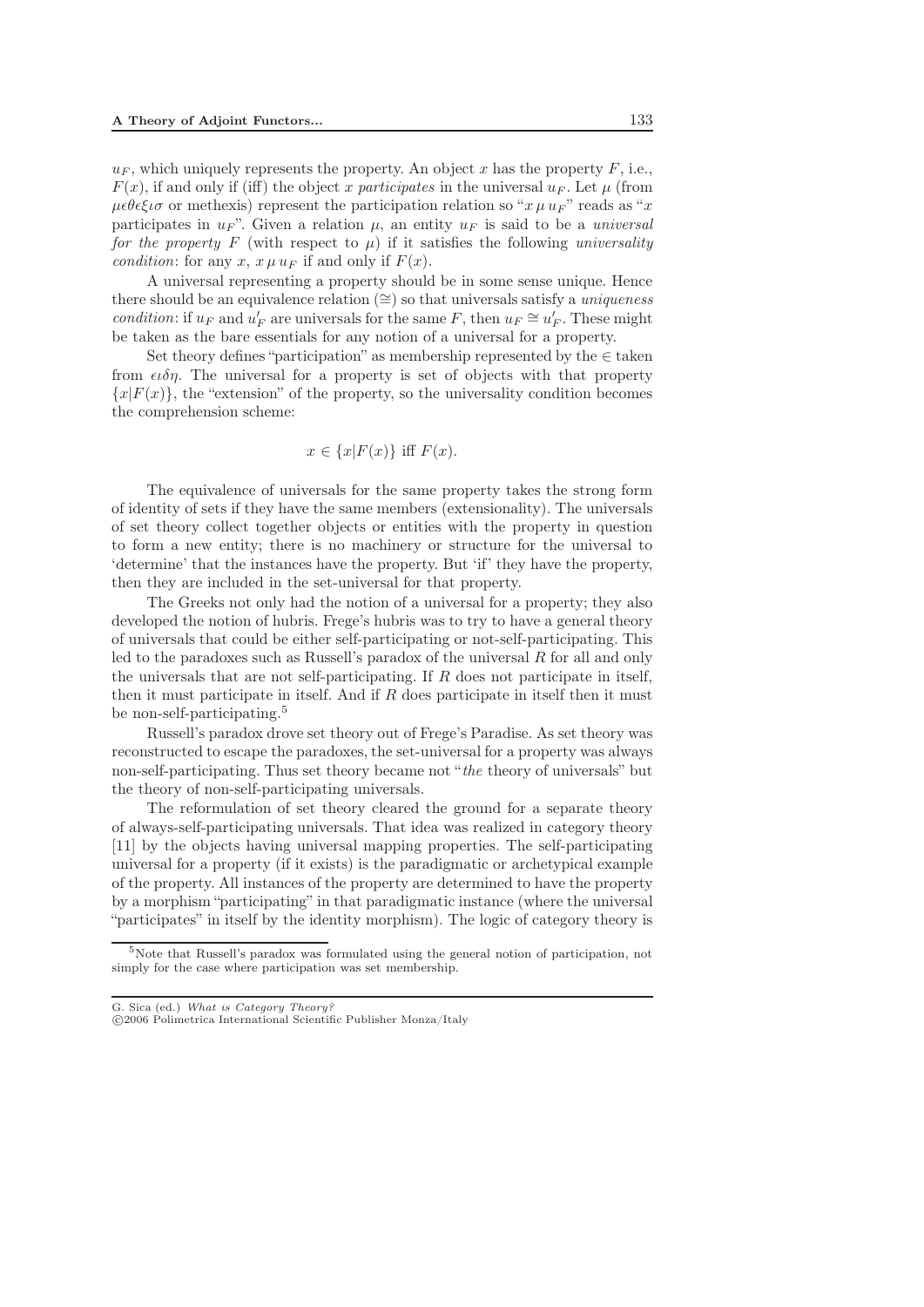$u_F$ , which uniquely represents the property. An object x has the property F, i.e.,  $F(x)$ , if and only if (iff) the object x participates in the universal  $u_F$ . Let  $\mu$  (from  $\mu \epsilon \theta \epsilon \xi \iota \sigma$  or methexis) represent the participation relation so " $x \mu u_F$ " reads as "x" participates in  $u_F$ ". Given a relation  $\mu$ , an entity  $u_F$  is said to be a *universal for the property* F (with respect to  $\mu$ ) if it satisfies the following *universality condition*: for any x,  $x \mu u_F$  if and only if  $F(x)$ .

A universal representing a property should be in some sense unique. Hence there should be an equivalence relation (∼=) so that universals satisfy a *uniqueness condition*: if  $u_F$  and  $u'_F$  are universals for the same F, then  $u_F \cong u'_F$ . These might be taken as the bare essentials for any notion of a universal for a property.

Set theory defines "participation" as membership represented by the  $\in$  taken from  $\epsilon \ell \delta \eta$ . The universal for a property is set of objects with that property  ${x|F(x)}$ , the "extension" of the property, so the universality condition becomes the comprehension scheme:

$$
x \in \{x|F(x)\} \text{ iff } F(x).
$$

The equivalence of universals for the same property takes the strong form of identity of sets if they have the same members (extensionality). The universals of set theory collect together objects or entities with the property in question to form a new entity; there is no machinery or structure for the universal to 'determine' that the instances have the property. But 'if' they have the property, then they are included in the set-universal for that property.

The Greeks not only had the notion of a universal for a property; they also developed the notion of hubris. Frege's hubris was to try to have a general theory of universals that could be either self-participating or not-self-participating. This led to the paradoxes such as Russell's paradox of the universal R for all and only the universals that are not self-participating. If  $R$  does not participate in itself, then it must participate in itself. And if  $R$  does participate in itself then it must be non-self-participating.<sup>5</sup>

Russell's paradox drove set theory out of Frege's Paradise. As set theory was reconstructed to escape the paradoxes, the set-universal for a property was always non-self-participating. Thus set theory became not "*the* theory of universals" but the theory of non-self-participating universals.

The reformulation of set theory cleared the ground for a separate theory of always-self-participating universals. That idea was realized in category theory [11] by the objects having universal mapping properties. The self-participating universal for a property (if it exists) is the paradigmatic or archetypical example of the property. All instances of the property are determined to have the property by a morphism "participating" in that paradigmatic instance (where the universal "participates" in itself by the identity morphism). The logic of category theory is

<sup>&</sup>lt;sup>5</sup>Note that Russell's paradox was formulated using the general notion of participation, not simply for the case where participation was set membership.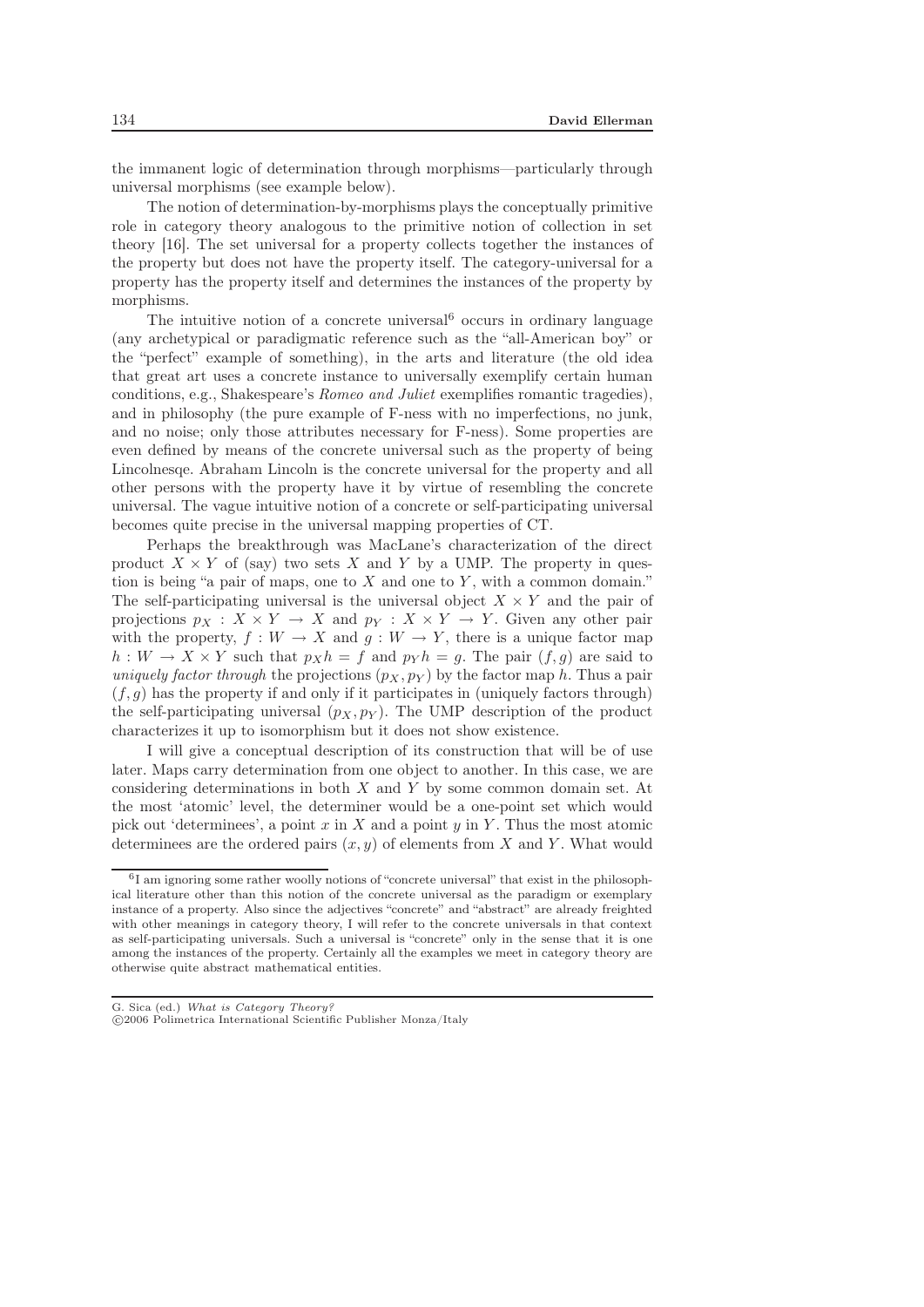the immanent logic of determination through morphisms—particularly through universal morphisms (see example below).

The notion of determination-by-morphisms plays the conceptually primitive role in category theory analogous to the primitive notion of collection in set theory [16]. The set universal for a property collects together the instances of the property but does not have the property itself. The category-universal for a property has the property itself and determines the instances of the property by morphisms.

The intuitive notion of a concrete universal  $6$  occurs in ordinary language (any archetypical or paradigmatic reference such as the "all-American boy" or the "perfect" example of something), in the arts and literature (the old idea that great art uses a concrete instance to universally exemplify certain human conditions, e.g., Shakespeare's *Romeo and Juliet* exemplifies romantic tragedies), and in philosophy (the pure example of F-ness with no imperfections, no junk, and no noise; only those attributes necessary for F-ness). Some properties are even defined by means of the concrete universal such as the property of being Lincolnesqe. Abraham Lincoln is the concrete universal for the property and all other persons with the property have it by virtue of resembling the concrete universal. The vague intuitive notion of a concrete or self-participating universal becomes quite precise in the universal mapping properties of CT.

Perhaps the breakthrough was MacLane's characterization of the direct product  $X \times Y$  of (say) two sets X and Y by a UMP. The property in question is being "a pair of maps, one to  $X$  and one to  $Y$ , with a common domain." The self-participating universal is the universal object  $X \times Y$  and the pair of projections  $p_X : X \times Y \to X$  and  $p_Y : X \times Y \to Y$ . Given any other pair with the property,  $f: W \to X$  and  $g: W \to Y$ , there is a unique factor map  $h: W \to X \times Y$  such that  $p_X h = f$  and  $p_Y h = g$ . The pair  $(f, g)$  are said to *uniquely factor through* the projections  $(p_X, p_Y)$  by the factor map h. Thus a pair  $(f, g)$  has the property if and only if it participates in (uniquely factors through) the self-participating universal  $(p_X, p_Y)$ . The UMP description of the product characterizes it up to isomorphism but it does not show existence.

I will give a conceptual description of its construction that will be of use later. Maps carry determination from one object to another. In this case, we are considering determinations in both X and Y by some common domain set. At the most 'atomic' level, the determiner would be a one-point set which would pick out 'determinees', a point x in X and a point  $y$  in Y. Thus the most atomic determinees are the ordered pairs  $(x, y)$  of elements from X and Y. What would

<sup>6</sup>I am ignoring some rather woolly notions of "concrete universal" that exist in the philosophical literature other than this notion of the concrete universal as the paradigm or exemplary instance of a property. Also since the adjectives "concrete" and "abstract" are already freighted with other meanings in category theory, I will refer to the concrete universals in that context as self-participating universals. Such a universal is "concrete" only in the sense that it is one among the instances of the property. Certainly all the examples we meet in category theory are otherwise quite abstract mathematical entities.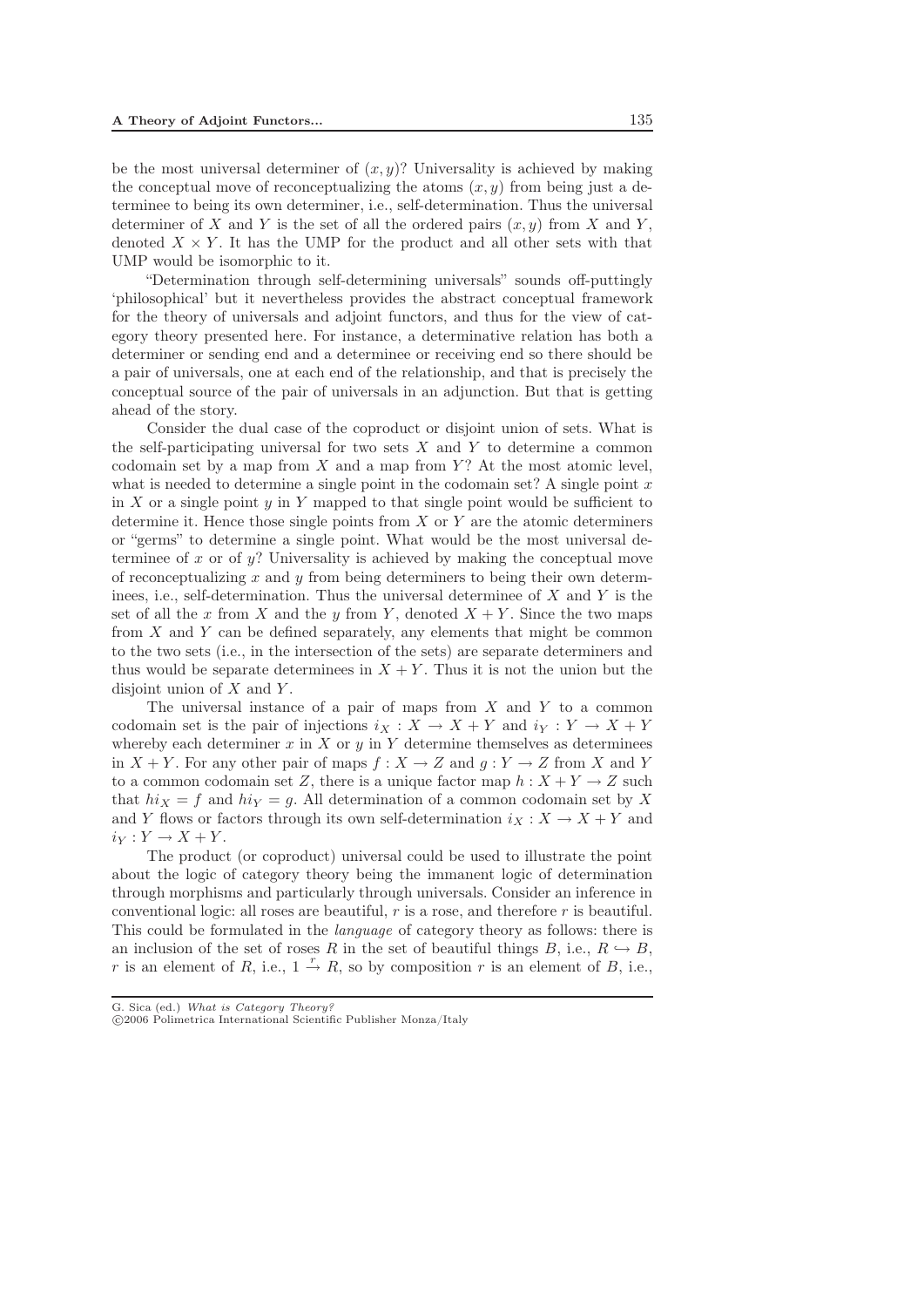be the most universal determiner of  $(x, y)$ ? Universality is achieved by making the conceptual move of reconceptualizing the atoms  $(x, y)$  from being just a determinee to being its own determiner, i.e., self-determination. Thus the universal determiner of X and Y is the set of all the ordered pairs  $(x, y)$  from X and Y, denoted  $X \times Y$ . It has the UMP for the product and all other sets with that UMP would be isomorphic to it.

"Determination through self-determining universals" sounds off-puttingly 'philosophical' but it nevertheless provides the abstract conceptual framework for the theory of universals and adjoint functors, and thus for the view of category theory presented here. For instance, a determinative relation has both a determiner or sending end and a determinee or receiving end so there should be a pair of universals, one at each end of the relationship, and that is precisely the conceptual source of the pair of universals in an adjunction. But that is getting ahead of the story.

Consider the dual case of the coproduct or disjoint union of sets. What is the self-participating universal for two sets  $X$  and  $Y$  to determine a common codomain set by a map from  $X$  and a map from  $Y$ ? At the most atomic level, what is needed to determine a single point in the codomain set? A single point  $x$ in X or a single point  $y$  in Y mapped to that single point would be sufficient to determine it. Hence those single points from  $X$  or  $Y$  are the atomic determiners or "germs" to determine a single point. What would be the most universal determinee of x or of  $y$ ? Universality is achieved by making the conceptual move of reconceptualizing x and y from being determiners to being their own determinees, i.e., self-determination. Thus the universal determinee of  $X$  and  $Y$  is the set of all the x from X and the y from Y, denoted  $X + Y$ . Since the two maps from X and Y can be defined separately, any elements that might be common to the two sets (i.e., in the intersection of the sets) are separate determiners and thus would be separate determinees in  $X + Y$ . Thus it is not the union but the disjoint union of  $X$  and  $Y$ .

The universal instance of a pair of maps from  $X$  and  $Y$  to a common codomain set is the pair of injections  $i_X : X \to X + Y$  and  $i_Y : Y \to X + Y$ whereby each determiner x in X or y in Y determine themselves as determinees in  $X + Y$ . For any other pair of maps  $f : X \to Z$  and  $g : Y \to Z$  from X and Y to a common codomain set Z, there is a unique factor map  $h: X + Y \to Z$  such that  $hi_X = f$  and  $hi_Y = g$ . All determination of a common codomain set by X and Y flows or factors through its own self-determination  $i_X : X \to X + Y$  and  $i_Y: Y \to X + Y$ .

The product (or coproduct) universal could be used to illustrate the point about the logic of category theory being the immanent logic of determination through morphisms and particularly through universals. Consider an inference in conventional logic: all roses are beautiful,  $r$  is a rose, and therefore  $r$  is beautiful. This could be formulated in the *language* of category theory as follows: there is an inclusion of the set of roses R in the set of beautiful things B, i.e.,  $R \hookrightarrow B$ , r is an element of R, i.e.,  $1 \stackrel{r}{\rightarrow} R$ , so by composition r is an element of B, i.e.,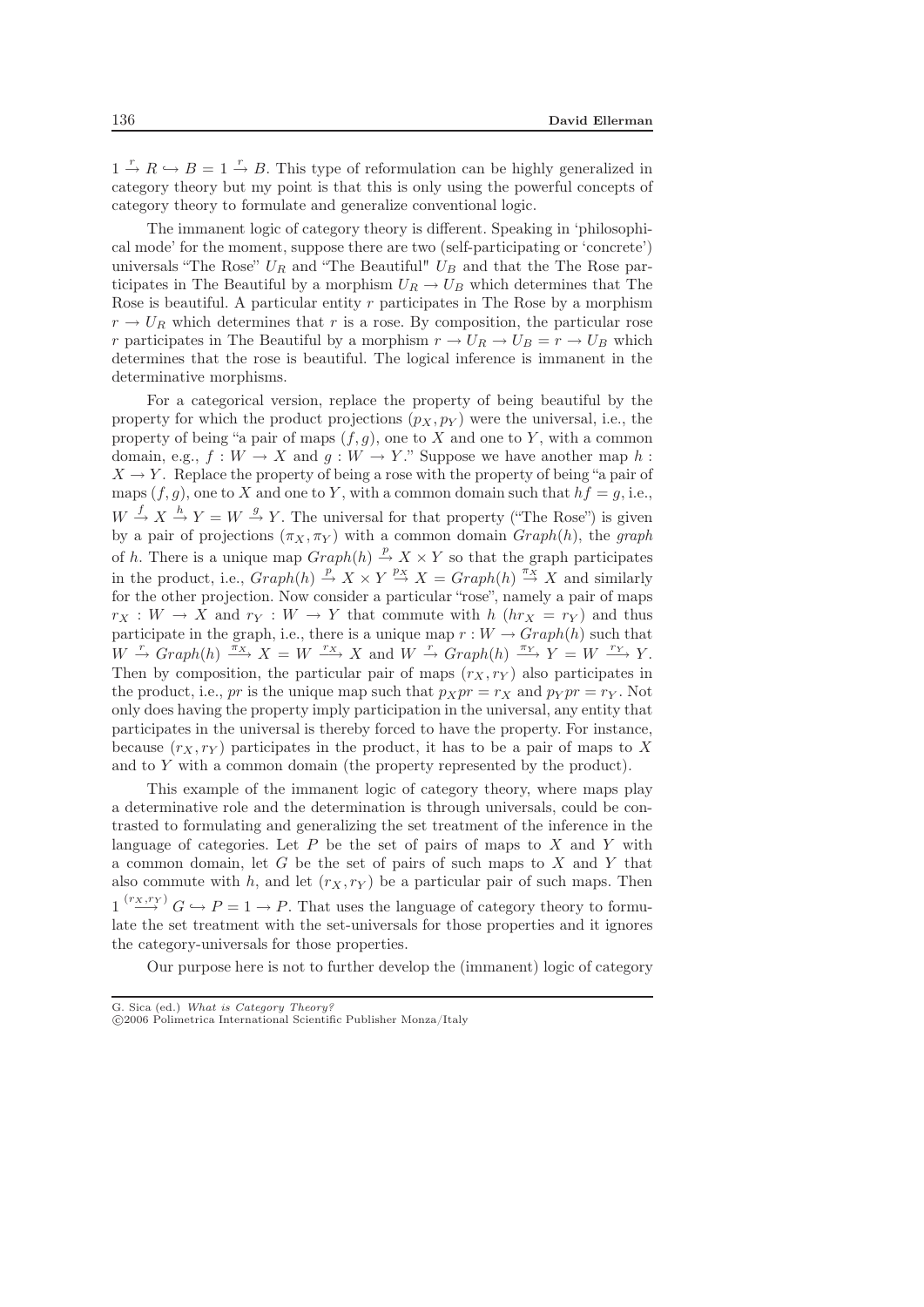$1 \stackrel{r}{\rightarrow} R \stackrel{\sim}{\rightarrow} B = 1 \stackrel{r}{\rightarrow} B$ . This type of reformulation can be highly generalized in category theory but my point is that this is only using the powerful concepts of category theory to formulate and generalize conventional logic.

The immanent logic of category theory is different. Speaking in 'philosophical mode' for the moment, suppose there are two (self-participating or 'concrete') universals "The Rose"  $U_R$  and "The Beautiful"  $U_B$  and that the The Rose participates in The Beautiful by a morphism  $U_R \to U_B$  which determines that The Rose is beautiful. A particular entity  $r$  participates in The Rose by a morphism  $r \rightarrow U_R$  which determines that r is a rose. By composition, the particular rose r participates in The Beautiful by a morphism  $r \to U_R \to U_B = r \to U_B$  which determines that the rose is beautiful. The logical inference is immanent in the determinative morphisms.

For a categorical version, replace the property of being beautiful by the property for which the product projections  $(p_X, p_Y)$  were the universal, i.e., the property of being "a pair of maps  $(f,g)$ , one to X and one to Y, with a common domain, e.g.,  $f: W \to X$  and  $g: W \to Y$ ." Suppose we have another map h:  $X \rightarrow Y$ . Replace the property of being a rose with the property of being "a pair of maps  $(f,g)$ , one to X and one to Y, with a common domain such that  $hf = g$ , i.e.,  $W \stackrel{f}{\rightarrow} X \stackrel{h}{\rightarrow} Y = W \stackrel{g}{\rightarrow} Y$ . The universal for that property ("The Rose") is given by a pair of projections  $(\pi_X, \pi_Y)$  with a common domain  $Graph(h)$ , the *graph* of h. There is a unique map  $Graph(h) \stackrel{p}{\rightarrow} X \times Y$  so that the graph participates in the product, i.e.,  $Graph(h) \stackrel{p}{\rightarrow} X \times Y \stackrel{px}{\rightarrow} X = Graph(h) \stackrel{\pi_X}{\rightarrow} X$  and similarly for the other projection. Now consider a particular "rose", namely a pair of maps  $r_X: W \to X$  and  $r_Y: W \to Y$  that commute with  $h$  ( $hr_X = r_Y$ ) and thus participate in the graph, i.e., there is a unique map  $r : W \to Graph(h)$  such that  $W \stackrel{r}{\rightarrow} Graph(h) \stackrel{\pi_X}{\longrightarrow} X = W \stackrel{r_X}{\longrightarrow} X$  and  $W \stackrel{r}{\rightarrow} Graph(h) \stackrel{\pi_Y}{\longrightarrow} Y = W \stackrel{r_Y}{\longrightarrow} Y$ . Then by composition, the particular pair of maps  $(r_X, r_Y)$  also participates in the product, i.e., pr is the unique map such that  $p_Xpr = r_X$  and  $p_Ypr = r_Y$ . Not only does having the property imply participation in the universal, any entity that participates in the universal is thereby forced to have the property. For instance, because  $(r_X, r_Y)$  participates in the product, it has to be a pair of maps to X and to Y with a common domain (the property represented by the product).

This example of the immanent logic of category theory, where maps play a determinative role and the determination is through universals, could be contrasted to formulating and generalizing the set treatment of the inference in the language of categories. Let  $P$  be the set of pairs of maps to  $X$  and  $Y$  with a common domain, let  $G$  be the set of pairs of such maps to  $X$  and  $Y$  that also commute with h, and let  $(r_X, r_Y)$  be a particular pair of such maps. Then  $1 \stackrel{(r_X,r_Y)}{\longrightarrow} G \hookrightarrow P = 1 \to P$ . That uses the language of category theory to formulate the set treatment with the set-universals for those properties and it ignores the category-universals for those properties.

Our purpose here is not to further develop the (immanent) logic of category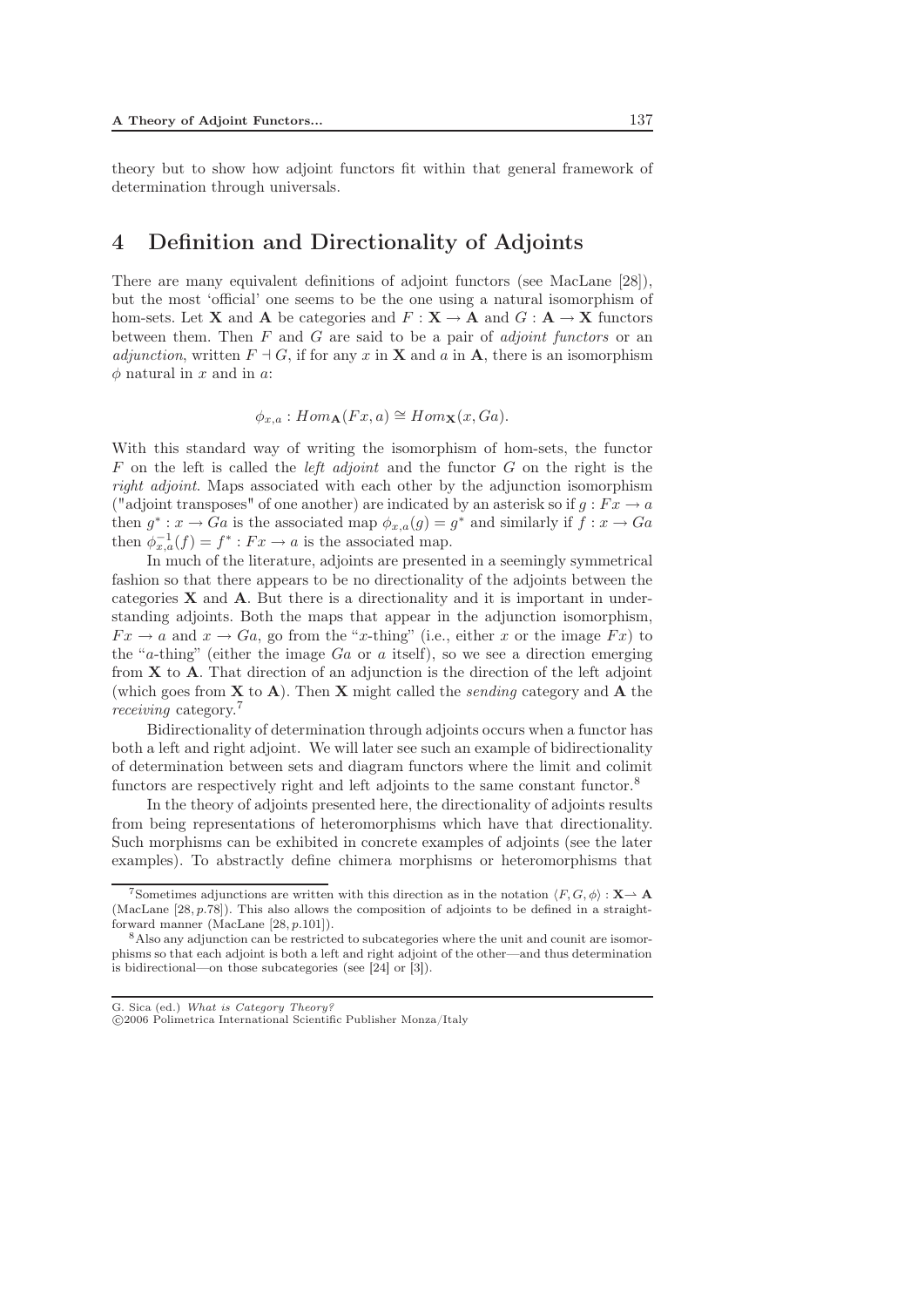theory but to show how adjoint functors fit within that general framework of determination through universals.

## 4 Definition and Directionality of Adjoints

There are many equivalent definitions of adjoint functors (see MacLane [28]), but the most 'official' one seems to be the one using a natural isomorphism of hom-sets. Let **X** and **A** be categories and  $F : \mathbf{X} \to \mathbf{A}$  and  $G : \mathbf{A} \to \mathbf{X}$  functors between them. Then F and G are said to be a pair of *adjoint functors* or an *adjunction*, written  $F \dashv G$ , if for any x in **X** and a in **A**, there is an isomorphism  $\phi$  natural in x and in a:

 $\phi_{x,a}$ : Hom  $\Lambda(Fx,a) \cong Hom_X(x,Ga)$ .

With this standard way of writing the isomorphism of hom-sets, the functor F on the left is called the *left adjoint* and the functor G on the right is the *right adjoint*. Maps associated with each other by the adjunction isomorphism ("adjoint transposes" of one another) are indicated by an asterisk so if  $g : Fx \to a$ then  $g^* : x \to Ga$  is the associated map  $\phi_{x,a}(g) = g^*$  and similarly if  $f : x \to Ga$ then  $\phi_{x,a}^{-1}(f) = f^* : Fx \to a$  is the associated map.

In much of the literature, adjoints are presented in a seemingly symmetrical fashion so that there appears to be no directionality of the adjoints between the categories **X** and **A**. But there is a directionality and it is important in understanding adjoints. Both the maps that appear in the adjunction isomorphism,  $Fx \rightarrow a$  and  $x \rightarrow Ga$ , go from the "x-thing" (i.e., either x or the image  $Fx$ ) to the "a-thing" (either the image  $Ga$  or a itself), so we see a direction emerging from **X** to **A**. That direction of an adjunction is the direction of the left adjoint (which goes from **X** to **A**). Then **X** might called the *sending* category and **A** the *receiving* category.<sup>7</sup>

Bidirectionality of determination through adjoints occurs when a functor has both a left and right adjoint. We will later see such an example of bidirectionality of determination between sets and diagram functors where the limit and colimit functors are respectively right and left adjoints to the same constant functor.<sup>8</sup>

In the theory of adjoints presented here, the directionality of adjoints results from being representations of heteromorphisms which have that directionality. Such morphisms can be exhibited in concrete examples of adjoints (see the later examples). To abstractly define chimera morphisms or heteromorphisms that

<sup>&</sup>lt;sup>7</sup>Sometimes adjunctions are written with this direction as in the notation  $\langle F, G, \phi \rangle : \mathbf{X} \to \mathbf{A}$ (MacLane [28*,p.*78]). This also allows the composition of adjoints to be defined in a straightforward manner (MacLane [28*,p.*101]).

<sup>8</sup>Also any adjunction can be restricted to subcategories where the unit and counit are isomorphisms so that each adjoint is both a left and right adjoint of the other—and thus determination is bidirectional—on those subcategories (see [24] or [3]).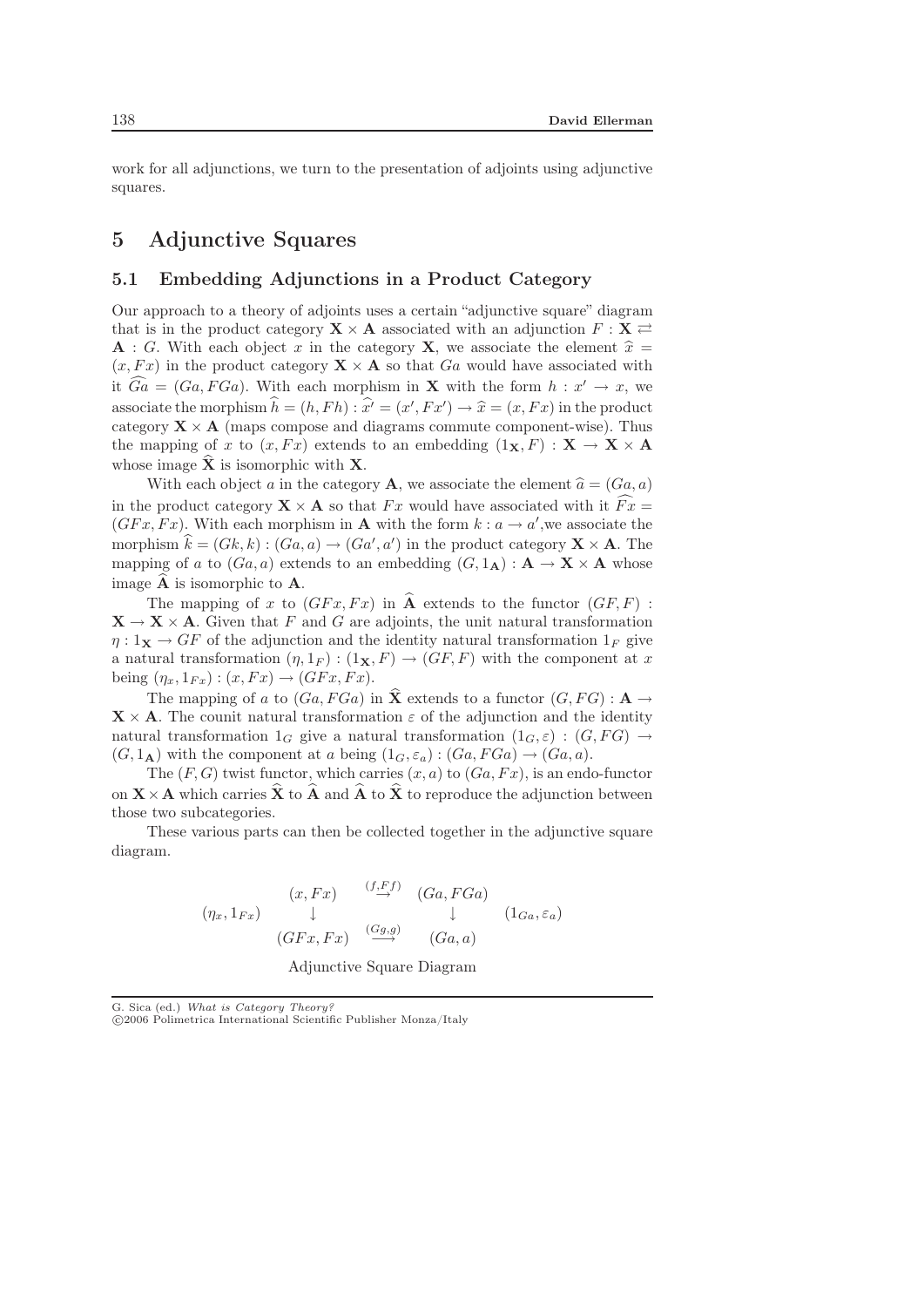work for all adjunctions, we turn to the presentation of adjoints using adjunctive squares.

## 5 Adjunctive Squares

#### 5.1 Embedding Adjunctions in a Product Category

Our approach to a theory of adjoints uses a certain "adjunctive square" diagram that is in the product category  $X \times A$  associated with an adjunction  $F : X \rightleftarrows$ **A** : G. With each object x in the category **X**, we associate the element  $\hat{x} = (x \ Fx)$  in the product category **X**  $\times$  **A** so that Gq would have associated with  $(x, Fx)$  in the product category  $\mathbf{X} \times \mathbf{A}$  so that Ga would have associated with it  $Ga = (Ga, FGa)$ . With each morphism in **X** with the form  $h : x' \to x$ , we associate the morphism  $\hat{h} = (h, Fh) : \hat{x'} = (x', Fx') \rightarrow \hat{x} = (x, Fx)$  in the product<br>category  $\mathbf{X} \times \mathbf{A}$  (maps compose and diagrams commute component-wise). Thus category  $\mathbf{X} \times \mathbf{A}$  (maps compose and diagrams commute component-wise). Thus the mapping of x to  $(x, Fx)$  extends to an embedding  $(1_X, F) : \mathbf{X} \to \mathbf{X} \times \mathbf{A}$ whose image  $\hat{\mathbf{X}}$  is isomorphic with **X**.

With each object a in the category **A**, we associate the element  $\hat{a} = (Ga, a)$ in the product category  $\mathbf{X} \times \mathbf{A}$  so that Fx would have associated with it  $\widehat{Fx}$  =  $(GFx, Fx)$ . With each morphism in **A** with the form  $k : a \rightarrow a'$ , we associate the morphism  $\hat{k} = (Gk, k) : (Ga, a) \rightarrow (Ga', a')$  in the product category  $\mathbf{X} \times \mathbf{A}$ . The mapping of a to  $(Ga, a)$  extends to an embedding  $(G, 1_A) : A \to X \times A$  whose image  $\widehat{A}$  is isomorphic to **A**.

The mapping of x to  $(GFx, Fx)$  in  $\widehat{A}$  extends to the functor  $(GF, F)$ :  $X \rightarrow X \times A$ . Given that F and G are adjoints, the unit natural transformation  $\eta: \mathbb{1}_{\mathbf{X}} \to GF$  of the adjunction and the identity natural transformation  $\mathbb{1}_F$  give a natural transformation  $(\eta, 1_F) : (1_X, F) \to (GF, F)$  with the component at x being  $(\eta_x, 1_{Fx}) : (x, Fx) \rightarrow (GFx, Fx).$ 

The mapping of a to  $(Ga, FGa)$  in  $\hat{\mathbf{X}}$  extends to a functor  $(G, FG) : \mathbf{A} \to \mathbf{A}$  $\mathbf{X} \times \mathbf{A}$ . The counit natural transformation  $\varepsilon$  of the adjunction and the identity natural transformation  $1_G$  give a natural transformation  $(1_G, \varepsilon):(G, FG) \rightarrow$  $(G, 1_A)$  with the component at a being  $(1_G, \varepsilon_a): (Ga, FGa) \rightarrow (Ga, a)$ .

The  $(F, G)$  twist functor, which carries  $(x, a)$  to  $(Ga, Fx)$ , is an endo-functor on  $\mathbf{X} \times \mathbf{A}$  which carries  $\hat{\mathbf{X}}$  to  $\hat{\mathbf{A}}$  and  $\hat{\mathbf{A}}$  to  $\hat{\mathbf{X}}$  to reproduce the adjunction between those two subcategories.

These various parts can then be collected together in the adjunctive square diagram.

$$
(\eta_x, 1_{Fx}) \quad \downarrow \quad (Gx, Fx) \quad \downarrow \quad (Ga, FGa)
$$
\n
$$
(GFx, Fx) \quad \stackrel{(Gg,g)}{\longrightarrow} \quad (Ga, a)
$$
\n
$$
(GFx, Fx) \quad \stackrel{(Gg,g)}{\longrightarrow} \quad (Ga, a)
$$

Adjunctive Square Diagram

<sup>-</sup>c 2006 Polimetrica International Scientific Publisher Monza/Italy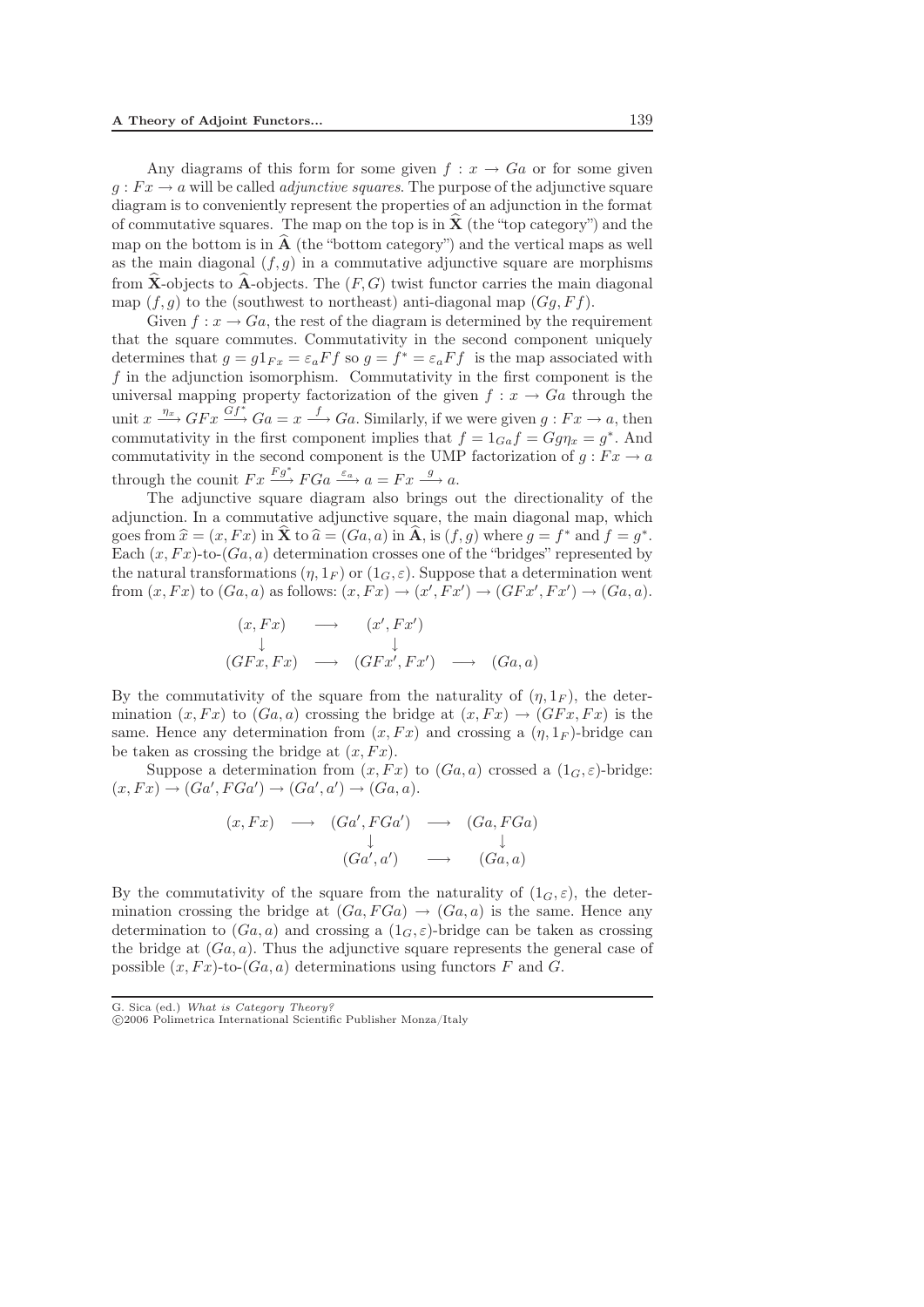Any diagrams of this form for some given  $f: x \to Ga$  or for some given  $g: Fx \to a$  will be called *adjunctive squares*. The purpose of the adjunctive square diagram is to conveniently represent the properties of an adjunction in the format of commutative squares. The map on the top is in  $\hat{\mathbf{X}}$  (the "top category") and the map on the bottom is in  $\hat{A}$  (the "bottom category") and the vertical maps as well as the main diagonal  $(f, g)$  in a commutative adjunctive square are morphisms from  $\hat{\mathbf{X}}$ -objects to  $\hat{\mathbf{A}}$ -objects. The  $(F, G)$  twist functor carries the main diagonal map  $(f,g)$  to the (southwest to northeast) anti-diagonal map  $(Gq, Ff)$ .

Given  $f: x \to Ga$ , the rest of the diagram is determined by the requirement that the square commutes. Commutativity in the second component uniquely determines that  $g = g1_{Fx} = \varepsilon_a F f$  so  $g = f^* = \varepsilon_a F f$  is the map associated with  $f$  in the adjunction isomorphism. Commutativity in the first component is the universal mapping property factorization of the given  $f: x \to Ga$  through the unit  $x \xrightarrow{\eta_x} GFx \xrightarrow{Gf^*} Ga = x \xrightarrow{f} Ga$ . Similarly, if we were given  $g : Fx \to a$ , then commutativity in the first component implies that  $f = 1_{Ga} f = Gg\eta_x = g^*$ . And commutativity in the second component is the UMP factorization of  $g : Fx \to a$ through the counit  $Fx \xrightarrow{Fg^*} FGa \xrightarrow{\varepsilon_a} a = Fx \xrightarrow{g} a$ .

The adjunctive square diagram also brings out the directionality of the adjunction. In a commutative adjunctive square, the main diagonal map, which goes from  $\hat{x} = (x, Fx)$  in  $\hat{\mathbf{X}}$  to  $\hat{a} = (Ga, a)$  in  $\hat{\mathbf{A}}$ , is  $(f, g)$  where  $g = f^*$  and  $f = g^*$ .<br>Each  $(r, Fr)$ -to- $(Ga, a)$  determination crosses one of the "bridges" represented by Each  $(x, Fx)$ -to- $(Ga, a)$  determination crosses one of the "bridges" represented by the natural transformations  $(\eta, 1_F)$  or  $(1_G, \varepsilon)$ . Suppose that a determination went from  $(x, Fx)$  to  $(Ga, a)$  as follows:  $(x, Fx) \rightarrow (x', Fx') \rightarrow (GFx', Fx') \rightarrow (Ga, a)$ .

$$
(x, Fx) \longrightarrow (x', Fx')
$$
  
\n
$$
(GFx, Fx) \longrightarrow (GFx', Fx') \longrightarrow (Ga, a)
$$

By the commutativity of the square from the naturality of  $(\eta, 1_F)$ , the determination  $(x, Fx)$  to  $(Ga, a)$  crossing the bridge at  $(x, Fx) \rightarrow (GFx, Fx)$  is the same. Hence any determination from  $(x, Fx)$  and crossing a  $(\eta, 1_F)$ -bridge can be taken as crossing the bridge at  $(x, Fx)$ .

Suppose a determination from  $(x, Fx)$  to  $(Ga, a)$  crossed a  $(1_G, \varepsilon)$ -bridge:  $(x, Fx) \rightarrow (Ga', FGa') \rightarrow (Ga', a') \rightarrow (Ga, a).$ 

$$
(x, Fx) \longrightarrow (Ga', FGa') \longrightarrow (Ga, FGa)
$$
  

$$
\downarrow \qquad \qquad \downarrow
$$
  

$$
(Ga', a') \longrightarrow (Ga, a)
$$

By the commutativity of the square from the naturality of  $(1_G, \varepsilon)$ , the determination crossing the bridge at  $(Ga, FGa) \rightarrow (Ga, a)$  is the same. Hence any determination to  $(Ga, a)$  and crossing a  $(1_G, \varepsilon)$ -bridge can be taken as crossing the bridge at  $(Ga, a)$ . Thus the adjunctive square represents the general case of possible  $(x, Fx)$ -to- $(Ga, a)$  determinations using functors F and G.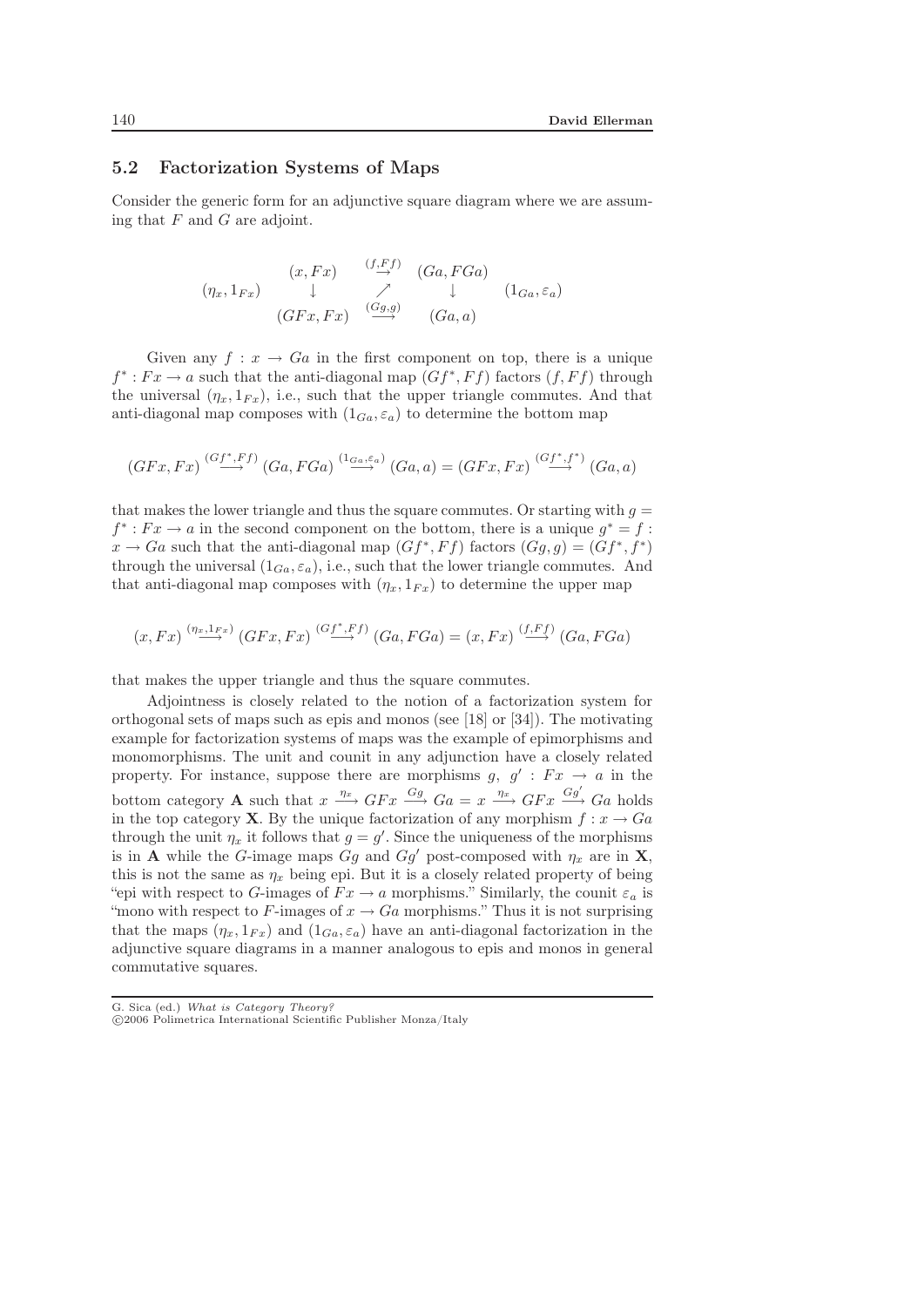#### 5.2 Factorization Systems of Maps

Consider the generic form for an adjunctive square diagram where we are assuming that  $F$  and  $G$  are adjoint.

$$
(\eta_x, 1_{Fx}) \quad \downarrow \quad \nearrow \quad (Ga, FGa)
$$
\n
$$
(\eta_x, 1_{Fx}) \quad \downarrow \quad \nearrow \quad \downarrow \quad (1_{Ga, \varepsilon_a})
$$
\n
$$
(GFx, Fx) \quad \xrightarrow{(Gg,g)} \quad (Ga, a)
$$

Given any  $f: x \to Ga$  in the first component on top, there is a unique  $f^* : F x \to a$  such that the anti-diagonal map  $(Gf^*, Ff)$  factors  $(f, Ff)$  through the universal  $(\eta_x, 1_{Fx})$ , i.e., such that the upper triangle commutes. And that anti-diagonal map composes with  $(1_{Ga}, \varepsilon_a)$  to determine the bottom map

$$
(GFx, Fx) \stackrel{(Gf^*, Ff)}{\longrightarrow} (Ga, FGa) \stackrel{(1_{Ga, \varepsilon_a})}{\longrightarrow} (Ga, a) = (GFx, Fx) \stackrel{(Gf^*, f^*)}{\longrightarrow} (Ga, a)
$$

that makes the lower triangle and thus the square commutes. Or starting with  $q =$  $f^*$ :  $Fx \rightarrow a$  in the second component on the bottom, there is a unique  $g^* = f$ :  $x \to Ga$  such that the anti-diagonal map  $(Gf^*,Ff)$  factors  $(Gg,g)=(Gf^*,f^*)$ through the universal  $(1_{Ga}, \varepsilon_a)$ , i.e., such that the lower triangle commutes. And that anti-diagonal map composes with  $(\eta_x, 1_{Fx})$  to determine the upper map

$$
(x, Fx) \xrightarrow{( \eta_x, 1_{Fx})} (GFx, Fx) \xrightarrow{(Gf^*, Ff)} (Ga, FGa) = (x, Fx) \xrightarrow{(f, Ff)} (Ga, FGa)
$$

that makes the upper triangle and thus the square commutes.

Adjointness is closely related to the notion of a factorization system for orthogonal sets of maps such as epis and monos (see [18] or [34]). The motivating example for factorization systems of maps was the example of epimorphisms and monomorphisms. The unit and counit in any adjunction have a closely related property. For instance, suppose there are morphisms g,  $g' : Fx \to a$  in the bottom category **A** such that  $x \xrightarrow{\eta_x} GFx \xrightarrow{Gg} Ga = x \xrightarrow{\eta_x} GFx \xrightarrow{Gg'} Ga$  holds in the top category **X**. By the unique factorization of any morphism  $f: x \to Ga$ through the unit  $\eta_x$  it follows that  $g = g'$ . Since the uniqueness of the morphisms is in **A** while the G-image maps  $Gg$  and  $Gg'$  post-composed with  $\eta_x$  are in **X**, this is not the same as  $\eta_x$  being epi. But it is a closely related property of being "epi with respect to G-images of  $Fx \rightarrow a$  morphisms." Similarly, the counit  $\varepsilon_a$  is "mono with respect to F-images of  $x \to Ga$  morphisms." Thus it is not surprising that the maps  $(\eta_x, 1_{Fx})$  and  $(1_{Ga}, \varepsilon_a)$  have an anti-diagonal factorization in the adjunctive square diagrams in a manner analogous to epis and monos in general commutative squares.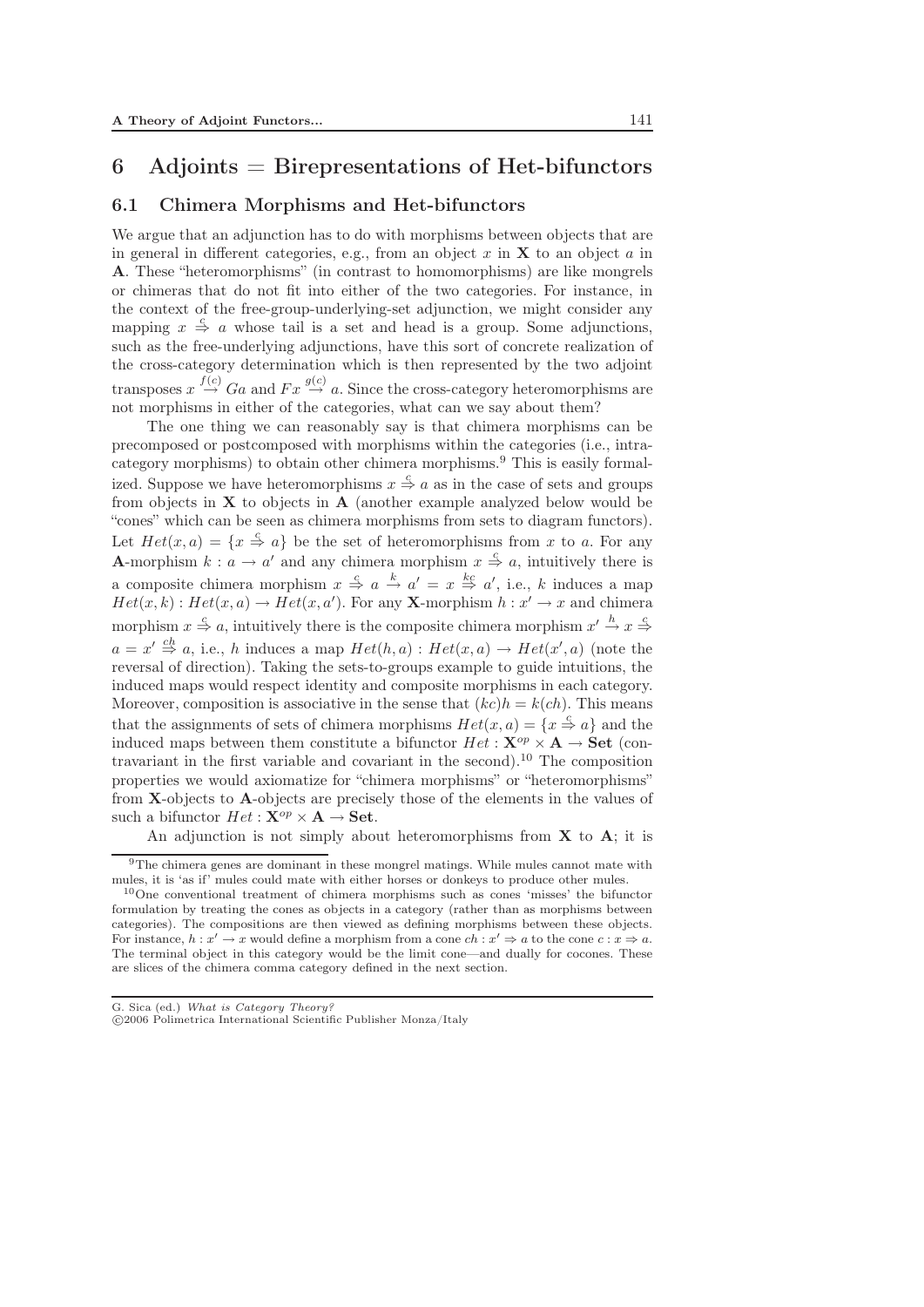# 6 Adjoints  $=$  Birepresentations of Het-bifunctors

#### 6.1 Chimera Morphisms and Het-bifunctors

We argue that an adjunction has to do with morphisms between objects that are in general in different categories, e.g., from an object  $x$  in  $X$  to an object  $a$  in **A**. These "heteromorphisms" (in contrast to homomorphisms) are like mongrels or chimeras that do not fit into either of the two categories. For instance, in the context of the free-group-underlying-set adjunction, we might consider any mapping  $x \stackrel{c}{\Rightarrow} a$  whose tail is a set and head is a group. Some adjunctions, such as the free-underlying adjunctions, have this sort of concrete realization of the cross-category determination which is then represented by the two adjoint transposes  $x \stackrel{f(c)}{\rightarrow} Ga$  and  $Fx \stackrel{g(c)}{\rightarrow} a$ . Since the cross-category heteromorphisms are not morphisms in either of the categories, what can we say about them?

The one thing we can reasonably say is that chimera morphisms can be precomposed or postcomposed with morphisms within the categories (i.e., intracategory morphisms) to obtain other chimera morphisms.<sup>9</sup> This is easily formalized. Suppose we have heteromorphisms  $x \stackrel{c}{\Rightarrow} a$  as in the case of sets and groups from objects in **X** to objects in **A** (another example analyzed below would be "cones" which can be seen as chimera morphisms from sets to diagram functors). Let  $Het(x,a)=\{x\overset{c}{\Rightarrow}a\}$  be the set of heteromorphisms from x to a. For any **A**-morphism  $k : a \to a'$  and any chimera morphism  $x \stackrel{c}{\Rightarrow} a$ , intuitively there is a composite chimera morphism  $x \stackrel{c}{\Rightarrow} a \stackrel{k}{\rightarrow} a' = x \stackrel{k}{\Rightarrow} a'$ , i.e., k induces a map  $Het(x,k):Het(x,a)\rightarrow Het(x,a').$  For any **X**-morphism  $h:x'\rightarrow x$  and chimera morphism  $x \stackrel{c}{\Rightarrow} a$ , intuitively there is the composite chimera morphism  $x' \stackrel{h}{\rightarrow} x \stackrel{c}{\Rightarrow}$  $a = x' \stackrel{ch}{\Rightarrow} a$ , i.e., h induces a map  $Het(h,a):Het(x,a)\rightarrow Het(x',a)$  (note the reversal of direction). Taking the sets-to-groups example to guide intuitions, the induced maps would respect identity and composite morphisms in each category. Moreover, composition is associative in the sense that  $(kc)h = k(ch)$ . This means that the assignments of sets of chimera morphisms  $Het(x,a)=\{x\overset{c}{\Rightarrow}a\}$  and the induced maps between them constitute a bifunctor  $Het:\mathbf{X}^{op}\times\mathbf{A}\rightarrow\mathbf{Set}$  (contravariant in the first variable and covariant in the second).<sup>10</sup> The composition properties we would axiomatize for "chimera morphisms" or "heteromorphisms" from **X**-objects to **A**-objects are precisely those of the elements in the values of such a bifunctor  $Het:\mathbf{X}^{op}\times\mathbf{A}\rightarrow\mathbf{Set}.$ 

An adjunction is not simply about heteromorphisms from **X** to **A**; it is

<sup>9</sup>The chimera genes are dominant in these mongrel matings. While mules cannot mate with mules, it is 'as if' mules could mate with either horses or donkeys to produce other mules.

<sup>10</sup>One conventional treatment of chimera morphisms such as cones 'misses' the bifunctor formulation by treating the cones as objects in a category (rather than as morphisms between categories). The compositions are then viewed as defining morphisms between these objects. For instance,  $h: x' \to x$  would define a morphism from a cone  $ch: x' \Rightarrow a$  to the cone  $c: x \Rightarrow a$ . The terminal object in this category would be the limit cone—and dually for cocones. These are slices of the chimera comma category defined in the next section.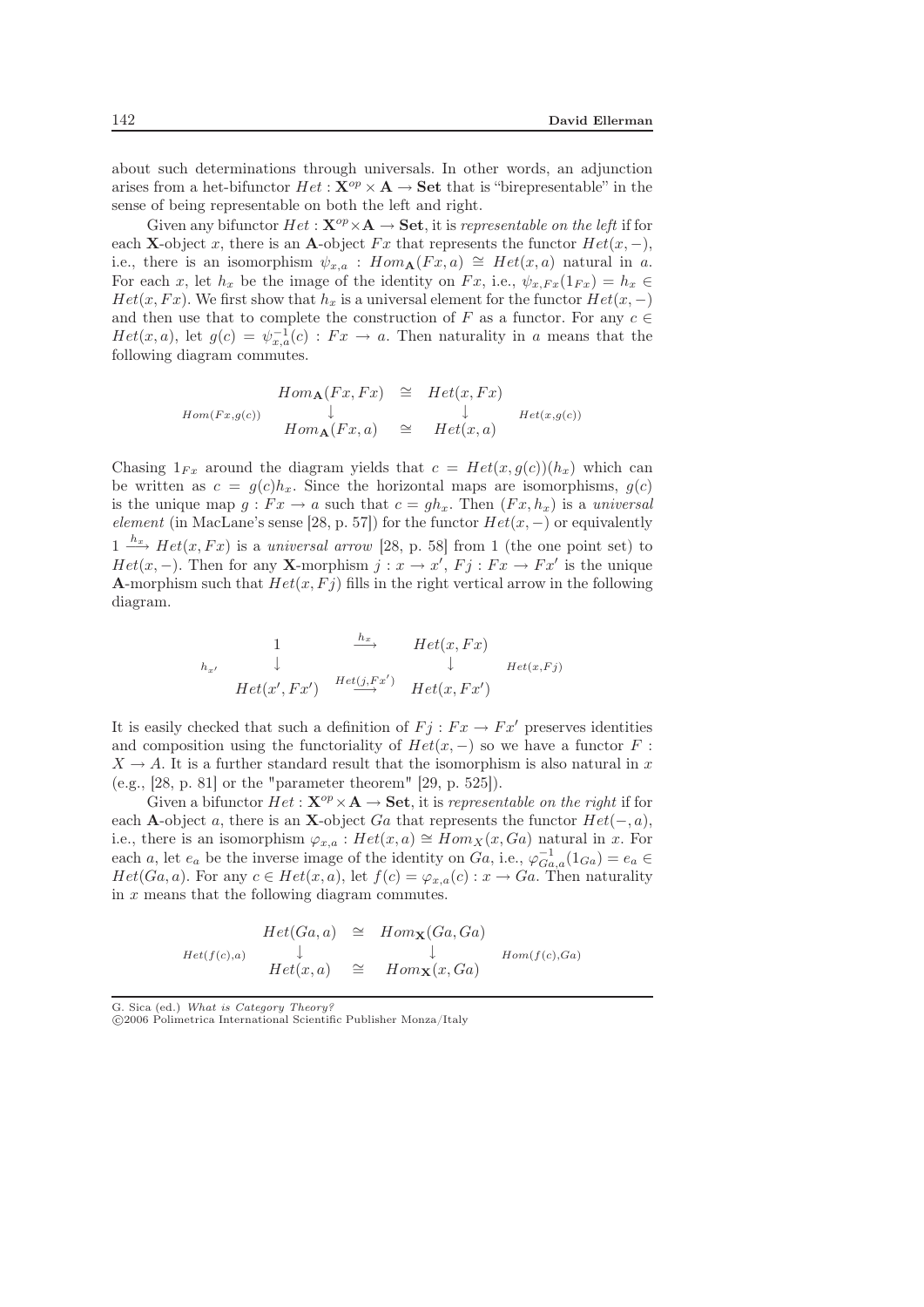about such determinations through universals. In other words, an adjunction arises from a het-bifunctor  $Het:\mathbf{X}^{op}\times\mathbf{A}\rightarrow\mathbf{Set}$  that is "birepresentable" in the sense of being representable on both the left and right.

Given any bifunctor  $Het:\mathbf{X}^{op}\times\mathbf{A}\rightarrow\mathbf{Set}$ , it is *representable on the left* if for each **X**-object x, there is an **A**-object  $Fx$  that represents the functor  $Het(x,-)$ , i.e., there is an isomorphism  $\psi_{x,a}$ :  $Hom_{\mathbf{A}}(Fx,a) \cong Het(x,a)$  natural in a. For each x, let  $h_x$  be the image of the identity on  $Fx$ , i.e.,  $\psi_{x,Fx}(1_{Fx}) = h_x \in$  $Het(x,Fx)$ . We first show that  $h_x$  is a universal element for the functor  $Het(x,-)$ and then use that to complete the construction of F as a functor. For any  $c \in$  $Het(x,a),$  let  $g(c)=\psi_{x,a}^{-1}(c):Fx\rightarrow a.$  Then naturality in a means that the following diagram commutes.

$$
Hom(Fx,g(c))
$$
  
\n
$$
Hom(Fx,g(c))
$$
  
\n
$$
\downarrow
$$
  
\n
$$
Hom_{\mathbf{A}}(Fx,a)
$$
  
\n
$$
\cong
$$
  
\n
$$
Het(x,Fx)
$$
  
\n
$$
\downarrow
$$
  
\n
$$
Het(x,g(c))
$$
  
\n
$$
Het(x,g(c))
$$

Chasing  $1_{Fx}$  around the diagram yields that  $c = Het(x, g(c))(h_x)$  which can be written as  $c = g(c)h_x$ . Since the horizontal maps are isomorphisms,  $g(c)$ is the unique map  $g : Fx \to a$  such that  $c = gh_x$ . Then  $(Fx, h_x)$  is a *universal element* (in MacLane's sense [28, p. 57]) for the functor  $Het(x,-)$  or equivalently  $1 \stackrel{h_x}{\longrightarrow} Het(x,Fx)$  is a *universal arrow* [28, p. 58] from 1 (the one point set) to  $Het(x,-).$  Then for any **X**-morphism  $j:x\rightarrow x', Fj:Fx\rightarrow Fx'$  is the unique **A**-morphism such that  $Het(x,Fj)$  fills in the right vertical arrow in the following diagram.

$$
\begin{array}{ccccc}\n & & 1 & \xrightarrow{h_x} & Het(x, Fx) \\
\downarrow & & \downarrow & & \downarrow & \\
& & Het(x', Fx') & \xrightarrow{Het(j, Fx')} & Het(x, Fx')\n\end{array}
$$

It is easily checked that such a definition of  $Fj : Fx \to Fx'$  preserves identities and composition using the functoriality of  $Het(x,-)$  so we have a functor F:  $X \to A$ . It is a further standard result that the isomorphism is also natural in x (e.g., [28, p. 81] or the "parameter theorem" [29, p. 525]).

Given a bifunctor  $Het:\mathbf{X}^{op}\times\mathbf{A}\rightarrow\mathbf{Set}$ , it is *representable on the right* if for each **A**-object a, there is an **X**-object Ga that represents the functor  $Het(-, a)$ , i.e., there is an isomorphism  $\varphi_{x,a} : Het(x,a) \cong Hom_X(x,Ga)$  natural in x. For each a, let  $e_a$  be the inverse image of the identity on  $Ga$ , i.e.,  $\varphi_{Ga,a}^{-1}(1_{Ga}) = e_a \in$  $Het(Ga,a)$ . For any  $c\in Het(x,a)$ , let  $f(c)=\varphi_{x,a}(c):x\rightarrow Ga$ . Then naturality in x means that the following diagram commutes.

$$
Het(Ga,a)\cong Hom_{\mathbf{X}}(Ga,Ga)
$$
  
\n
$$
Het(f(c),a)\qquad \downarrow \qquad \qquad \downarrow
$$
  
\n
$$
Het(x,a)\cong Hom_{\mathbf{X}}(x,Ga)
$$
  
\n
$$
Hom(f(c),Ga)
$$

G. Sica (ed.) *What is Category Theory?*

-c 2006 Polimetrica International Scientific Publisher Monza/Italy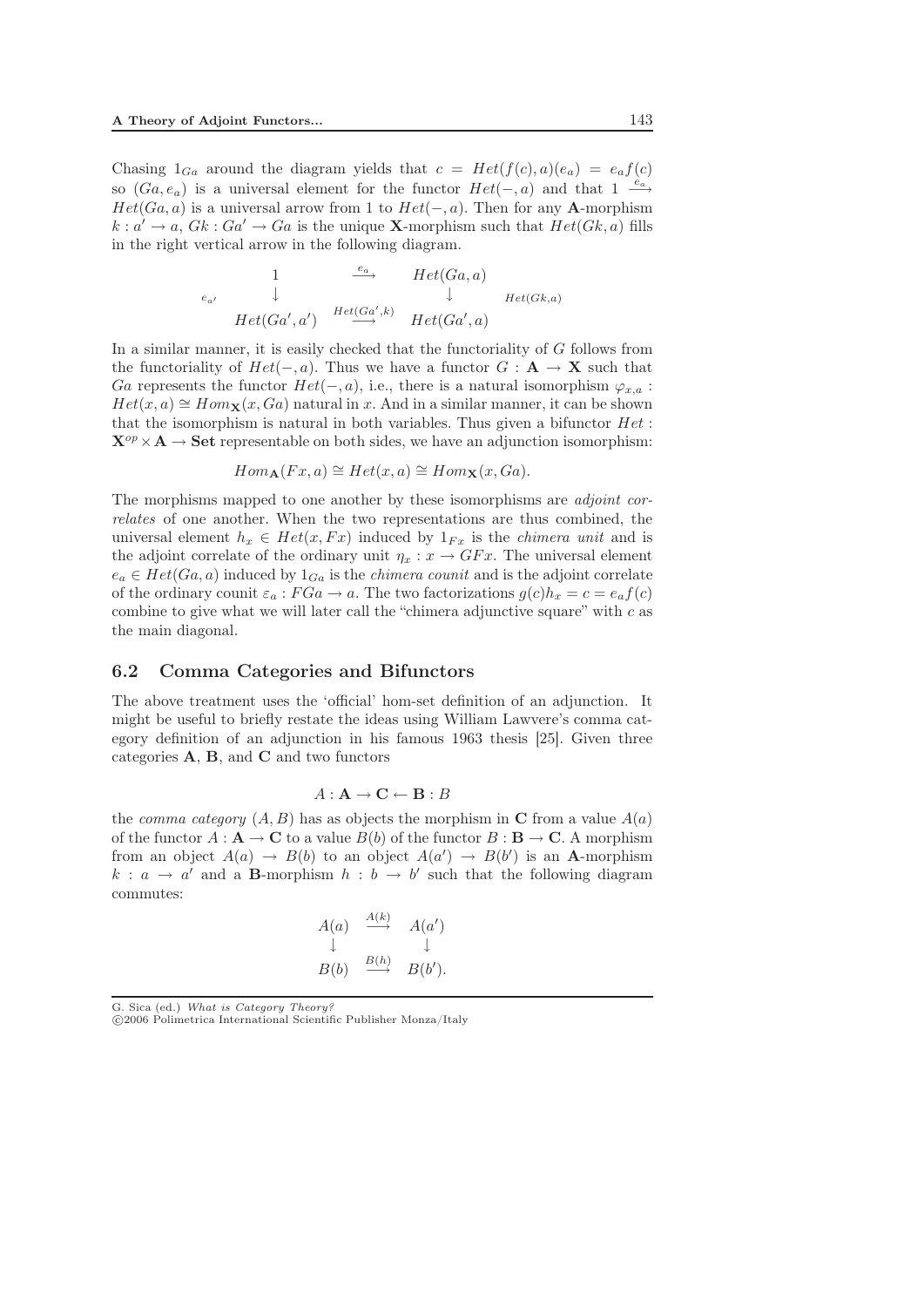Chasing  $1_{Ga}$  around the diagram yields that  $c = Het(f(c), a)(e_a) = e_a f(c)$ so  $(Ga, e_a)$  is a universal element for the functor  $Het(-, a)$  and that  $1 \stackrel{e_a}{\longrightarrow}$  $Het(Ga,a)$  is a universal arrow from 1 to  $Het(-,a)$ . Then for any **A**-morphism  $k: a' \to a$ ,  $Gk: Ga' \to Ga$  is the unique **X**-morphism such that  $Het(Gk, a)$  fills in the right vertical arrow in the following diagram.

$$
\begin{array}{ccccc}\n & 1 & \xrightarrow{e_a} & Het(Ga, a) \\
\downarrow & & \downarrow & \downarrow & Het(Gk, a) \\
\downarrow & Het(Ga', a') & Het(Ga', k) & Het(Ga', a)\n\end{array}
$$

In a similar manner, it is easily checked that the functoriality of G follows from the functoriality of  $Het(-,a)$ . Thus we have a functor  $G: \mathbf{A} \to \mathbf{X}$  such that Ga represents the functor  $Het(-, a)$ , i.e., there is a natural isomorphism  $\varphi_{x,a}$ :  $Het(x, a)\cong Hom_{\mathbf{X}}(x, Ga)$  natural in x. And in a similar manner, it can be shown that the isomorphism is natural in both variables. Thus given a bifunctor  $Het$ :  $\mathbf{X}^{op} \times \mathbf{A} \rightarrow \mathbf{Set}$  representable on both sides, we have an adjunction isomorphism:

$$
Hom_{\mathbf{A}}(Fx,a) \cong Het(x,a) \cong Hom_{\mathbf{X}}(x,Ga).
$$

The morphisms mapped to one another by these isomorphisms are *adjoint correlates* of one another. When the two representations are thus combined, the universal element  $h_x \in Het(x, Fx)$  induced by  $1_{F_x}$  is the *chimera unit* and is the adjoint correlate of the ordinary unit  $\eta_x : x \to GFx$ . The universal element  $e_a \in Het(Ga, a)$  induced by  $1_{Ga}$  is the *chimera counit* and is the adjoint correlate of the ordinary counit  $\varepsilon_a$ :  $FGa \to a$ . The two factorizations  $g(c)h_x = c = e_a f(c)$ combine to give what we will later call the "chimera adjunctive square" with  $c$  as the main diagonal.

#### 6.2 Comma Categories and Bifunctors

The above treatment uses the 'official' hom-set definition of an adjunction. It might be useful to briefly restate the ideas using William Lawvere's comma category definition of an adjunction in his famous 1963 thesis [25]. Given three categories **A**, **B**, and **C** and two functors

$$
A: \mathbf{A} \to \mathbf{C} \leftarrow \mathbf{B}: B
$$

the *comma category*  $(A, B)$  has as objects the morphism in **C** from a value  $A(a)$ of the functor  $A : \mathbf{A} \to \mathbf{C}$  to a value  $B(b)$  of the functor  $B : \mathbf{B} \to \mathbf{C}$ . A morphism from an object  $A(a) \to B(b)$  to an object  $A(a') \to B(b')$  is an **A**-morphism  $k : a \rightarrow a'$  and a **B**-morphism  $h : b \rightarrow b'$  such that the following diagram commutes:

$$
A(a) \xrightarrow{A(k)} A(a')
$$
  
\n
$$
\downarrow \qquad \qquad \downarrow
$$
  
\n
$$
B(b) \xrightarrow{B(h)} B(b').
$$

G. Sica (ed.) *What is Category Theory?*

-c 2006 Polimetrica International Scientific Publisher Monza/Italy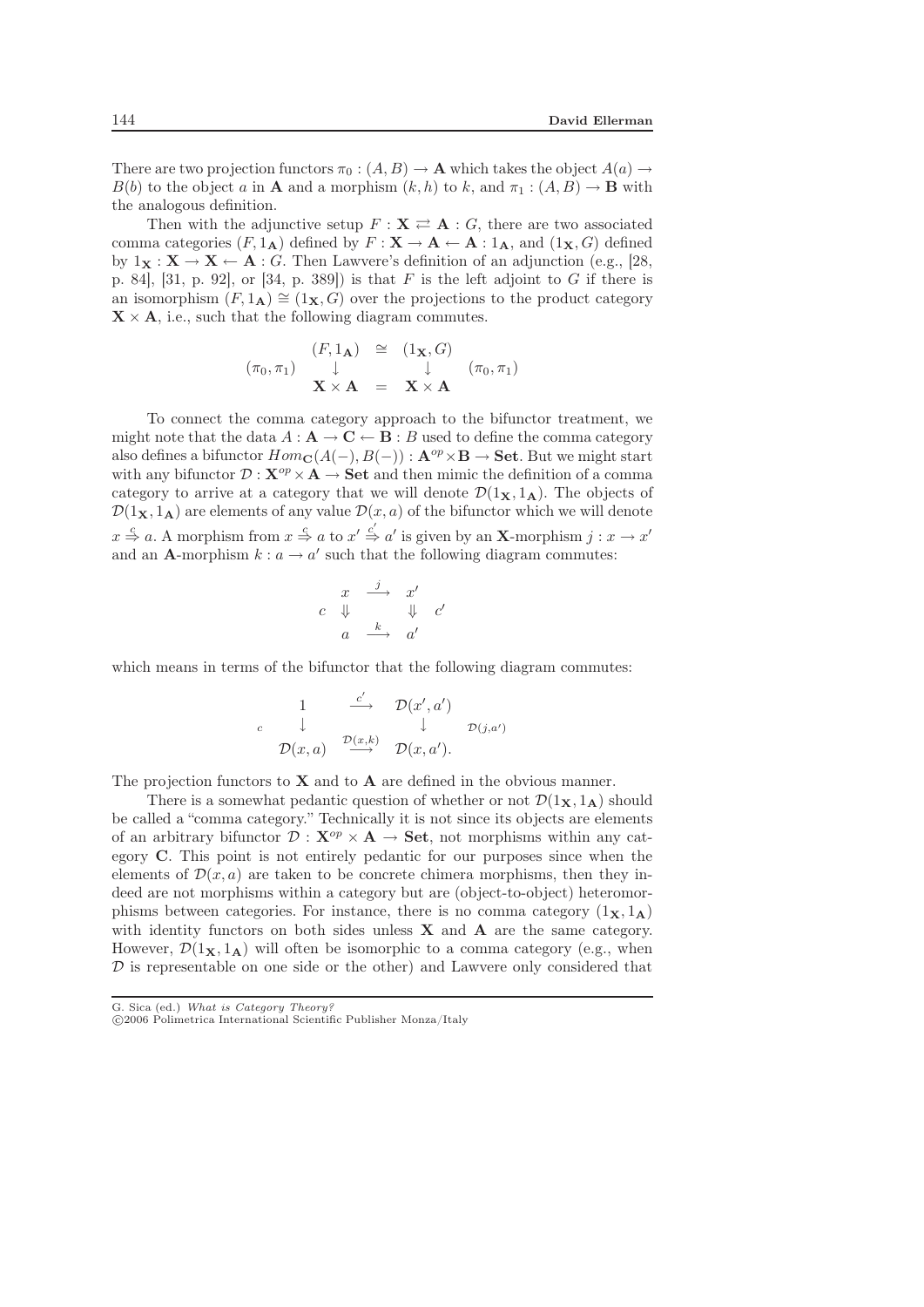There are two projection functors  $\pi_0 : (A, B) \to \mathbf{A}$  which takes the object  $A(a) \to$  $B(b)$  to the object a in **A** and a morphism  $(k, h)$  to k, and  $\pi_1 : (A, B) \to \mathbf{B}$  with the analogous definition.

Then with the adjunctive setup  $F: \mathbf{X} \rightleftarrows \mathbf{A}: G$ , there are two associated comma categories  $(F, 1_A)$  defined by  $F : \mathbf{X} \to \mathbf{A} \leftarrow \mathbf{A} : 1_A$ , and  $(1_{\mathbf{X}}, G)$  defined by  $1_X : X \to X \leftarrow A : G$ . Then Lawvere's definition of an adjunction (e.g., [28, p. 84], [31, p. 92], or [34, p. 389]) is that  $F$  is the left adjoint to  $G$  if there is an isomorphism  $(F, 1_A) \cong (1_X, G)$  over the projections to the product category  $\mathbf{X} \times \mathbf{A}$ , i.e., such that the following diagram commutes.

$$
(\pi_0, \pi_1) \quad \downarrow \quad (\pi_0, \pi_1) \quad \downarrow \quad (\pi_0, \pi_1) \n\mathbf{X} \times \mathbf{A} = \mathbf{X} \times \mathbf{A} \quad (\pi_0, \pi_1)
$$

To connect the comma category approach to the bifunctor treatment, we might note that the data  $A : \mathbf{A} \to \mathbf{C} \leftarrow \mathbf{B} : B$  used to define the comma category also defines a bifunctor  $Hom_{\mathbf{C}}(A(-), B(-)) : \mathbf{A}^{op} \times \mathbf{B} \to \mathbf{Set}$ . But we might start with any bifunctor  $\mathcal{D}: \mathbf{X}^{op} \times \mathbf{A} \to \mathbf{Set}$  and then mimic the definition of a comma category to arrive at a category that we will denote  $\mathcal{D}(1_{\mathbf{X}}, 1_{\mathbf{A}})$ . The objects of  $\mathcal{D}(1\mathbf{x}, 1\mathbf{A})$  are elements of any value  $\mathcal{D}(x, a)$  of the bifunctor which we will denote  $x \stackrel{c}{\Rightarrow} a$ . A morphism from  $x \stackrel{c}{\Rightarrow} a$  to  $x' \stackrel{c'}{\Rightarrow} a'$  is given by an **X**-morphism  $j : x \to x'$ and an **A**-morphism  $k : a \to a'$  such that the following diagram commutes:

$$
\begin{array}{ccc}\nx & \stackrel{j}{\longrightarrow} & x' \\
c & \Downarrow & & \Downarrow & c' \\
a & \stackrel{k}{\longrightarrow} & a' \\
\end{array}
$$

which means in terms of the bifunctor that the following diagram commutes:

$$
\begin{array}{cccc}\n & 1 & \stackrel{c'}{\longrightarrow} & \mathcal{D}(x', a') \\
 & \downarrow & & \downarrow & \mathcal{D}(j, a') \\
 & \mathcal{D}(x, a) & \stackrel{\mathcal{D}(x, k)}{\longrightarrow} & \mathcal{D}(x, a').\n\end{array}
$$

The projection functors to **X** and to **A** are defined in the obvious manner.

There is a somewhat pedantic question of whether or not  $\mathcal{D}(1_{\mathbf{X}}, 1_{\mathbf{A}})$  should be called a "comma category." Technically it is not since its objects are elements of an arbitrary bifunctor  $\mathcal{D}: \mathbf{X}^{op} \times \mathbf{A} \to \mathbf{Set}$ , not morphisms within any category **C**. This point is not entirely pedantic for our purposes since when the elements of  $\mathcal{D}(x, a)$  are taken to be concrete chimera morphisms, then they indeed are not morphisms within a category but are (object-to-object) heteromorphisms between categories. For instance, there is no comma category  $(1_{\mathbf{X}}, 1_{\mathbf{A}})$ with identity functors on both sides unless **X** and **A** are the same category. However,  $\mathcal{D}(1_{\mathbf{X}}, 1_{\mathbf{A}})$  will often be isomorphic to a comma category (e.g., when  $D$  is representable on one side or the other) and Lawvere only considered that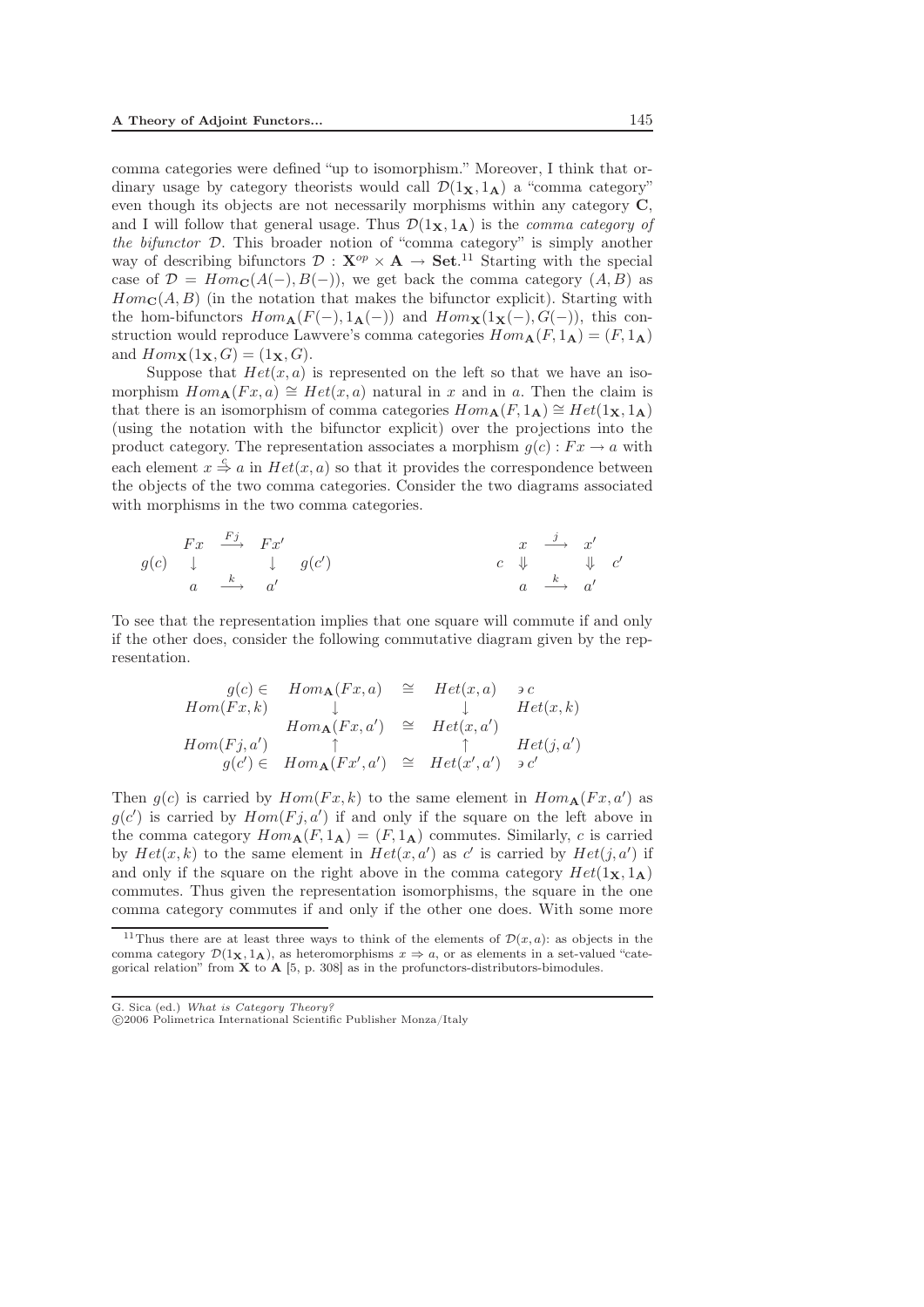comma categories were defined "up to isomorphism." Moreover, I think that ordinary usage by category theorists would call  $\mathcal{D}(1_{\mathbf{X}}, 1_{\mathbf{A}})$  a "comma category" even though its objects are not necessarily morphisms within any category **C**, and I will follow that general usage. Thus  $\mathcal{D}(1_{\mathbf{X}}, 1_{\mathbf{A}})$  is the *comma category of the bifunctor* D. This broader notion of "comma category" is simply another way of describing bifunctors  $\mathcal{D}: \mathbf{X}^{op} \times \mathbf{A} \to \mathbf{Set}$ <sup>11</sup> Starting with the special case of  $\mathcal{D} = Hom_{\mathbb{C}}(A(-), B(-))$ , we get back the comma category  $(A, B)$  as  $Hom_{\mathbf{C}}(A, B)$  (in the notation that makes the bifunctor explicit). Starting with the hom-bifunctors  $Hom_{\mathbf{A}}(F(-), 1_{\mathbf{A}}(-))$  and  $Hom_{\mathbf{X}}(1_{\mathbf{X}}(-), G(-))$ , this construction would reproduce Lawvere's comma categories  $Hom_{\mathbf{A}}(F, 1_{\mathbf{A}})=(F, 1_{\mathbf{A}})$ and  $Hom_{\mathbf{X}}(1_{\mathbf{X}}, G) = (1_{\mathbf{X}}, G)$ .

Suppose that  $Het(x,a)$  is represented on the left so that we have an isomorphism  $Hom_{\mathbf{A}}(Fx, a) \cong Het(x, a)$  natural in x and in a. Then the claim is that there is an isomorphism of comma categories  $Hom_{\mathbf{A}}(F, 1_{\mathbf{A}}) \cong Het(1_{\mathbf{X}}, 1_{\mathbf{A}})$ (using the notation with the bifunctor explicit) over the projections into the product category. The representation associates a morphism  $g(c): F x \to a$  with each element  $x \stackrel{c}{\Rightarrow} a$  in  $Het(x,a)$  so that it provides the correspondence between the objects of the two comma categories. Consider the two diagrams associated with morphisms in the two comma categories.

$$
\begin{array}{ccccccccc}\n & Fx & \xrightarrow{Fj} & Fx' & & & & & x & \xrightarrow{j} & x' \\
g(c) & \downarrow & & \downarrow & g(c') & & & & c & \Downarrow & \downarrow & c' \\
a & \xrightarrow{k} & a' & & & & a & \xrightarrow{k} & a'\n\end{array}
$$

To see that the representation implies that one square will commute if and only if the other does, consider the following commutative diagram given by the representation.

$$
g(c) \in Hom_{\mathbf{A}}(Fx, a) \cong Het(x, a) \ni c
$$
  
\n
$$
Hom(Fx, k) \downarrow \qquad \downarrow \qquad Het(x, k)
$$
  
\n
$$
Hom_{\mathbf{A}}(Fx, a') \cong Het(x, a')
$$
  
\n
$$
Hom(Fj, a') \uparrow \qquad \uparrow \qquad Het(j, a')
$$
  
\n
$$
g(c') \in Hom_{\mathbf{A}}(Fx', a') \cong Het(x', a') \ni c'
$$

Then  $g(c)$  is carried by  $Hom(Fx, k)$  to the same element in  $Hom_{\mathbf{A}}(Fx, a')$  as  $g(c')$  is carried by  $Hom(Fj, a')$  if and only if the square on the left above in the comma category  $Hom_{\mathbf{A}}(F, 1_{\mathbf{A}})=(F, 1_{\mathbf{A}})$  commutes. Similarly, c is carried by  $Het(x,k)$  to the same element in  $Het(x,a')$  as c' is carried by  $Het(j,a')$  if and only if the square on the right above in the comma category  $Het(1_{\mathbf{X}},1_{\mathbf{A}})$ commutes. Thus given the representation isomorphisms, the square in the one comma category commutes if and only if the other one does. With some more

<sup>&</sup>lt;sup>11</sup>Thus there are at least three ways to think of the elements of  $\mathcal{D}(x, a)$ : as objects in the comma category  $\mathcal{D}(1_{\mathbf{X}}, 1_{\mathbf{A}})$ , as heteromorphisms  $x \Rightarrow a$ , or as elements in a set-valued "categorical relation" from **X** to **A** [5, p. 308] as in the profunctors-distributors-bimodules.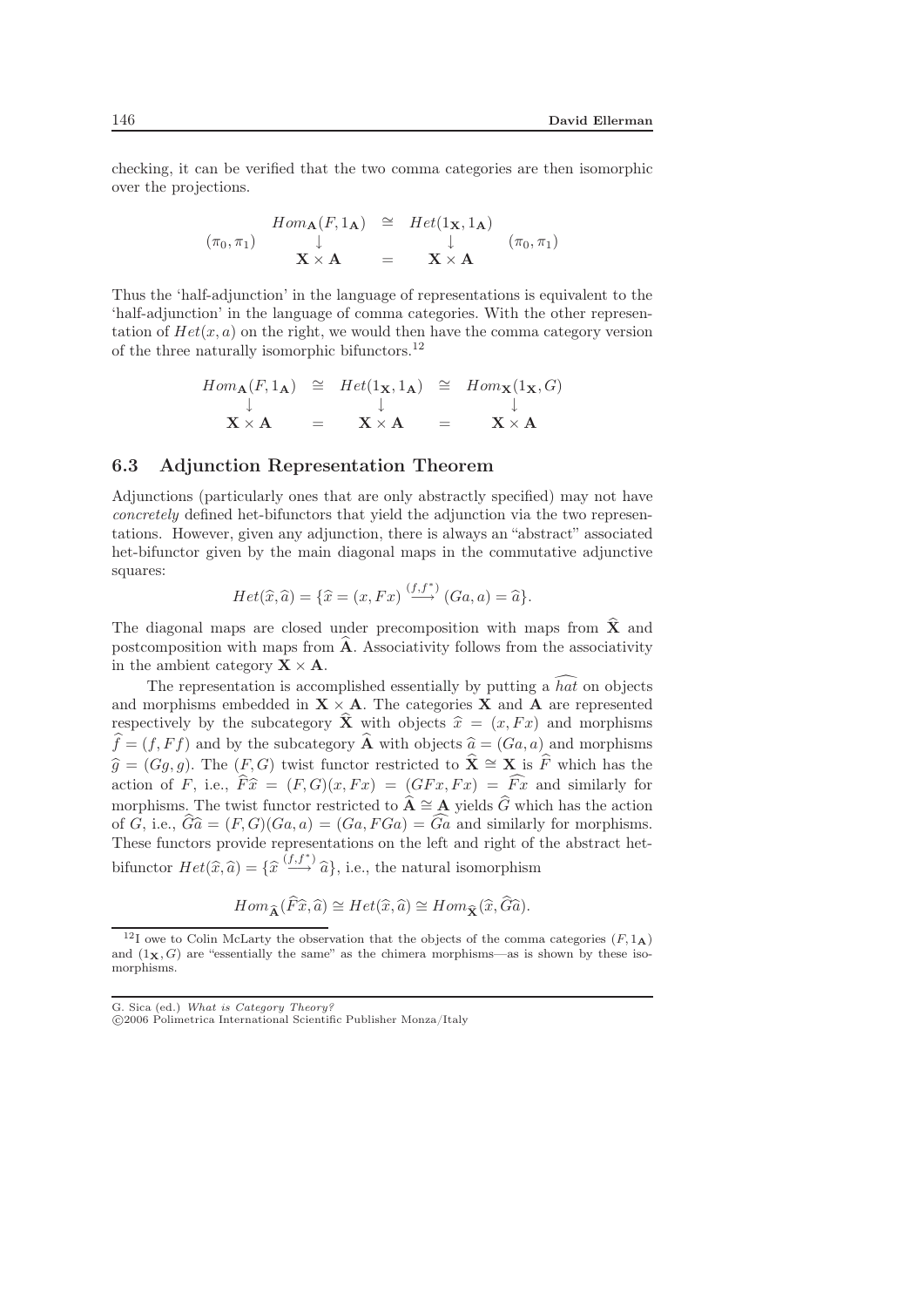checking, it can be verified that the two comma categories are then isomorphic over the projections.

$$
\begin{array}{rcl}\n\text{Hom}_{\mathbf{A}}(F, 1_{\mathbf{A}}) & \cong & \text{Het}(1_{\mathbf{X}}, 1_{\mathbf{A}}) \\
\downarrow & \downarrow & \downarrow \\
\mathbf{X} \times \mathbf{A} & = & \mathbf{X} \times \mathbf{A}\n\end{array} \quad (\pi_0, \pi_1)
$$

Thus the 'half-adjunction' in the language of representations is equivalent to the 'half-adjunction' in the language of comma categories. With the other representation of  $Het(x,a)$  on the right, we would then have the comma category version of the three naturally isomorphic bifunctors.<sup>12</sup>

$$
Hom_{\mathbf{A}}(F, 1_{\mathbf{A}}) \cong Het(1_{\mathbf{X}}, 1_{\mathbf{A}}) \cong Hom_{\mathbf{X}}(1_{\mathbf{X}}, G)
$$
  

$$
\downarrow \qquad \qquad \downarrow \qquad \qquad \downarrow
$$
  

$$
\mathbf{X} \times \mathbf{A} = \mathbf{X} \times \mathbf{A} = \mathbf{X} \times \mathbf{A}
$$

#### 6.3 Adjunction Representation Theorem

Adjunctions (particularly ones that are only abstractly specified) may not have *concretely* defined het-bifunctors that yield the adjunction via the two representations. However, given any adjunction, there is always an "abstract" associated het-bifunctor given by the main diagonal maps in the commutative adjunctive squares:

$$
Het(\widehat{x},\widehat{a})=\{\widehat{x}=(x,Fx)\stackrel{(f,f^*)}{\longrightarrow}(Ga,a)=\widehat{a}\}.
$$

The diagonal maps are closed under precomposition with maps from  $\hat{\mathbf{X}}$  and postcomposition with maps from  $\hat{A}$ . Associativity follows from the associativity in the ambient category  $X \times A$ .

The representation is accomplished essentially by putting a  $h a t$  on objects and morphisms embedded in  $X \times A$ . The categories X and A are represented respectively by the subcategory  $\hat{\mathbf{X}}$  with objects  $\hat{x} = (x, Fx)$  and morphisms  $\hat{f} = (f, Ff)$  and by the subcategory  $\hat{\mathbf{A}}$  with objects  $\hat{g} = (Gg, g)$  and morphisms  $\widehat{f} = (f, Ff)$  and by the subcategory  $\widehat{A}$  with objects  $\widehat{a} = (Ga, a)$  and morphisms  $f = (f, Ff)$  and by the subcategory **A** with objects  $\hat{a}$ <br> $\hat{b} = (G, a)$ . The  $(F, C)$  twist functor portriated to  $\hat{y}$  $\widehat{g} = (Gg, g)$ . The  $(F, G)$  twist functor restricted to  $\widehat{X} \cong X$  is  $\widehat{F}$  which has the action of F, i.e.,  $\widehat{F}\widehat{x} = (F,G)(x,Fx) = (GFx, Fx) = \widehat{Fx}$  and similarly for<br>morphisms. The trust functor restricted to  $\widehat{A} \approx A$  violds  $\widehat{G}$  which has the action morphisms. The twist functor restricted to  $\hat{\mathbf{A}} \cong \mathbf{A}$  yields  $\hat{G}$  which has the action of G, i.e.,  $\widehat{G}\widehat{a} = (F, G)(Ga, a) = (Ga, FGa) = \widehat{Ga}$  and similarly for morphisms. These functors provide representations on the left and right of the abstract hetbifunctor  $Het(\widehat{x},\widehat{a}) = {\{\widehat{x} \overset{(f,f^*)}{\longrightarrow} \widehat{a}\}},$  i.e., the natural isomorphism

$$
Hom_{\widehat{\mathbf{A}}}(\widehat{F}\widehat{x},\widehat{a}) \cong Het(\widehat{x},\widehat{a}) \cong Hom_{\widehat{\mathbf{X}}}(\widehat{x},\widehat{G}\widehat{a}).
$$

<sup>&</sup>lt;sup>12</sup>I owe to Colin McLarty the observation that the objects of the comma categories  $(F, 1_A)$ and  $(1_X, G)$  are "essentially the same" as the chimera morphisms—as is shown by these isomorphisms.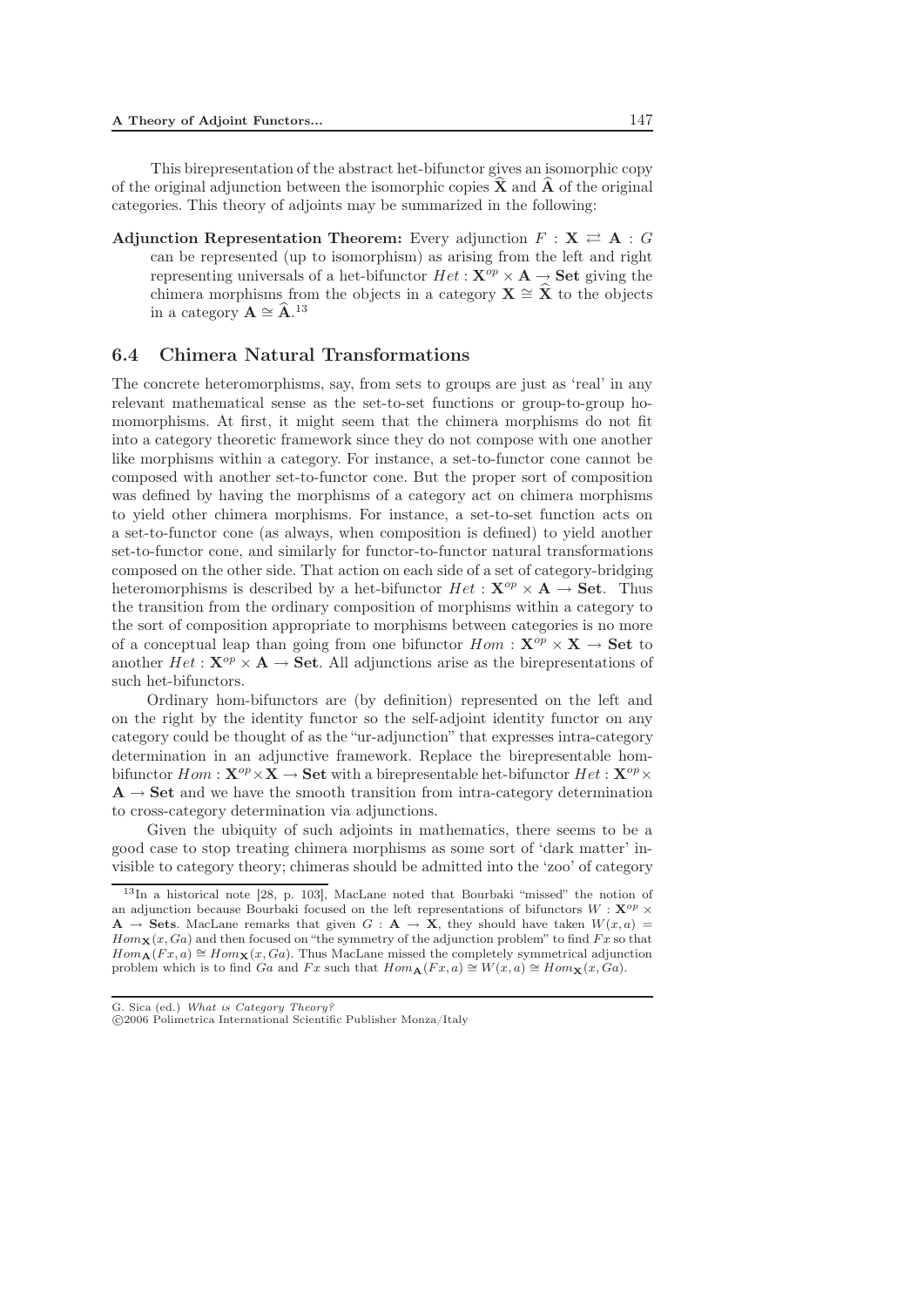This birepresentation of the abstract het-bifunctor gives an isomorphic copy of the original adjunction between the isomorphic copies  $\hat{\mathbf{X}}$  and  $\hat{\mathbf{A}}$  of the original categories. This theory of adjoints may be summarized in the following:

Adjunction Representation Theorem: Every adjunction  $F: X \rightleftarrows A : G$ can be represented (up to isomorphism) as arising from the left and right representing universals of a het-bifunctor  $Het:\mathbf{X}^{op}\times\mathbf{A}\rightarrow\mathbf{Set}$  giving the chimera morphisms from the objects in a category **X**  $\cong \hat{\mathbf{X}}$  to the objects in a category  $\mathbf{X} \cong \hat{\mathbf{X}}$ in a category  $\mathbf{A} \cong \widehat{\mathbf{A}}$ .<sup>13</sup>

#### 6.4 Chimera Natural Transformations

The concrete heteromorphisms, say, from sets to groups are just as 'real' in any relevant mathematical sense as the set-to-set functions or group-to-group homomorphisms. At first, it might seem that the chimera morphisms do not fit into a category theoretic framework since they do not compose with one another like morphisms within a category. For instance, a set-to-functor cone cannot be composed with another set-to-functor cone. But the proper sort of composition was defined by having the morphisms of a category act on chimera morphisms to yield other chimera morphisms. For instance, a set-to-set function acts on a set-to-functor cone (as always, when composition is defined) to yield another set-to-functor cone, and similarly for functor-to-functor natural transformations composed on the other side. That action on each side of a set of category-bridging heteromorphisms is described by a het-bifunctor  $Het:\mathbf{X}^{op}\times\mathbf{A}\rightarrow\mathbf{Set}$ . Thus the transition from the ordinary composition of morphisms within a category to the sort of composition appropriate to morphisms between categories is no more of a conceptual leap than going from one bifunctor  $Hom : \mathbf{X}^{op} \times \mathbf{X} \to \mathbf{Set}$  to another  $Het:\mathbf{X}^{op}\times\mathbf{A}\rightarrow\mathbf{Set}$ . All adjunctions arise as the birepresentations of such het-bifunctors.

Ordinary hom-bifunctors are (by definition) represented on the left and on the right by the identity functor so the self-adjoint identity functor on any category could be thought of as the "ur-adjunction" that expresses intra-category determination in an adjunctive framework. Replace the birepresentable hombifunctor  $Hom: \mathbf{X}^{op} \times \mathbf{X} \to \mathbf{Set}$  with a birepresentable het-bifunctor  $Het: \mathbf{X}^{op} \times$  $\bf{A}$   $\rightarrow$  **Set** and we have the smooth transition from intra-category determination to cross-category determination via adjunctions.

Given the ubiquity of such adjoints in mathematics, there seems to be a good case to stop treating chimera morphisms as some sort of 'dark matter' invisible to category theory; chimeras should be admitted into the 'zoo' of category

<sup>13</sup>In a historical note [28, p. 103], MacLane noted that Bourbaki "missed" the notion of an adjunction because Bourbaki focused on the left representations of bifunctors  $W : \mathbf{X}^{op} \times$ **A**  $\rightarrow$  **Sets**. MacLane remarks that given *G* : **A**  $\rightarrow$  **X**, they should have taken *W*(*x, a*) =  $Hom_{\mathbf{X}}(x, Ga)$  and then focused on "the symmetry of the adjunction problem" to find  $Fx$  so that  $Hom_{\mathbf{A}}(Fx,a) \cong Hom_{\mathbf{X}}(x,Ga)$ . Thus MacLane missed the completely symmetrical adjunction problem which is to find *Ga* and *Fx* such that  $Hom_{\mathbf{A}}(Fx, a) \cong W(x, a) \cong Hom_{\mathbf{X}}(x, Ga)$ .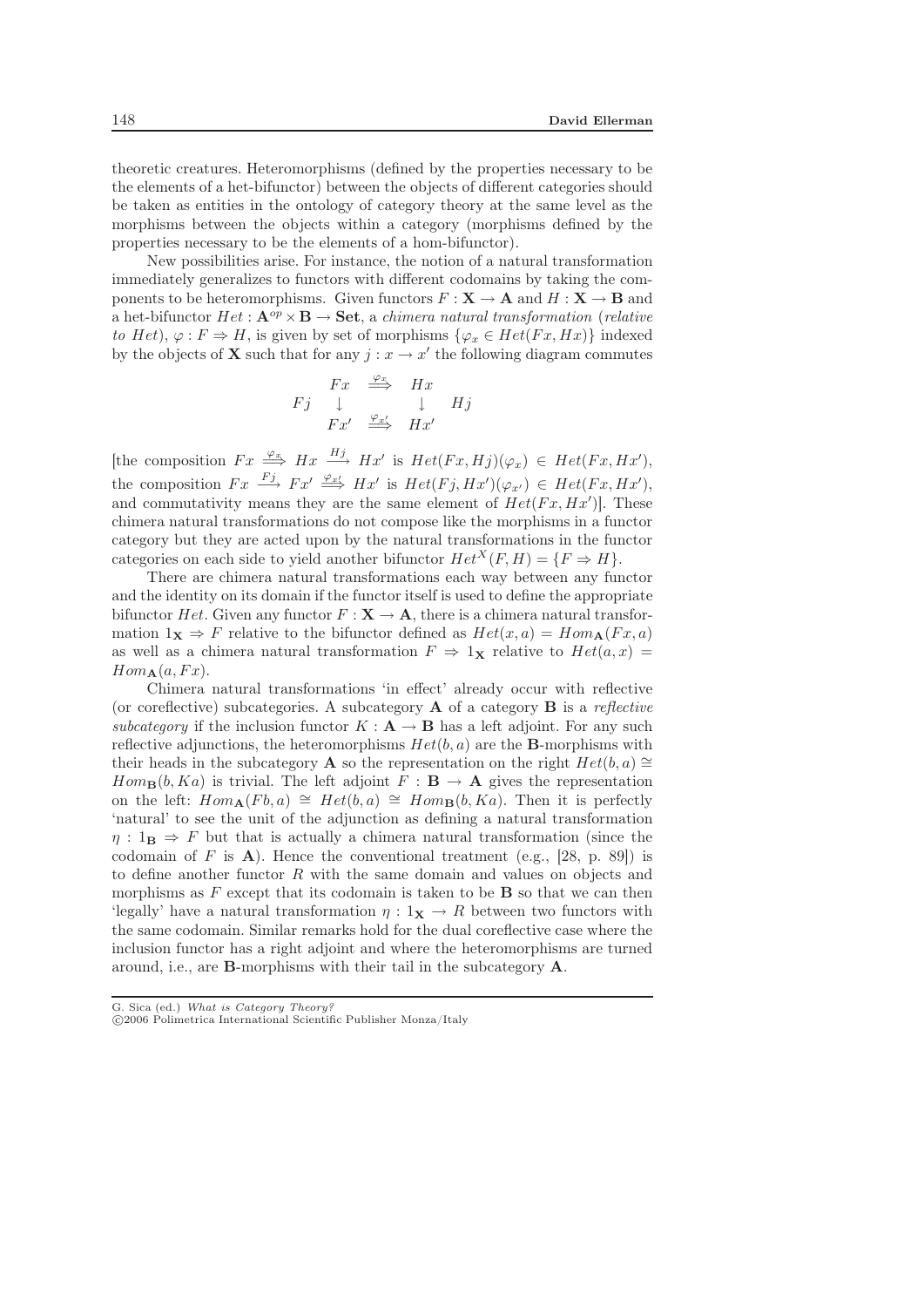theoretic creatures. Heteromorphisms (defined by the properties necessary to be the elements of a het-bifunctor) between the objects of different categories should be taken as entities in the ontology of category theory at the same level as the morphisms between the objects within a category (morphisms defined by the properties necessary to be the elements of a hom-bifunctor).

New possibilities arise. For instance, the notion of a natural transformation immediately generalizes to functors with different codomains by taking the components to be heteromorphisms. Given functors  $F : \mathbf{X} \to \mathbf{A}$  and  $H : \mathbf{X} \to \mathbf{B}$  and a het-bifunctor  $Het:\mathbf{A}^{op}\times\mathbf{B}\rightarrow \mathbf{Set}$ , a *chimera natural transformation* (*relative to* Het),  $\varphi : F \Rightarrow H$ , is given by set of morphisms  $\{\varphi_x \in Het(Fx, Hx)\}\)$  indexed by the objects of **X** such that for any  $i: x \to x'$  the following diagram commutes

$$
\begin{array}{ccc}\n & Fx & \xrightarrow{\varphi_x} & Hx \\
Fj & \downarrow & & \downarrow \\
Fx' & \xrightarrow{\varphi_x} & Hx'\n\end{array}
$$

[the composition  $Fx \stackrel{\varphi_x}{\Longrightarrow} Hx \stackrel{Hj}{\longrightarrow} Hx'$  is  $Het(Fx,Hj)(\varphi_x) \in Het(Fx,Hx'),$ the composition  $Fx \stackrel{Fj}{\longrightarrow} Fx' \stackrel{\varphi_{x'}}{\Longrightarrow} Hx'$  is  $Het(Fj,Hx')(\varphi_{x'}) \in Het(Fx,Hx'),$ and commutativity means they are the same element of  $Het(Fx,Hx^{\prime})]$ . These chimera natural transformations do not compose like the morphisms in a functor category but they are acted upon by the natural transformations in the functor categories on each side to yield another bifunctor  $Het^{X}(F,H)=\{F \Rightarrow H\}.$ 

There are chimera natural transformations each way between any functor and the identity on its domain if the functor itself is used to define the appropriate bifunctor Het. Given any functor  $F: \mathbf{X} \to \mathbf{A}$ , there is a chimera natural transformation  $1\mathbf{x} \Rightarrow F$  relative to the bifunctor defined as  $Het(x,a)=Hom_{\mathbf{A}}(Fx,a)$ as well as a chimera natural transformation  $F \Rightarrow 1_X$  relative to  $Het(a, x)$  $Hom_{\mathbf{A}}(a, Fx)$ .

Chimera natural transformations 'in effect' already occur with reflective (or coreflective) subcategories. A subcategory **A** of a category **B** is a *reflective subcategory* if the inclusion functor  $K : \mathbf{A} \to \mathbf{B}$  has a left adjoint. For any such reflective adjunctions, the heteromorphisms  $Het(b,a)$  are the **B**-morphisms with their heads in the subcategory **A** so the representation on the right  $Het(b,a)\cong$  $Hom_{\mathbf{B}}(b, Ka)$  is trivial. The left adjoint  $F : \mathbf{B} \to \mathbf{A}$  gives the representation on the left:  $Hom_{\mathbf{A}}(Fb, a) \cong Het(b, a) \cong Hom_{\mathbf{B}}(b, Ka)$ . Then it is perfectly 'natural' to see the unit of the adjunction as defining a natural transformation  $\eta$ :  $1_\mathbf{B} \Rightarrow F$  but that is actually a chimera natural transformation (since the codomain of  $F$  is  $\mathbf{A}$ ). Hence the conventional treatment (e.g., [28, p. 89]) is to define another functor  $R$  with the same domain and values on objects and morphisms as  $F$  except that its codomain is taken to be  $\bf{B}$  so that we can then 'legally' have a natural transformation  $\eta: \mathbb{1}_{\mathbf{X}} \to \mathbb{R}$  between two functors with the same codomain. Similar remarks hold for the dual coreflective case where the inclusion functor has a right adjoint and where the heteromorphisms are turned around, i.e., are **B**-morphisms with their tail in the subcategory **A**.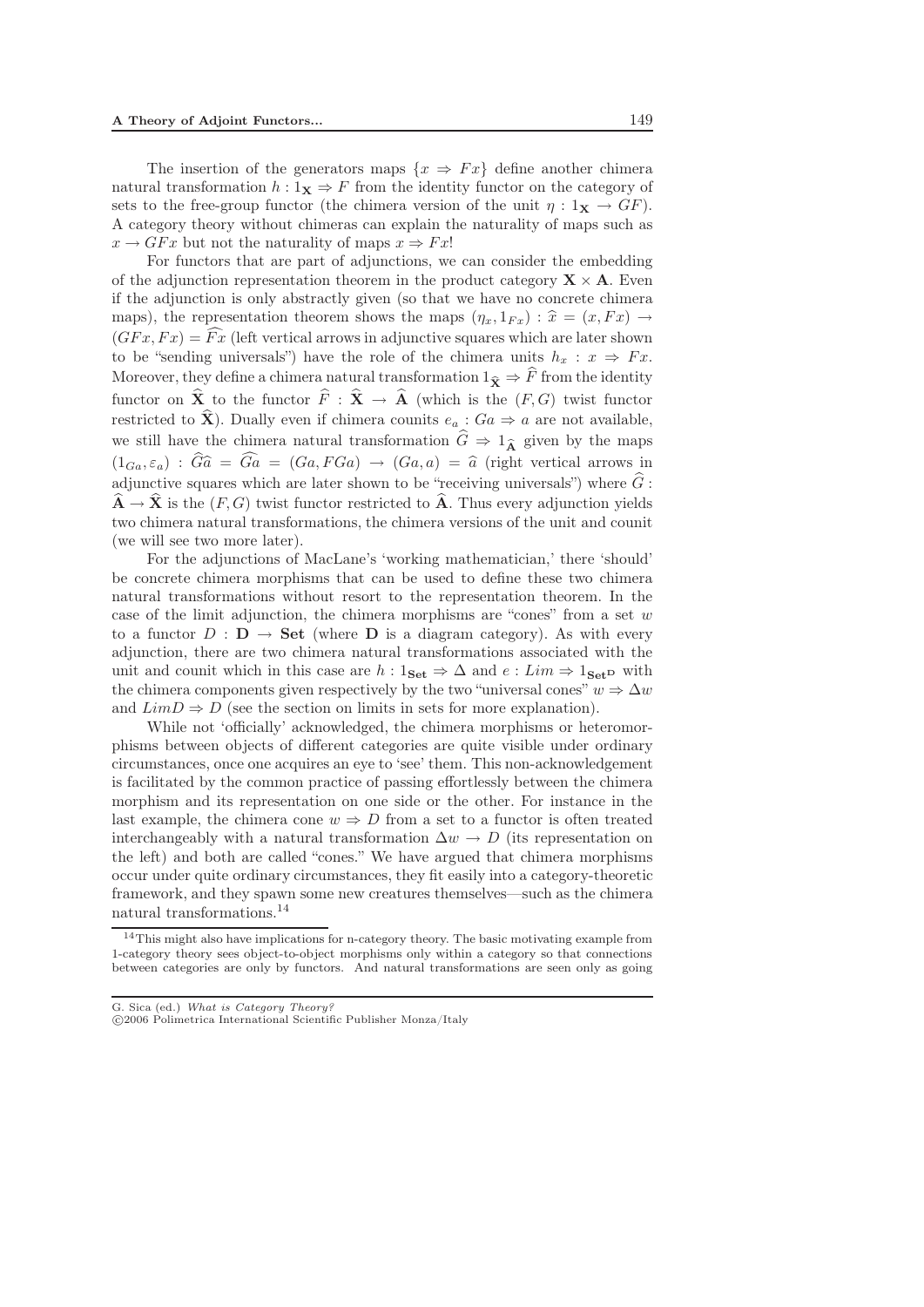The insertion of the generators maps  $\{x \Rightarrow Fx\}$  define another chimera natural transformation  $h: 1_X \Rightarrow F$  from the identity functor on the category of sets to the free-group functor (the chimera version of the unit  $\eta: 1_X \to GF$ ). A category theory without chimeras can explain the naturality of maps such as  $x \to GFx$  but not the naturality of maps  $x \Rightarrow Fx!$ 

For functors that are part of adjunctions, we can consider the embedding of the adjunction representation theorem in the product category  $\mathbf{X} \times \mathbf{A}$ . Even if the adjunction is only abstractly given (so that we have no concrete chimera maps), the representation theorem shows the maps  $(\eta_x, 1_{Fx}) : \hat{x} = (x, Fx) \rightarrow$ <br>  $(CEx, Fa) = \hat{Ex}$  (left vertical expanse) is edivertive several which are later shown  $(GFx, Fx) = Fx$  (left vertical arrows in adjunctive squares which are later shown to be "sending universals") have the role of the chimera units  $h_x : x \Rightarrow Fx$ . to be "sending universals") have the role of the chimera units  $h_x : x \Rightarrow Fx$ .<br>Moreover, they define a chimera natural transformation  $1_{\widehat{\mathbf{X}}} \Rightarrow \widehat{F}$  from the identity functor on  $\hat{\mathbf{X}}$  to the functor  $\hat{F}: \hat{\mathbf{X}} \to \hat{\mathbf{A}}$  (which is the  $(F, G)$ ) twist functor restricted to  $\hat{\mathbf{X}}$ ). Dually even if chimera counits  $e_a : Ga \Rightarrow a$  are not available, we still have the chimera natural transformation  $\hat{G} \Rightarrow 1_{\hat{\mathbf{A}}}$  given by the maps we still have the chimera natural transformation  $\hat{G} \Rightarrow 1_{\hat{\mathbf{\Lambda}}}$  given by the maps  $(1_{Ga}, \varepsilon_a) : \hat{G} \hat{a} = \hat{G} a = (Ga, FGa) \rightarrow (Ga, a) = \hat{a}$  (right vertical arrows in adjunctive courses which are later shown to be "receiving universele") where  $\hat{G}$ . adjunctive squares which are later shown to be "receiving universals") where  $\hat{G}$ :  $\hat{\mathbf{A}} \to \hat{\mathbf{X}}$  is the  $(F, G)$  twist functor restricted to  $\hat{\mathbf{A}}$ . Thus every adjunction yields two chimera natural transformations, the chimera versions of the unit and counit (we will see two more later).

For the adjunctions of MacLane's 'working mathematician,' there 'should' be concrete chimera morphisms that can be used to define these two chimera natural transformations without resort to the representation theorem. In the case of the limit adjunction, the chimera morphisms are "cones" from a set  $w$ to a functor  $D : D \to Set$  (where **D** is a diagram category). As with every adjunction, there are two chimera natural transformations associated with the unit and counit which in this case are  $h : 1_{\mathbf{Set}} \Rightarrow \Delta$  and  $e : Lim \Rightarrow 1_{\mathbf{Set}}$ **D** with the chimera components given respectively by the two "universal cones"  $w \Rightarrow \Delta w$ and  $LimD \Rightarrow D$  (see the section on limits in sets for more explanation).

While not 'officially' acknowledged, the chimera morphisms or heteromorphisms between objects of different categories are quite visible under ordinary circumstances, once one acquires an eye to 'see' them. This non-acknowledgement is facilitated by the common practice of passing effortlessly between the chimera morphism and its representation on one side or the other. For instance in the last example, the chimera cone  $w \Rightarrow D$  from a set to a functor is often treated interchangeably with a natural transformation  $\Delta w \rightarrow D$  (its representation on the left) and both are called "cones." We have argued that chimera morphisms occur under quite ordinary circumstances, they fit easily into a category-theoretic framework, and they spawn some new creatures themselves—such as the chimera natural transformations.<sup>14</sup>

<sup>&</sup>lt;sup>14</sup>This might also have implications for n-category theory. The basic motivating example from 1-category theory sees object-to-object morphisms only within a category so that connections between categories are only by functors. And natural transformations are seen only as going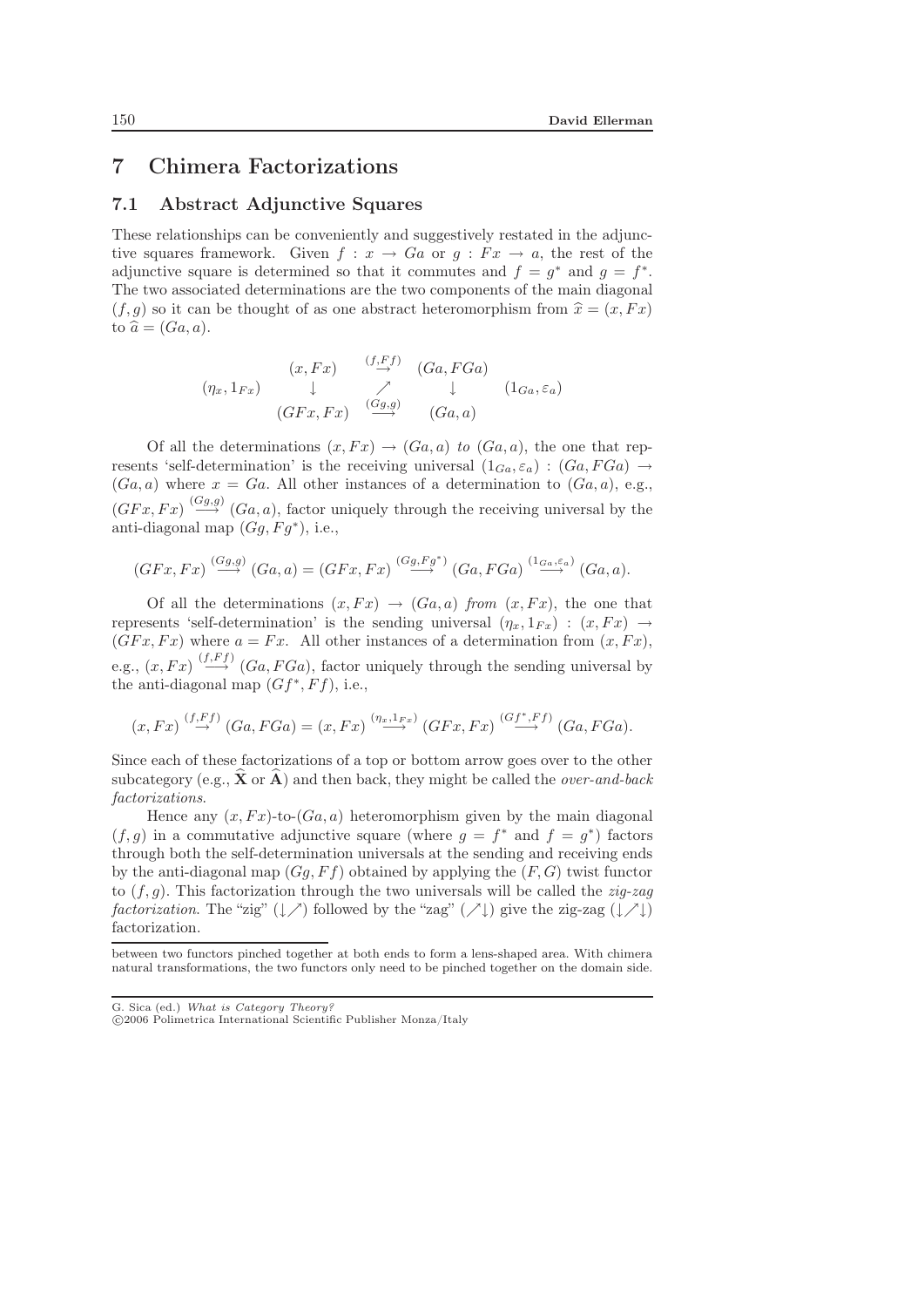## 7 Chimera Factorizations

#### 7.1 Abstract Adjunctive Squares

These relationships can be conveniently and suggestively restated in the adjunctive squares framework. Given  $f: x \to Ga$  or  $q: Fx \to a$ , the rest of the adjunctive square is determined so that it commutes and  $f = g^*$  and  $g = f^*$ . The two associated determinations are the two components of the main diagonal  $(f, g)$  so it can be thought of as one abstract heteromorphism from  $\hat{x} = (x, Fx)$ <br>to  $\hat{g} - (Ga, g)$ to  $\widehat{a} = (Ga, a)$ .

$$
(\eta_x, 1_{Fx}) \quad \downarrow \quad \nearrow \quad (Ga, FGa)
$$
\n
$$
(\eta_x, 1_{Fx}) \quad \downarrow \quad \nearrow \quad \downarrow \quad (1_{Ga}, \varepsilon_a)
$$
\n
$$
(GFx, Fx) \quad \xrightarrow{(Gg,g)} \quad (Ga, a)
$$

Of all the determinations  $(x, Fx) \rightarrow (Ga, a)$  to  $(Ga, a)$ , the one that represents 'self-determination' is the receiving universal  $(1_{Ga}, \varepsilon_a): (Ga, FGa) \rightarrow$  $(Ga, a)$  where  $x = Ga$ . All other instances of a determination to  $(Ga, a)$ , e.g.,  $(GFx, Fx) \stackrel{(Gg,g)}{\longrightarrow} (Ga, a)$ , factor uniquely through the receiving universal by the anti-diagonal map  $(Gq, Fq^*)$ , i.e.,

$$
(GFx, Fx) \stackrel{(Gg,g)}{\longrightarrow} (Ga, a) = (GFx, Fx) \stackrel{(Gg, Fg^*)}{\longrightarrow} (Ga, FGa) \stackrel{(1_{Ga, \varepsilon_a})}{\longrightarrow} (Ga, a).
$$

Of all the determinations  $(x, Fx) \rightarrow (Ga, a)$  *from*  $(x, Fx)$ , the one that represents 'self-determination' is the sending universal  $(\eta_x, 1_{Fx}) : (x, Fx) \rightarrow$  $(GFx, Fx)$  where  $a = Fx$ . All other instances of a determination from  $(x, Fx)$ , e.g.,  $(x, Fx) \stackrel{(f, Ff)}{\longrightarrow} (Ga, FGa)$ , factor uniquely through the sending universal by the anti-diagonal map  $(Gf^*,Ff)$ , i.e.,

$$
(x, Fx) \stackrel{(f,Ff)}{\rightarrow} (Ga, FGa) = (x, Fx) \stackrel{(\eta_x, 1_{Fx})}{\rightarrow} (GFx, Fx) \stackrel{(Gf^*, Ff)}{\rightarrow} (Ga, FGa).
$$

Since each of these factorizations of a top or bottom arrow goes over to the other subcategory (e.g.,  $\hat{\mathbf{X}}$  or  $\hat{\mathbf{A}}$ ) and then back, they might be called the *over-and-back factorizations*.

Hence any  $(x, Fx)$ -to- $(Ga, a)$  heteromorphism given by the main diagonal  $(f, q)$  in a commutative adjunctive square (where  $q = f^*$  and  $f = q^*$ ) factors through both the self-determination universals at the sending and receiving ends by the anti-diagonal map  $(Gg, Ff)$  obtained by applying the  $(F, G)$  twist functor to (f,g). This factorization through the two universals will be called the *zig-zag factorization*. The "zig"  $(\downarrow \nearrow)$  followed by the "zag"  $(\nearrow \downarrow)$  give the zig-zag  $(\downarrow \nearrow \downarrow)$ factorization.

between two functors pinched together at both ends to form a lens-shaped area. With chimera natural transformations, the two functors only need to be pinched together on the domain side.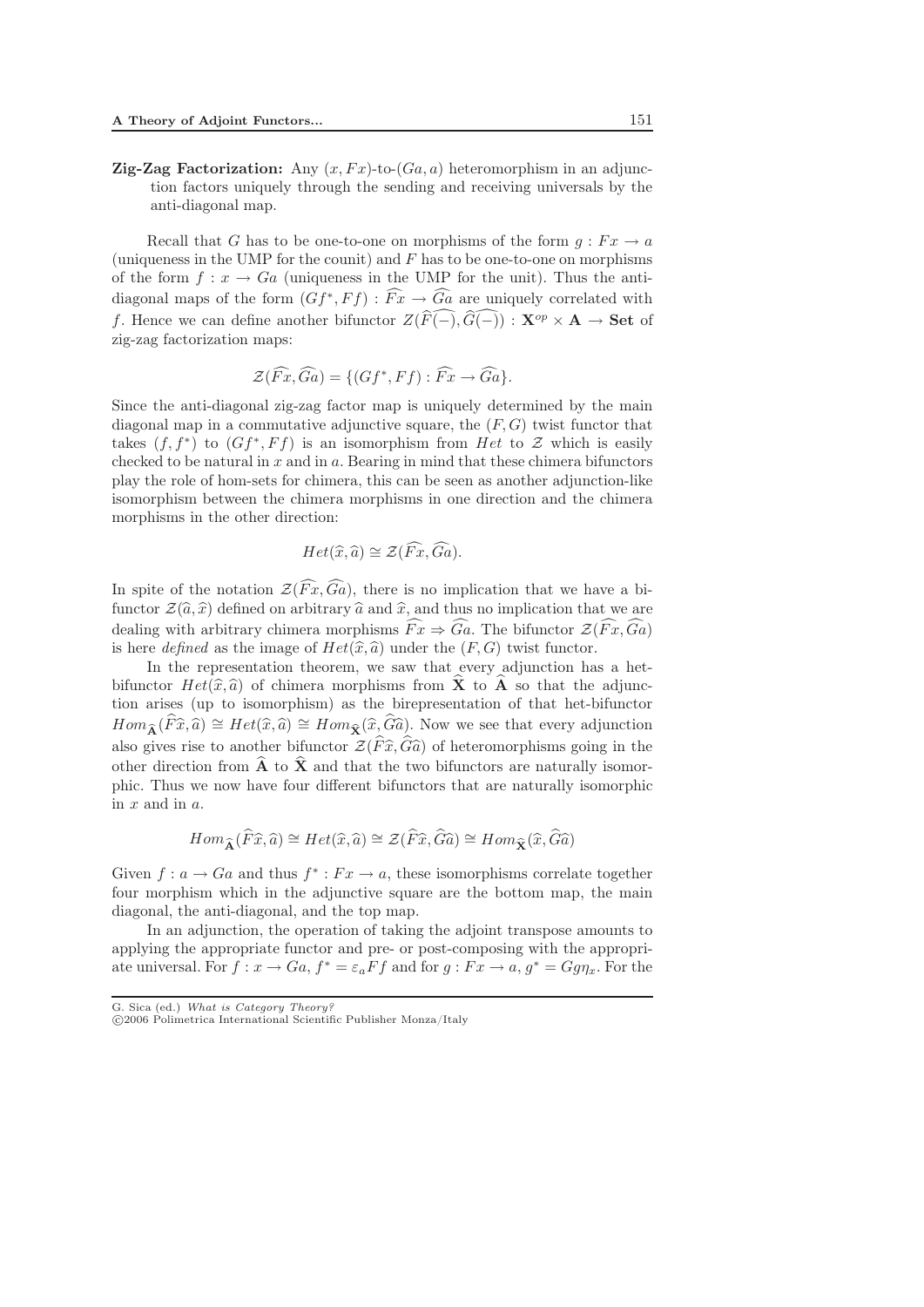**Zig-Zag Factorization:** Any  $(x, Fx)$ -to- $(Ga, a)$  heteromorphism in an adjunction factors uniquely through the sending and receiving universals by the anti-diagonal map.

Recall that G has to be one-to-one on morphisms of the form  $q : F x \to a$ (uniqueness in the UMP for the counit) and  $F$  has to be one-to-one on morphisms of the form  $f: x \to Ga$  (uniqueness in the UMP for the unit). Thus the antidiagonal maps of the form  $(Gf^*,Ff): \widehat{Fx} \to \widehat{Ga}$  are uniquely correlated with f. Hence we can define another bifunctor  $Z(\widehat{F}(-), \widehat{G}(-)) : \mathbf{X}^{op} \times \mathbf{A} \to \mathbf{Set}$  of zig-zag factorization maps:

$$
\mathcal{Z}(\widehat{Fx},\widehat{Ga}) = \{ (Gf^*,Ff) : \widehat{Fx} \rightarrow \widehat{Ga} \}.
$$

Since the anti-diagonal zig-zag factor map is uniquely determined by the main diagonal map in a commutative adjunctive square, the  $(F, G)$  twist functor that takes  $(f, f^*)$  to  $(Gf^*, Ff)$  is an isomorphism from Het to Z which is easily checked to be natural in  $x$  and in  $a$ . Bearing in mind that these chimera bifunctors play the role of hom-sets for chimera, this can be seen as another adjunction-like isomorphism between the chimera morphisms in one direction and the chimera morphisms in the other direction:

$$
Het(\widehat{x},\widehat{a})\cong\mathcal{Z}(\widehat{Fx},\widehat{Ga}).
$$

In spite of the notation  $\mathcal{Z}(\widehat{Fx},\widehat{Ga})$ , there is no implication that we have a bifunctor  $\mathcal{Z}(\hat{a}, \hat{x})$  defined on arbitrary  $\hat{a}$  and  $\hat{x}$ , and thus no implication that we are<br>dealing with orbitrary objections morphisms  $\widehat{F}_{\hat{x}}$ .  $\widehat{G}_{\hat{x}}$ . The highestar  $\mathcal{Z}(\widehat{F}_{\hat{x}}, \widehat{G}_{\hat{x}})$ dealing with arbitrary chimera morphisms  $\widehat{Fx} \Rightarrow \widehat{Ga}$ . The bifunctor  $\mathcal{Z}(\widehat{Fx},\widehat{Ga})$ is here *defined* as the image of  $Het(\hat{x},\hat{a})$  under the  $(F,G)$  twist functor.<br>In the representation theorem, we saw that every adjunction has

In the representation theorem, we saw that every adjunction has a hetbifunctor  $Het(\hat{x},\hat{a})$  of chimera morphisms from  $\hat{\mathbf{X}}$  to  $\hat{\mathbf{A}}$  so that the adjunc-<br>tion grises (up to isomorphism) as the biran resentation of that het-hifunctor -tion arises (up to isomorphism) as the birepresentation of that het-bifunctor Homographical morphisms from 11 ° c 11 ° c dia and diagonal<br>tion arises (up to isomorphism) as the birepresentation of that het-bifunctor<br> $Hom_{\mathbf{\hat{A}}}(\widehat{F}\widehat{x},\widehat{a}) \cong Het(\widehat{x},\widehat{a}) \cong Hom_{\mathbf{\hat{X}}}(\widehat{x},\widehat{G}\widehat{a})$ . Now we s also gives rise to another bifunctor  $\mathcal{Z}(\widehat{F}\widehat{x}, \widehat{G}\widehat{a})$  of heteromorphisms going in the other direction from  $\widehat{A}$  to  $\widehat{X}$  and that the two bifunctors are naturally isomer other direction from  $\hat{\mathbf{A}}$  to  $\hat{\mathbf{X}}$  and that the two bifunctors are naturally isomorphic. Thus we now have four different bifunctors that are naturally isomorphic in  $x$  and in  $a$ .

$$
Hom_{\widehat{\mathbf{A}}}(\widehat{F}\widehat{x},\widehat{a}) \cong Het(\widehat{x},\widehat{a}) \cong \mathcal{Z}(\widehat{F}\widehat{x},\widehat{G}\widehat{a}) \cong Hom_{\widehat{\mathbf{X}}}(\widehat{x},\widehat{G}\widehat{a})
$$

Given  $f: a \to Ga$  and thus  $f^*: Fx \to a$ , these isomorphisms correlate together four morphism which in the adjunctive square are the bottom map, the main diagonal, the anti-diagonal, and the top map.

In an adjunction, the operation of taking the adjoint transpose amounts to applying the appropriate functor and pre- or post-composing with the appropriate universal. For  $f: x \to Ga, f^* = \varepsilon_a Ff$  and for  $g: Fx \to a, g^* = Gg\eta_x$ . For the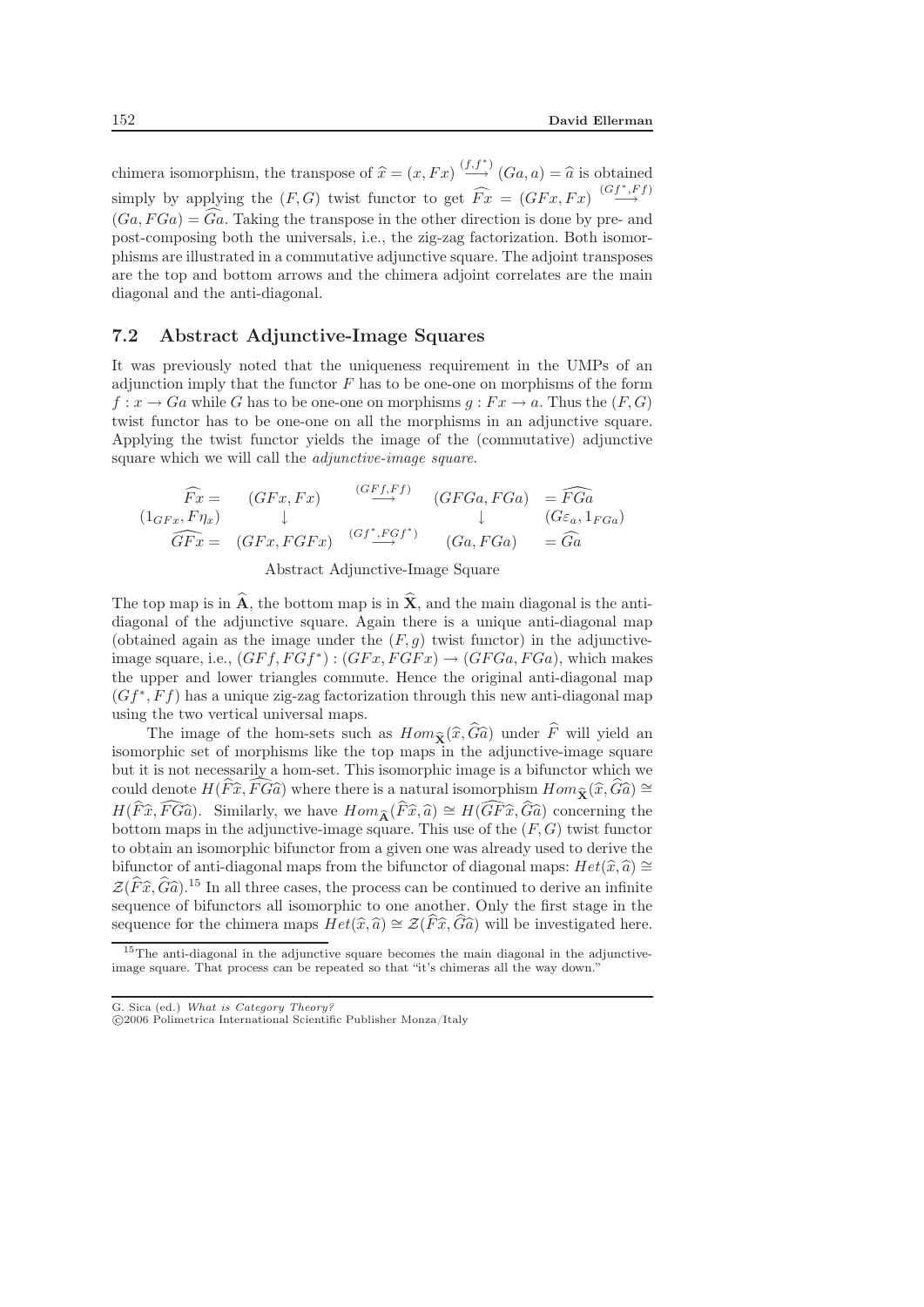chimera isomorphism, the transpose of  $\hat{x} = (x, Fx) \stackrel{(f, f^*)}{\longrightarrow} (Ga, a) = \hat{a}$  is obtained simply by applying the  $(F, G)$  twist functor to get  $\widehat{Fx} = (GFx, Fx) \stackrel{(Gf^*, Ff)}{\longrightarrow}$  $(Ga, FGa) = \widehat{Ga}$ . Taking the transpose in the other direction is done by pre- and post-composing both the universals, i.e., the zig-zag factorization. Both isomorphisms are illustrated in a commutative adjunctive square. The adjoint transposes are the top and bottom arrows and the chimera adjoint correlates are the main diagonal and the anti-diagonal.

#### 7.2 Abstract Adjunctive-Image Squares

It was previously noted that the uniqueness requirement in the UMPs of an adjunction imply that the functor  $F$  has to be one-one on morphisms of the form  $f: x \to Ga$  while G has to be one-one on morphisms  $g: Fx \to a$ . Thus the  $(F, G)$ twist functor has to be one-one on all the morphisms in an adjunctive square. Applying the twist functor yields the image of the (commutative) adjunctive square which we will call the *adjunctive-image square*.

$$
\begin{array}{ccc}\n\widehat{Fx} = & (GFx, Fx) & \xrightarrow{(GFf, Ff)} & (GFGa, FGa) = \widehat{FGa} \\
(1_{GFx}, F\eta_x) & \downarrow & \downarrow & (G\varepsilon_a, 1_{FGa}) \\
\widehat{GFx} = & (GFx, FGFx) & \xrightarrow{(Gf^*, FGf^*)} & (Ga, FGa) = \widehat{Ga}\n\end{array}
$$

Abstract Adjunctive-Image Square

The top map is in  $\hat{\mathbf{A}}$ , the bottom map is in  $\hat{\mathbf{X}}$ , and the main diagonal is the antidiagonal of the adjunctive square. Again there is a unique anti-diagonal map (obtained again as the image under the  $(F, g)$  twist functor) in the adjunctiveimage square, i.e.,  $(GFf, FGF^*)$ :  $(GFx, FGFx) \rightarrow (GFGa, FGa)$ , which makes the upper and lower triangles commute. Hence the original anti-diagonal map  $(Gf^*,Ff)$  has a unique zig-zag factorization through this new anti-diagonal map using the two vertical universal maps.

The image of the hom-sets such as  $Hom_{\mathbf{\hat{X}}}(\hat{x}, \hat{G}\hat{a})$  under  $\hat{F}$  will yield an approximate image of the hom-sets such as  $Hom_{\mathbf{\hat{X}}}(\hat{x}, \hat{G}\hat{a})$  under  $\hat{F}$  will yield an approximate set of morphisms like the isomorphic set of morphisms like the top maps in the adjunctive-image square but it is not necessarily a hom-set. This isomorphic image is a bifunctor which we could denote  $H(\widehat{F}\widehat{x}, \widehat{FG}\widehat{a})$  where there is a natural isomorphism  $Hom_{\widehat{\mathbf{X}}}(\widehat{x}, \widehat{G}\widehat{a}) \cong$ <br>  $H(\widehat{F}\widehat{x}, \widehat{FG}\widehat{a})$  where there is a natural isomorphism  $Hom_{\widehat{\mathbf{X}}}(\widehat{x}, \widehat{G}\widehat{a}) \cong$ could denote  $H(\widehat{F}\widehat{x}, \widehat{FG}\widehat{a})$  where there is a natural isomorphism  $Hom_{\widehat{\mathbf{X}}}(\widehat{x}, \widehat{G}\widehat{a}) \cong$ <br>  $H(\widehat{F}\widehat{x}, \widehat{FG}\widehat{a})$ . Similarly, we have  $Hom_{\widehat{\mathbf{A}}}(\widehat{F}\widehat{x}, \widehat{a}) \cong H(\widehat{GF}\widehat{x}, \widehat{G}\widehat{a})$  concerning t bottom maps in the adjunctive-image square. This use of the  $(F, G)$  twist functor to obtain an isomorphic bifunctor from a given one was already used to derive the bifunctor of anti-diagonal maps from the bifunctor of diagonal maps:  $Het(\widehat{x},\widehat{a})\cong$ <br> $\mathcal{I}(\widehat{x},\widehat{c})\cong$   $\mathcal{I}(\widehat{x},\widehat{c})\cong$  In all three seconds the precess see he continued to derive an infinite  $\mathcal{Z}(\widehat{F}\widehat{x},\widehat{G}\widehat{a})$ .<sup>15</sup> In all three cases, the process can be continued to derive an infinite<br>sequence of bifunctors all isomorphic to one another. Only the first stage in the sequence of bifunctors all isomorphic to one another. Only the first stage in the sequence for the chimera maps  $Het(\widehat{x},\widehat{a})\cong\mathcal{Z}(\widehat{F}\widehat{x},\widehat{G}\widehat{a})$  will be investigated here.

<sup>&</sup>lt;sup>15</sup>The anti-diagonal in the adjunctive square becomes the main diagonal in the adjunctiveimage square. That process can be repeated so that "it's chimeras all the way down."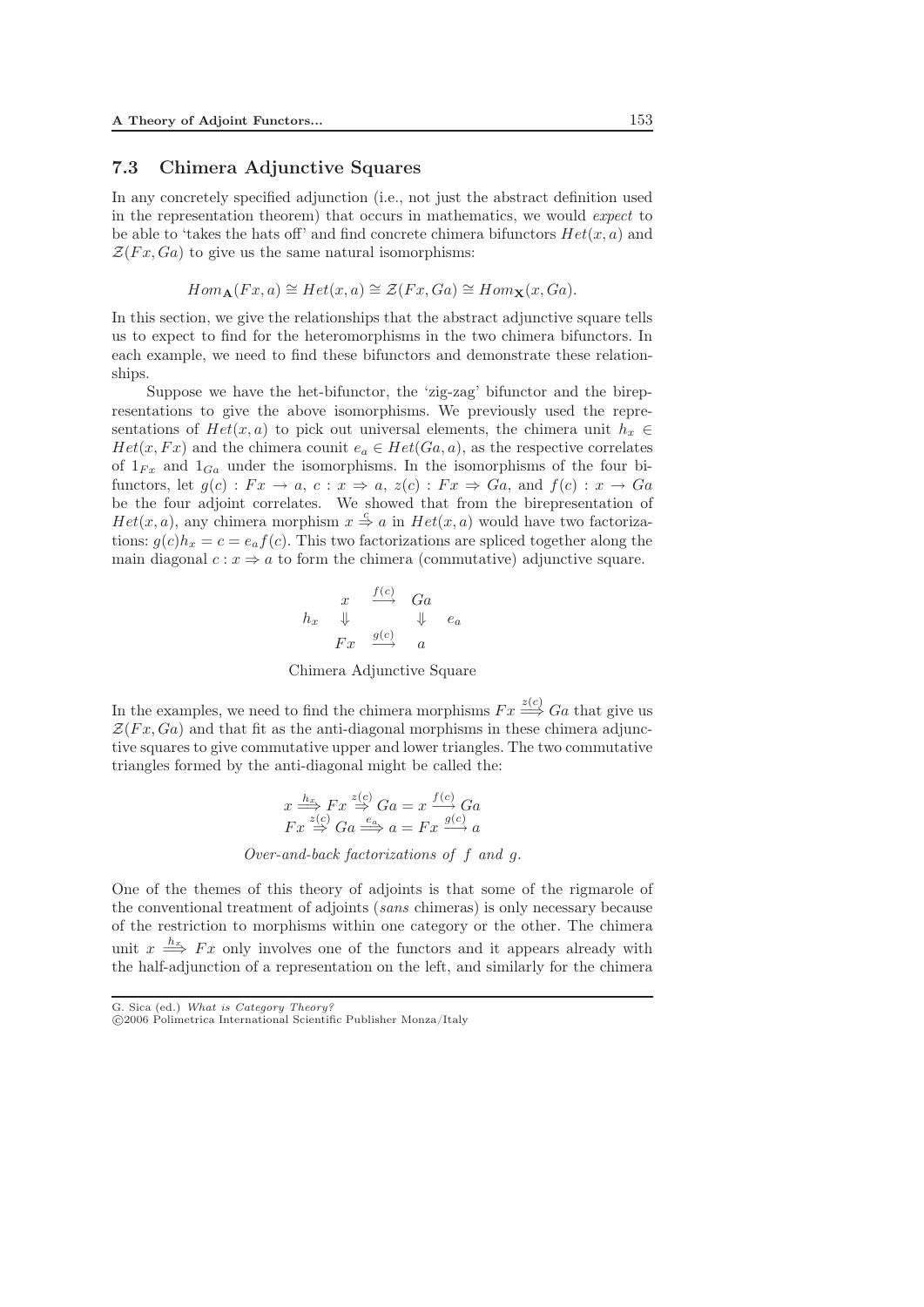#### 7.3 Chimera Adjunctive Squares

In any concretely specified adjunction (i.e., not just the abstract definition used in the representation theorem) that occurs in mathematics, we would *expect* to be able to 'takes the hats off' and find concrete chimera bifunctors  $Het(x,a)$  and  $\mathcal{Z}(Fx,Ga)$  to give us the same natural isomorphisms:

$$
Hom_{\mathbf{A}}(Fx,a) \cong Het(x,a) \cong \mathcal{Z}(Fx,Ga) \cong Hom_{\mathbf{X}}(x,Ga).
$$

In this section, we give the relationships that the abstract adjunctive square tells us to expect to find for the heteromorphisms in the two chimera bifunctors. In each example, we need to find these bifunctors and demonstrate these relationships.

Suppose we have the het-bifunctor, the 'zig-zag' bifunctor and the birepresentations to give the above isomorphisms. We previously used the representations of  $Het(x,a)$  to pick out universal elements, the chimera unit  $h_x \in$  $Het(x,Fx)$  and the chimera counit  $e_a\in Het(Ga,a)$ , as the respective correlates of  $1_{Fx}$  and  $1_{Ga}$  under the isomorphisms. In the isomorphisms of the four bifunctors, let  $g(c) : Fx \to a, c : x \Rightarrow a, z(c) : Fx \Rightarrow Ga$ , and  $f(c) : x \to Ga$ be the four adjoint correlates. We showed that from the birepresentation of  $Het(x,a)$ , any chimera morphism  $x\stackrel{c}{\Rightarrow}a$  in  $Het(x,a)$  would have two factorizations:  $q(c)h_x = c = e_a f(c)$ . This two factorizations are spliced together along the main diagonal  $c : x \Rightarrow a$  to form the chimera (commutative) adjunctive square.

$$
h_x \quad \Downarrow \quad \frac{f(c)}{\Downarrow} \quad \begin{array}{ccc} Ga \\ \downarrow & \downarrow & e_a \\ Fx & \xrightarrow{g(c)} & a \end{array}
$$

Chimera Adjunctive Square

In the examples, we need to find the chimera morphisms  $Fx \stackrel{z(c)}{\Longrightarrow} Ga$  that give us  $\mathcal{Z}(Fx,Ga)$  and that fit as the anti-diagonal morphisms in these chimera adjunctive squares to give commutative upper and lower triangles. The two commutative triangles formed by the anti-diagonal might be called the:

$$
x \xrightarrow{k_{x}} Fx \xrightarrow{z(c)} Ga = x \xrightarrow{f(c)} Ga
$$
  

$$
Fx \xrightarrow{z(c)} Ga \xrightarrow{ea} a = Fx \xrightarrow{g(c)} a
$$

*Over-and-back factorizations of* f *and* g.

One of the themes of this theory of adjoints is that some of the rigmarole of the conventional treatment of adjoints (*sans* chimeras) is only necessary because of the restriction to morphisms within one category or the other. The chimera unit  $x \stackrel{h_x}{\Longrightarrow} F x$  only involves one of the functors and it appears already with the half-adjunction of a representation on the left, and similarly for the chimera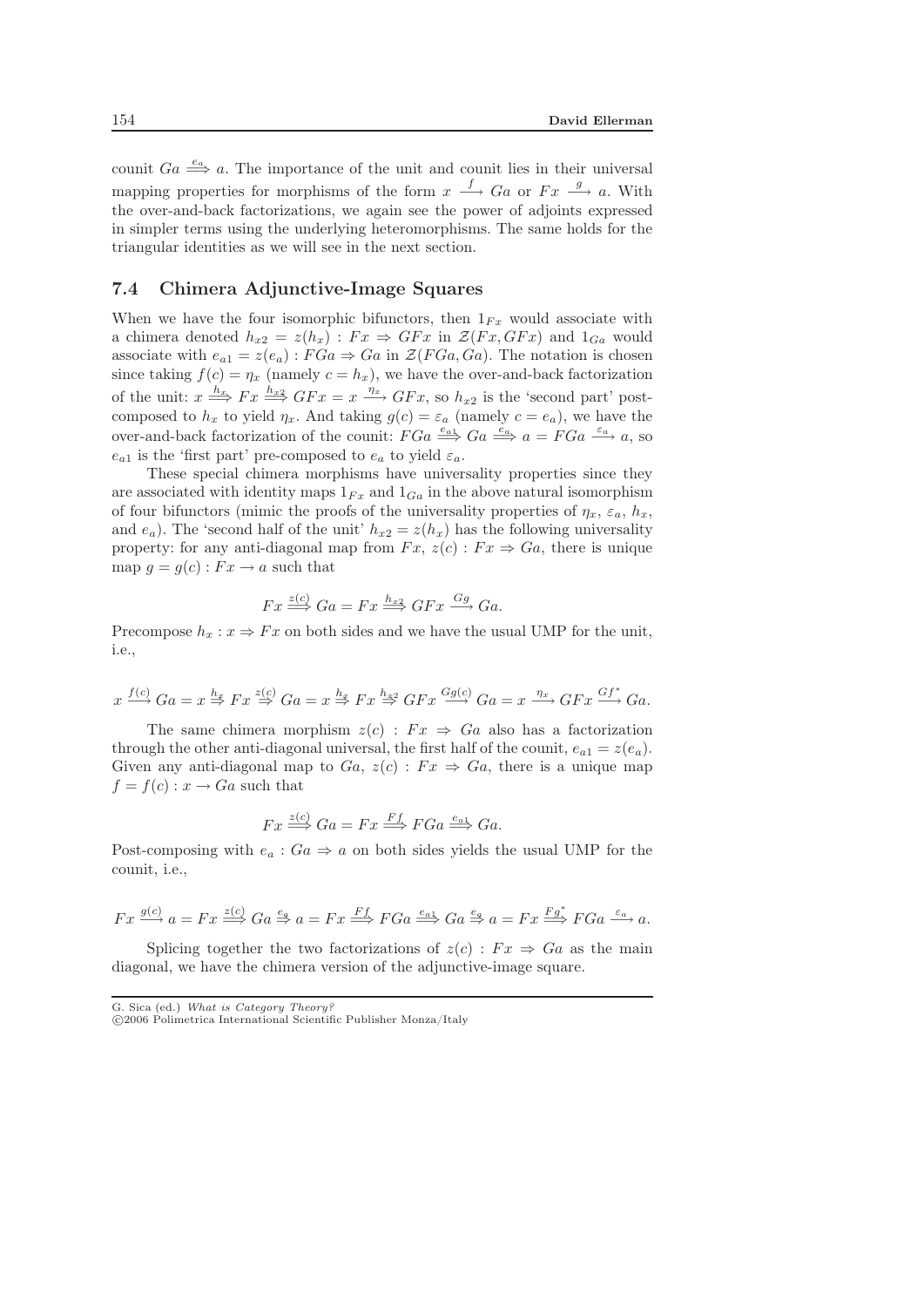counit  $Ga \stackrel{e_a}{\Longrightarrow} a$ . The importance of the unit and counit lies in their universal mapping properties for morphisms of the form  $x \stackrel{f}{\longrightarrow} Ga$  or  $Fx \stackrel{g}{\longrightarrow} a$ . With the over-and-back factorizations, we again see the power of adjoints expressed in simpler terms using the underlying heteromorphisms. The same holds for the triangular identities as we will see in the next section.

#### 7.4 Chimera Adjunctive-Image Squares

When we have the four isomorphic bifunctors, then  $1_{Fx}$  would associate with a chimera denoted  $h_{x2} = z(h_x) : F_x \Rightarrow G F_x$  in  $\mathcal{Z}(F_x, F_x)$  and  $1_{Ga}$  would associate with  $e_{a1} = z(e_a) : FG_a \Rightarrow Ga$  in  $\mathcal{Z}(FG_a, Ga)$ . The notation is chosen since taking  $f(c) = \eta_x$  (namely  $c = h_x$ ), we have the over-and-back factorization of the unit:  $x \stackrel{h_x}{\Longrightarrow} Fx \stackrel{h_{x2}}{\Longrightarrow} GFx = x \stackrel{\eta_x}{\longrightarrow} GFx$ , so  $h_{x2}$  is the 'second part' postcomposed to  $h_x$  to yield  $\eta_x$ . And taking  $g(c) = \varepsilon_a$  (namely  $c = e_a$ ), we have the over-and-back factorization of the counit:  $FGa \stackrel{e_{a_1}}{\Longrightarrow} Ga \stackrel{e_a}{\Longrightarrow} a = FGa \stackrel{e_a}{\Longrightarrow} a$ , so  $e_{a1}$  is the 'first part' pre-composed to  $e_a$  to yield  $\varepsilon_a$ .

These special chimera morphisms have universality properties since they are associated with identity maps  $1_{Fx}$  and  $1_{Ga}$  in the above natural isomorphism of four bifunctors (mimic the proofs of the universality properties of  $\eta_x$ ,  $\varepsilon_a$ ,  $h_x$ , and  $e_a$ ). The 'second half of the unit'  $h_{x2} = z(h_x)$  has the following universality property: for any anti-diagonal map from  $Fx$ ,  $z(c) : Fx \Rightarrow Ga$ , there is unique map  $q = q(c) : Fx \to a$  such that

$$
Fx \stackrel{z(c)}{\Longrightarrow} Ga = Fx \stackrel{h_{x2}}{\Longrightarrow} GFx \stackrel{Gg}{\longrightarrow} Ga.
$$

Precompose  $h_x : x \Rightarrow Fx$  on both sides and we have the usual UMP for the unit, i.e.,

$$
x \xrightarrow{f(c)} Ga = x \xrightarrow{h_x} Fx \xrightarrow{z(c)} Ga = x \xrightarrow{h_x} Fx \xrightarrow{h_{x2}} GFx \xrightarrow{Gg(c)} Ga = x \xrightarrow{\eta_x} GFx \xrightarrow{Gf^*} Ga.
$$

The same chimera morphism  $z(c)$ :  $Fx \Rightarrow Ga$  also has a factorization through the other anti-diagonal universal, the first half of the counit,  $e_{a1} = z(e_a)$ . Given any anti-diagonal map to  $Ga$ ,  $z(c)$ :  $Fx \Rightarrow Ga$ , there is a unique map  $f = f(c) : x \to Ga$  such that

$$
Fx \stackrel{z(c)}{\Longrightarrow} Ga = Fx \stackrel{Ff}{\Longrightarrow} FGa \stackrel{e_{a1}}{\Longrightarrow} Ga.
$$

Post-composing with  $e_a$ :  $Ga \Rightarrow a$  on both sides yields the usual UMP for the counit, i.e.,

$$
Fx \xrightarrow{g(c)} a = Fx \xrightarrow{z(c)} Ga \xrightarrow{e_a} a = Fx \xrightarrow{Ff} FGa \xrightarrow{e_{a1}} Ga \xrightarrow{e_a} a = Fx \xrightarrow{Fg^*} FGa \xrightarrow{e_a} a.
$$

Splicing together the two factorizations of  $z(c)$ :  $Fx \Rightarrow Ga$  as the main diagonal, we have the chimera version of the adjunctive-image square.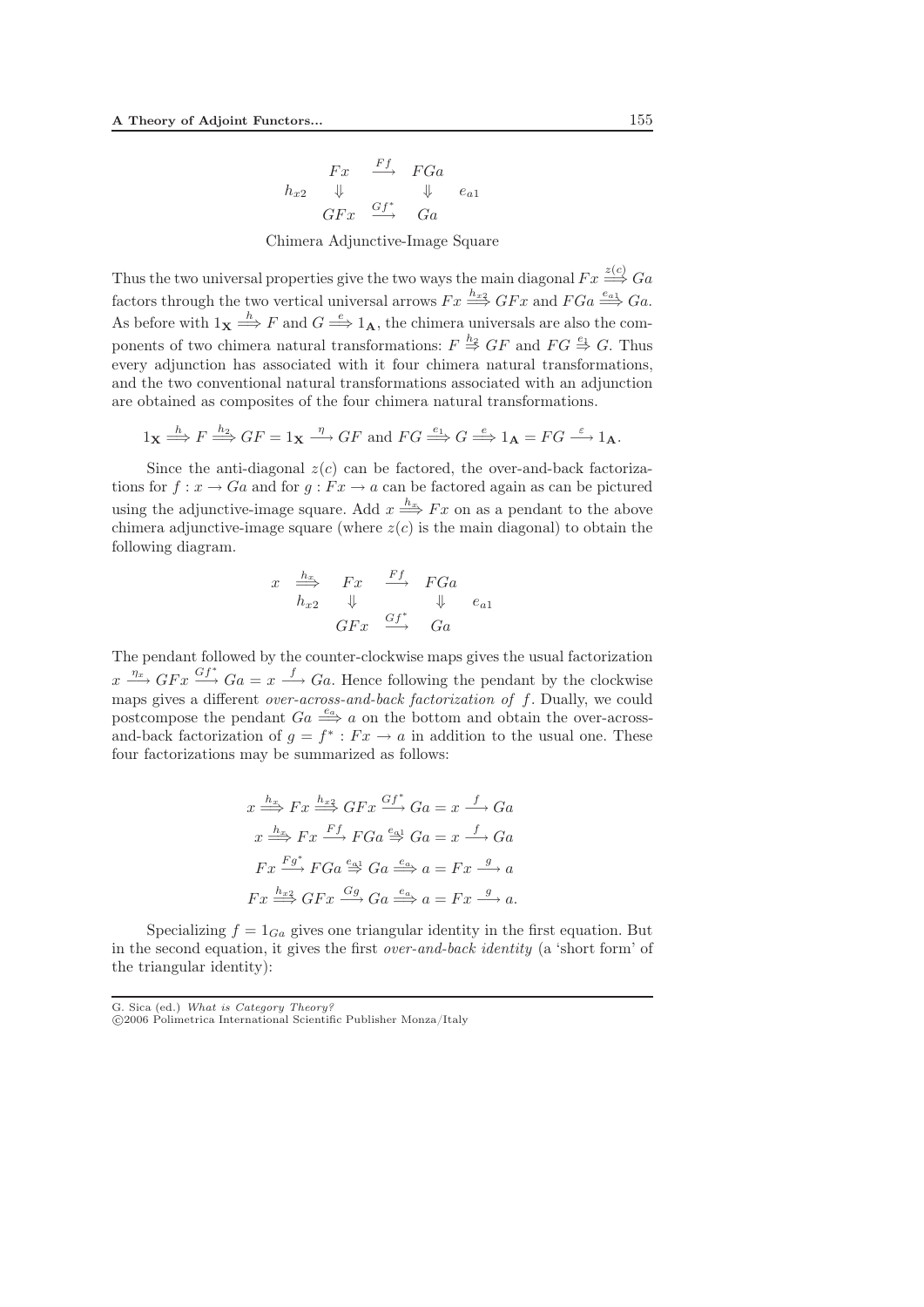$$
\begin{array}{ccc}\n & Fx & \xrightarrow{Ff} & FGa \\
 h_{x2} & \Downarrow & \Downarrow & e_{a1} \\
 & GFx & \xrightarrow{Gf^*} & Ga\n\end{array}
$$

Chimera Adjunctive-Image Square

Thus the two universal properties give the two ways the main diagonal  $Fx \stackrel{z(c)}{\Longrightarrow} Ga$ factors through the two vertical universal arrows  $Fx \stackrel{h_{x2}}{\Longrightarrow} GFx$  and  $FGa \stackrel{e_{a1}}{\Longrightarrow} Ga$ . As before with  $1_X \stackrel{h}{\Longrightarrow} F$  and  $G \stackrel{e}{\Longrightarrow} 1_A$ , the chimera universals are also the components of two chimera natural transformations:  $F \stackrel{h_2}{\Rightarrow} GF$  and  $FG \stackrel{e_1}{\Rightarrow} G$ . Thus every adjunction has associated with it four chimera natural transformations, and the two conventional natural transformations associated with an adjunction are obtained as composites of the four chimera natural transformations.

$$
1_X \xrightarrow{h} F \xrightarrow{h_2} GF = 1_X \xrightarrow{\eta} GF
$$
 and  $FG \xrightarrow{e_1} G \xrightarrow{e} 1_A = FG \xrightarrow{\varepsilon} 1_A$ .

Since the anti-diagonal  $z(c)$  can be factored, the over-and-back factorizations for  $f: x \to Ga$  and for  $g: Fx \to a$  can be factored again as can be pictured using the adjunctive-image square. Add  $x \stackrel{h_x}{\Longrightarrow} F x$  on as a pendant to the above chimera adjunctive-image square (where  $z(c)$  is the main diagonal) to obtain the following diagram.

$$
\begin{array}{ccccccc}\nx & \stackrel{h_{x}}{\Longrightarrow} & Fx & \stackrel{Ff}{\Longrightarrow} & FGa \\
h_{x2} & \Downarrow & & \Downarrow & e_{a1} \\
GFx & \stackrel{Gf^*}{\Longrightarrow} & Ga\n\end{array}
$$

The pendant followed by the counter-clockwise maps gives the usual factorization  $x \xrightarrow{\eta_x} GFx \xrightarrow{Gf^*} Ga = x \xrightarrow{f} Ga$ . Hence following the pendant by the clockwise maps gives a different *over-across-and-back factorization of* f. Dually, we could postcompose the pendant  $Ga \stackrel{e_a}{\Longrightarrow} a$  on the bottom and obtain the over-acrossand-back factorization of  $q = f^* : F x \to a$  in addition to the usual one. These four factorizations may be summarized as follows:

$$
x \xrightarrow{h_x} Fx \xrightarrow{h_{x2}} GFx \xrightarrow{Gf^*} Ga = x \xrightarrow{f} Ga
$$

$$
x \xrightarrow{h_x} Fx \xrightarrow{Ff} FGa \xrightarrow{e_{a1}} Ga = x \xrightarrow{f} Ga
$$

$$
Fx \xrightarrow{Fg^*} FGa \xrightarrow{e_{a1}} Ga \xrightarrow{e_{a2}} a = Fx \xrightarrow{g} a
$$

$$
Fx \xrightarrow{h_{x2}} GFx \xrightarrow{Gg} Ga \xrightarrow{e_{a}} a = Fx \xrightarrow{g} a.
$$

Specializing  $f = 1_{Ga}$  gives one triangular identity in the first equation. But in the second equation, it gives the first *over-and-back identity* (a 'short form' of the triangular identity):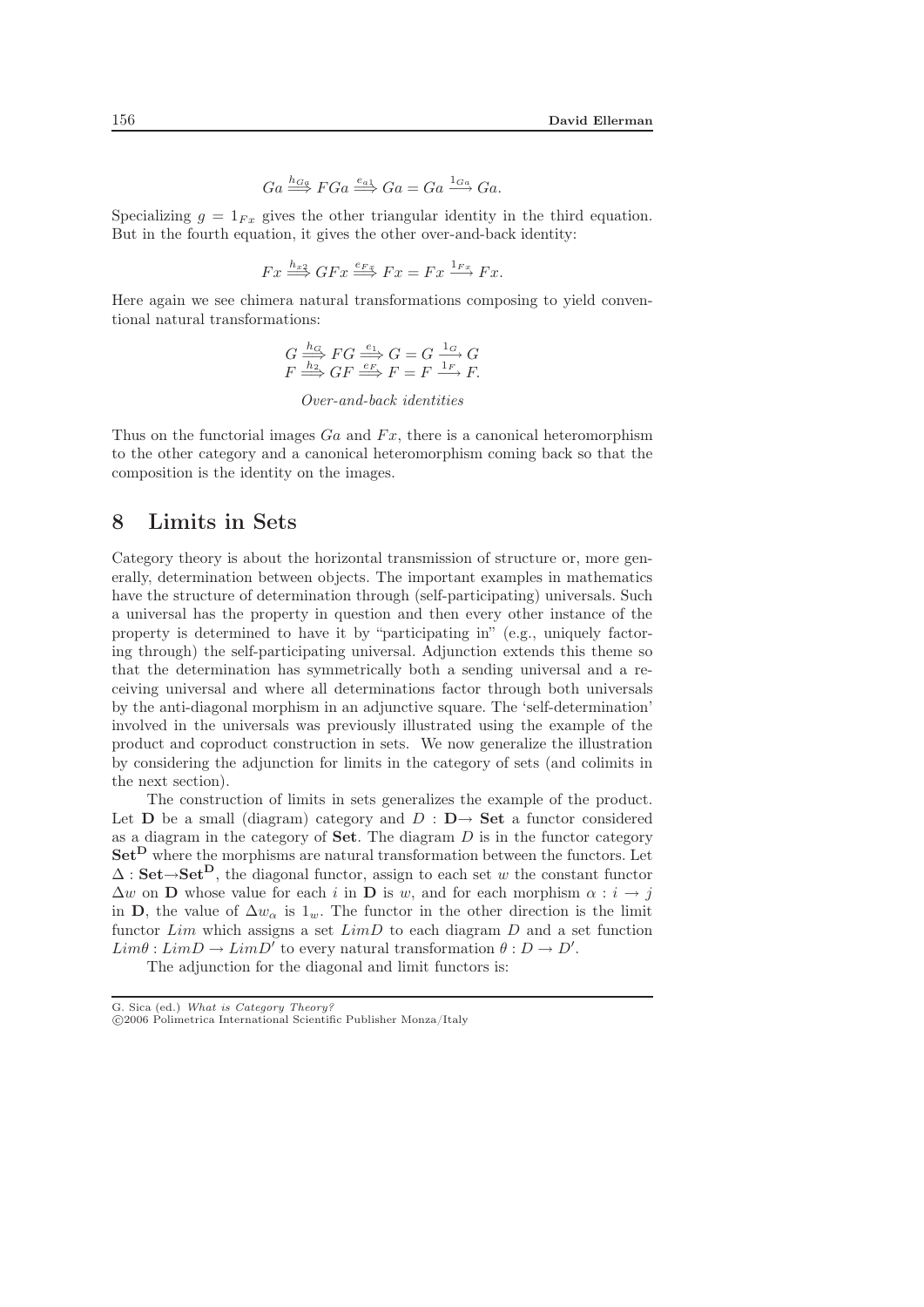$$
Ga \stackrel{h_{Ga}}{\Longrightarrow} FGa \stackrel{e_{a1}}{\Longrightarrow} Ga = Ga \stackrel{1_{Ga}}{\longrightarrow} Ga.
$$

Specializing  $q = 1_{Fx}$  gives the other triangular identity in the third equation. But in the fourth equation, it gives the other over-and-back identity:

$$
Fx \stackrel{h_{x2}}{\Longrightarrow} GFx \stackrel{e_{Fx}}{\Longrightarrow} Fx = Fx \stackrel{1_{Fx}}{\longrightarrow} Fx.
$$

Here again we see chimera natural transformations composing to yield conventional natural transformations:

$$
G \xrightarrow{\hbar c} FG \xrightarrow{\hbar c} G G = G \xrightarrow{1_G} G
$$
  

$$
F \xrightarrow{\hbar c} GF \xrightarrow{\hbar c} F = F \xrightarrow{1_F} F.
$$

*Over-and-back identities*

Thus on the functorial images  $Ga$  and  $Fx$ , there is a canonical heteromorphism to the other category and a canonical heteromorphism coming back so that the composition is the identity on the images.

## 8 Limits in Sets

Category theory is about the horizontal transmission of structure or, more generally, determination between objects. The important examples in mathematics have the structure of determination through (self-participating) universals. Such a universal has the property in question and then every other instance of the property is determined to have it by "participating in" (e.g., uniquely factoring through) the self-participating universal. Adjunction extends this theme so that the determination has symmetrically both a sending universal and a receiving universal and where all determinations factor through both universals by the anti-diagonal morphism in an adjunctive square. The 'self-determination' involved in the universals was previously illustrated using the example of the product and coproduct construction in sets. We now generalize the illustration by considering the adjunction for limits in the category of sets (and colimits in the next section).

The construction of limits in sets generalizes the example of the product. Let **D** be a small (diagram) category and  $D : D \rightarrow$  **Set** a functor considered as a diagram in the category of **Set**. The diagram D is in the functor category **Set<sup>D</sup>** where the morphisms are natural transformation between the functors. Let  $\Delta$ : **Set** $\rightarrow$ **Set** $^D$ , the diagonal functor, assign to each set w the constant functor  $\Delta w$  on **D** whose value for each i in **D** is w, and for each morphism  $\alpha : i \rightarrow j$ in **D**, the value of  $\Delta w_{\alpha}$  is  $1_w$ . The functor in the other direction is the limit functor  $Lim$  which assigns a set  $LimD$  to each diagram  $D$  and a set function  $Lim\theta: LimD \rightarrow LimD'$  to every natural transformation  $\theta: D \rightarrow D'.$ 

The adjunction for the diagonal and limit functors is: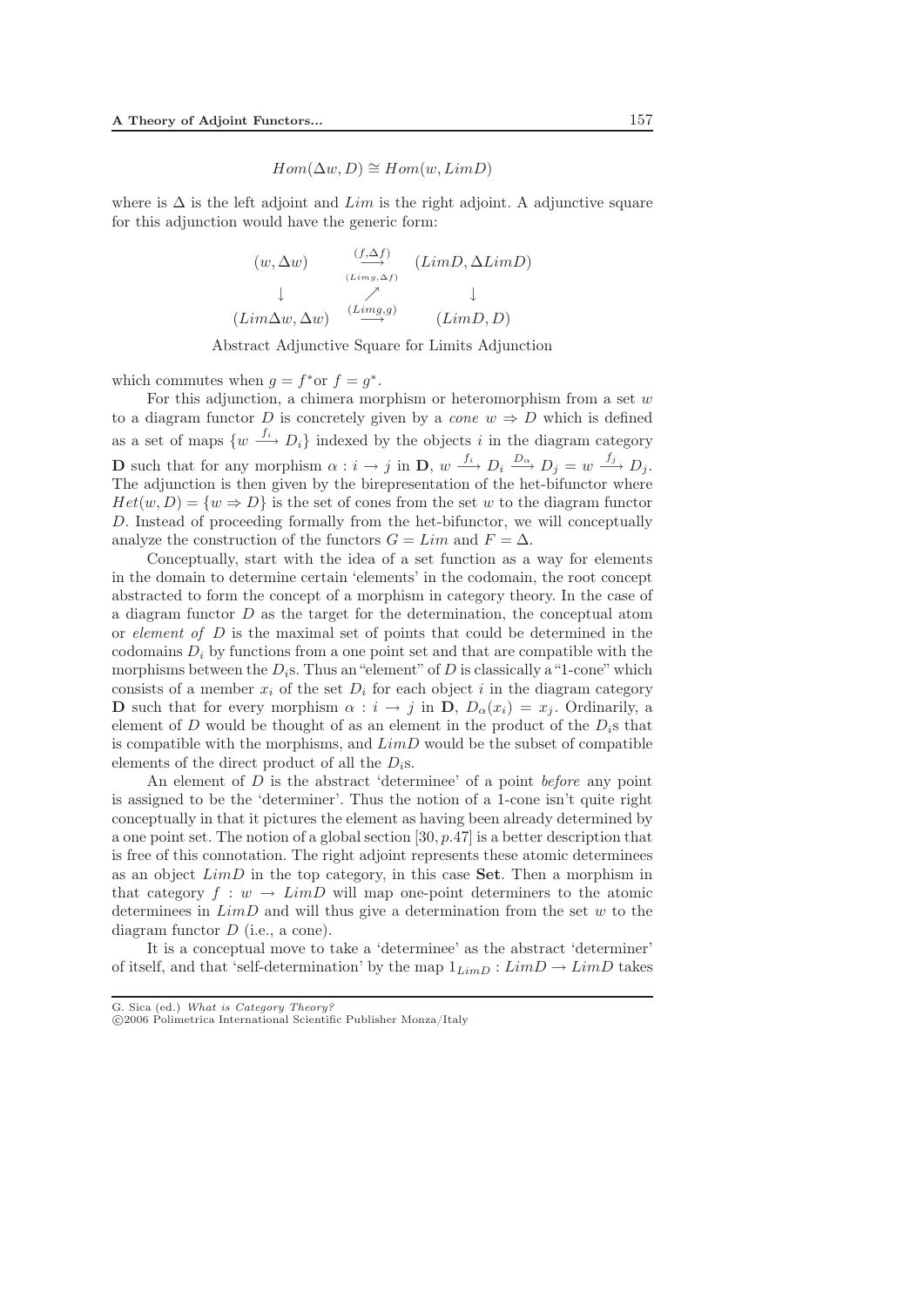$$
Hom(\Delta w, D) \cong Hom(w, LimD)
$$

where is  $\Delta$  is the left adjoint and Lim is the right adjoint. A adjunctive square for this adjunction would have the generic form:

$$
(w, \Delta w) \qquad \begin{array}{ccc} (f, \Delta f) & (LimD, \Delta LimD) \\ \downarrow & \nearrow & \downarrow \\ (Lim\Delta w, \Delta w) & \xrightarrow{(Limg, g)} & (LimD, D) \end{array}
$$

Abstract Adjunctive Square for Limits Adjunction

which commutes when  $g = f^*$ or  $f = g^*$ .

For this adjunction, a chimera morphism or heteromorphism from a set  $w$ to a diagram functor D is concretely given by a *cone*  $w \Rightarrow D$  which is defined as a set of maps  $\{w \stackrel{f_i}{\longrightarrow} D_i\}$  indexed by the objects i in the diagram category **D** such that for any morphism  $\alpha : i \to j$  in **D**,  $w \xrightarrow{f_i} D_i \xrightarrow{D_{\alpha}} D_j = w \xrightarrow{f_j} D_j$ . The adjunction is then given by the birepresentation of the het-bifunctor where  $Het(w,D)=\{w\Rightarrow D\}$  is the set of cones from the set w to the diagram functor D. Instead of proceeding formally from the het-bifunctor, we will conceptually analyze the construction of the functors  $G = Lim$  and  $F = \Delta$ .

Conceptually, start with the idea of a set function as a way for elements in the domain to determine certain 'elements' in the codomain, the root concept abstracted to form the concept of a morphism in category theory. In the case of a diagram functor  $D$  as the target for the determination, the conceptual atom or *element of* D is the maximal set of points that could be determined in the codomains  $D_i$  by functions from a one point set and that are compatible with the morphisms between the  $D_i$ s. Thus an "element" of D is classically a "1-cone" which consists of a member  $x_i$  of the set  $D_i$  for each object i in the diagram category **D** such that for every morphism  $\alpha : i \to j$  in **D**,  $D_{\alpha}(x_i) = x_j$ . Ordinarily, a element of D would be thought of as an element in the product of the  $D_i$ s that is compatible with the morphisms, and  $LimD$  would be the subset of compatible elements of the direct product of all the  $D_i$ s.

An element of D is the abstract 'determinee' of a point *before* any point is assigned to be the 'determiner'. Thus the notion of a 1-cone isn't quite right conceptually in that it pictures the element as having been already determined by a one point set. The notion of a global section  $[30, p.47]$  is a better description that is free of this connotation. The right adjoint represents these atomic determinees as an object LimD in the top category, in this case **Set**. Then a morphism in that category  $f : w \to LimD$  will map one-point determiners to the atomic determinees in  $LimD$  and will thus give a determination from the set w to the diagram functor  $D$  (i.e., a cone).

It is a conceptual move to take a 'determinee' as the abstract 'determiner' of itself, and that 'self-determination' by the map  $1_{LimD}:LimD\rightarrow LimD$  takes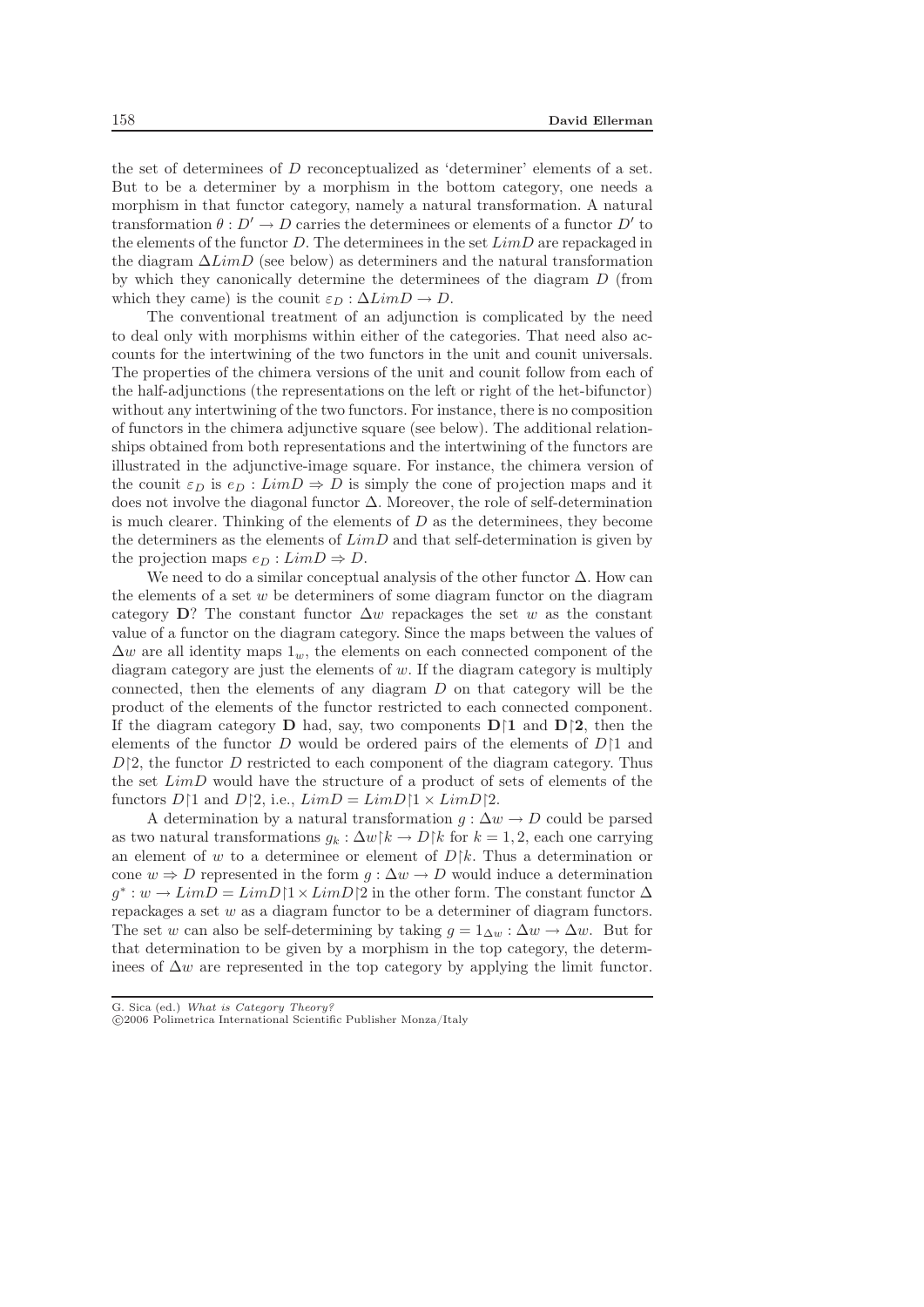the set of determinees of D reconceptualized as 'determiner' elements of a set. But to be a determiner by a morphism in the bottom category, one needs a morphism in that functor category, namely a natural transformation. A natural transformation  $\theta : D' \to D$  carries the determinees or elements of a functor  $D'$  to the elements of the functor D. The determinees in the set  $LimD$  are repackaged in the diagram  $\Delta LimD$  (see below) as determiners and the natural transformation by which they canonically determine the determinees of the diagram D (from which they came) is the counit  $\varepsilon_D : \Delta LimD \rightarrow D$ .

The conventional treatment of an adjunction is complicated by the need to deal only with morphisms within either of the categories. That need also accounts for the intertwining of the two functors in the unit and counit universals. The properties of the chimera versions of the unit and counit follow from each of the half-adjunctions (the representations on the left or right of the het-bifunctor) without any intertwining of the two functors. For instance, there is no composition of functors in the chimera adjunctive square (see below). The additional relationships obtained from both representations and the intertwining of the functors are illustrated in the adjunctive-image square. For instance, the chimera version of the counit  $\varepsilon_D$  is  $e_D : LimD \Rightarrow D$  is simply the cone of projection maps and it does not involve the diagonal functor  $\Delta$ . Moreover, the role of self-determination is much clearer. Thinking of the elements of  $D$  as the determinees, they become the determiners as the elements of  $LimD$  and that self-determination is given by the projection maps  $e_D : LimD \Rightarrow D$ .

We need to do a similar conceptual analysis of the other functor  $\Delta$ . How can the elements of a set  $w$  be determiners of some diagram functor on the diagram category  $\mathbf{D}$ ? The constant functor  $\Delta w$  repackages the set w as the constant value of a functor on the diagram category. Since the maps between the values of  $\Delta w$  are all identity maps  $1_w$ , the elements on each connected component of the diagram category are just the elements of  $w$ . If the diagram category is multiply connected, then the elements of any diagram  $D$  on that category will be the product of the elements of the functor restricted to each connected component. If the diagram category **D** had, say, two components  $D \upharpoonright 1$  and  $D \upharpoonright 2$ , then the elements of the functor D would be ordered pairs of the elements of  $D\upharpoonright 1$  and  $D[2]$ , the functor D restricted to each component of the diagram category. Thus the set LimD would have the structure of a product of sets of elements of the functors  $D[1 \text{ and } D[2, \text{i.e., } LimD = LimD[1 \times LimD[2.$ 

A determination by a natural transformation  $g : \Delta w \to D$  could be parsed as two natural transformations  $g_k : \Delta w | k \rightarrow D | k$  for  $k = 1, 2$ , each one carrying an element of w to a determinee or element of  $D/k$ . Thus a determination or cone  $w \Rightarrow D$  represented in the form  $g : \Delta w \to D$  would induce a determination  $g^* : w \to LimD = LimD[1 \times LimD[2]$  in the other form. The constant functor  $\Delta$ repackages a set  $w$  as a diagram functor to be a determiner of diagram functors. The set w can also be self-determining by taking  $g = 1_{\Delta w} : \Delta w \to \Delta w$ . But for that determination to be given by a morphism in the top category, the determinees of  $\Delta w$  are represented in the top category by applying the limit functor.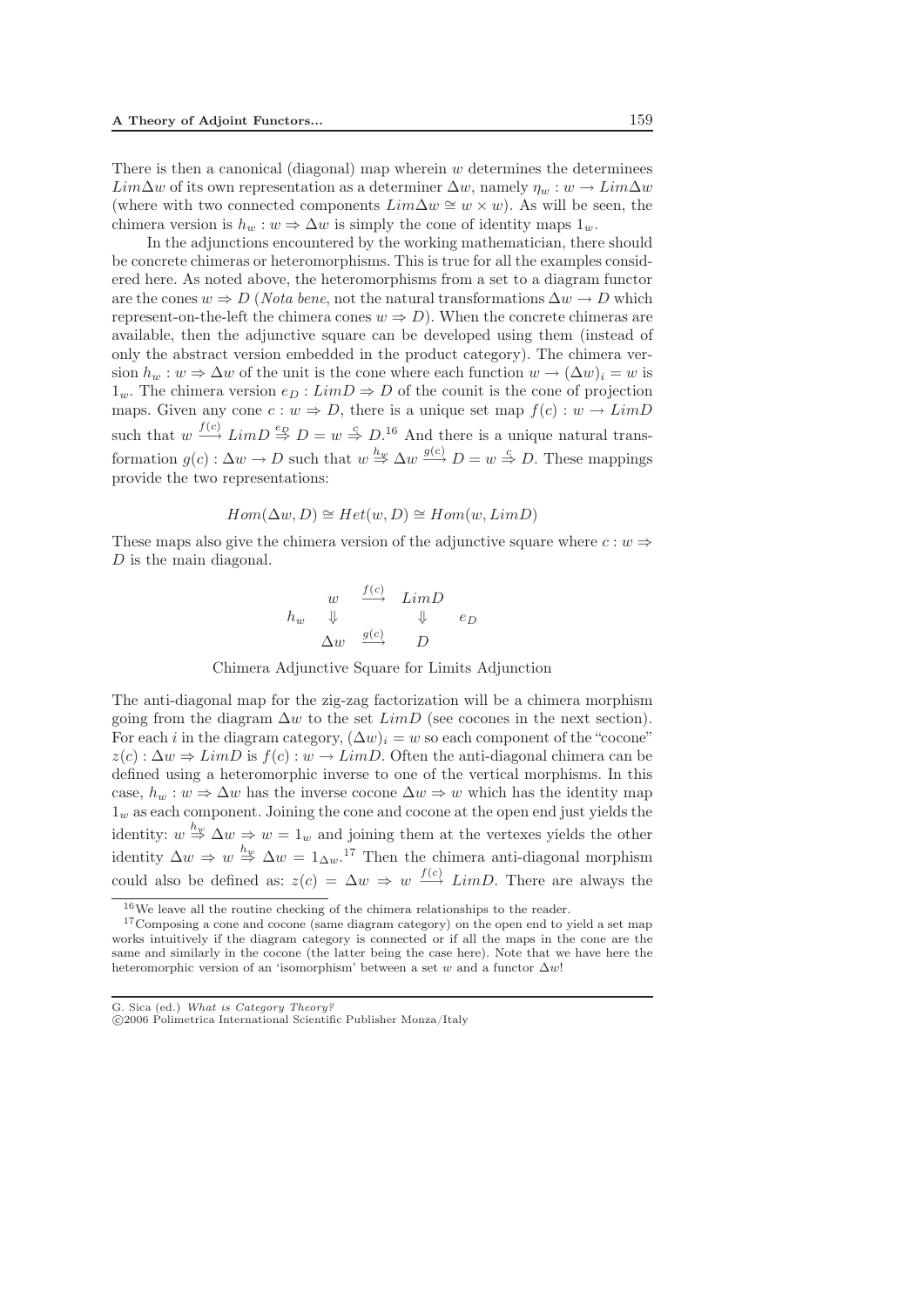There is then a canonical (diagonal) map wherein  $w$  determines the determines  $Lim\Delta w$  of its own representation as a determiner  $\Delta w$ , namely  $\eta_w : w \to Lim\Delta w$ (where with two connected components  $Lim\Delta w \cong w \times w$ ). As will be seen, the chimera version is  $h_w : w \Rightarrow \Delta w$  is simply the cone of identity maps  $1_w$ .

In the adjunctions encountered by the working mathematician, there should be concrete chimeras or heteromorphisms. This is true for all the examples considered here. As noted above, the heteromorphisms from a set to a diagram functor are the cones  $w \Rightarrow D$  (*Nota bene*, not the natural transformations  $\Delta w \rightarrow D$  which represent-on-the-left the chimera cones  $w \Rightarrow D$ ). When the concrete chimeras are available, then the adjunctive square can be developed using them (instead of only the abstract version embedded in the product category). The chimera version  $h_w : w \Rightarrow \Delta w$  of the unit is the cone where each function  $w \to (\Delta w)_i = w$  is  $1_w$ . The chimera version  $e_D : LimD \Rightarrow D$  of the counit is the cone of projection maps. Given any cone  $c : w \Rightarrow D$ , there is a unique set map  $f(c) : w \rightarrow LimD$ such that  $w \stackrel{f(c)}{\longrightarrow} LimD \stackrel{e_D}{\Rightarrow} D = w \stackrel{e}{\Rightarrow} D$ .<sup>16</sup> And there is a unique natural transformation  $g(c): \Delta w \to D$  such that  $w \stackrel{h_w}{\Rightarrow} \Delta w \stackrel{g(c)}{\longrightarrow} D = w \stackrel{c}{\Rightarrow} D$ . These mappings provide the two representations:

$$
Hom(\Delta w, D) \cong Het(w, D) \cong Hom(w, LimD)
$$

These maps also give the chimera version of the adjunctive square where  $c : w \Rightarrow$ D is the main diagonal.

$$
\begin{array}{ccc}\nw & \xrightarrow{f(c)} & LimD \\
h_w & \Downarrow & & \Downarrow & e_D \\
\Delta w & \xrightarrow{g(c)} & D\n\end{array}
$$

Chimera Adjunctive Square for Limits Adjunction

The anti-diagonal map for the zig-zag factorization will be a chimera morphism going from the diagram  $\Delta w$  to the set  $LimD$  (see cocones in the next section). For each i in the diagram category,  $(\Delta w)_i = w$  so each component of the "cocone"  $z(c): \Delta w \Rightarrow LimD$  is  $f(c): w \rightarrow LimD$ . Often the anti-diagonal chimera can be defined using a heteromorphic inverse to one of the vertical morphisms. In this case,  $h_w : w \Rightarrow \Delta w$  has the inverse cocone  $\Delta w \Rightarrow w$  which has the identity map  $1_w$  as each component. Joining the cone and cocone at the open end just yields the identity:  $w \stackrel{h_w}{\Rightarrow} \Delta w \Rightarrow w = 1_w$  and joining them at the vertexes yields the other identity  $\Delta w \Rightarrow w \stackrel{h_w}{\Rightarrow} \Delta w = 1_{\Delta w}$ .<sup>17</sup> Then the chimera anti-diagonal morphism could also be defined as:  $z(c) = \Delta w \Rightarrow w \stackrel{f(c)}{\longrightarrow} LimD$ . There are always the

<sup>16</sup>We leave all the routine checking of the chimera relationships to the reader.

<sup>&</sup>lt;sup>17</sup>Composing a cone and cocone (same diagram category) on the open end to yield a set map works intuitively if the diagram category is connected or if all the maps in the cone are the same and similarly in the cocone (the latter being the case here). Note that we have here the heteromorphic version of an 'isomorphism' between a set *w* and a functor Δ*w*!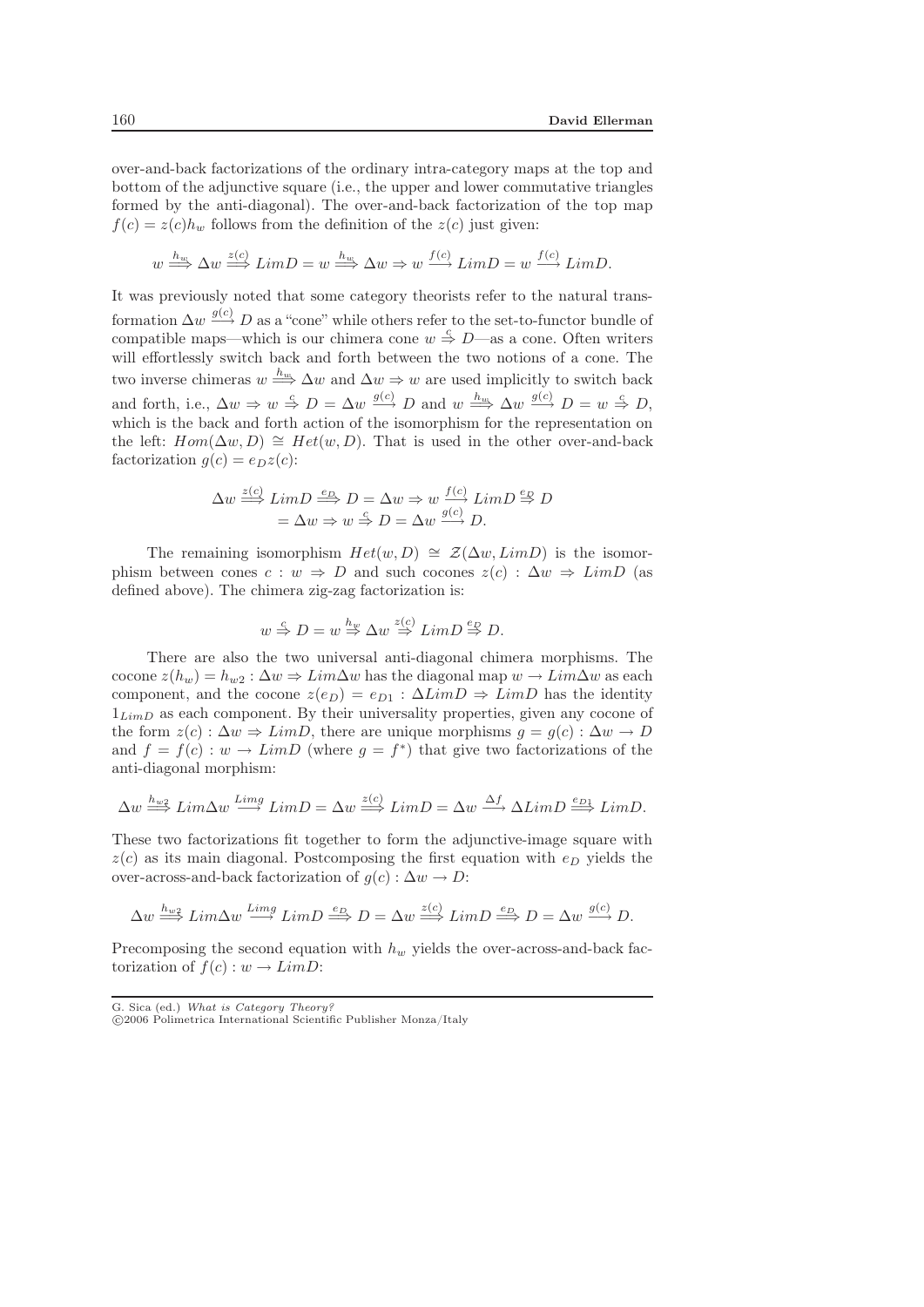over-and-back factorizations of the ordinary intra-category maps at the top and bottom of the adjunctive square (i.e., the upper and lower commutative triangles formed by the anti-diagonal). The over-and-back factorization of the top map  $f(c) = z(c)h_w$  follows from the definition of the  $z(c)$  just given:

$$
w \stackrel{h_w}{\Longrightarrow} \Delta w \stackrel{z(c)}{\Longrightarrow} LimD = w \stackrel{h_w}{\Longrightarrow} \Delta w \Rightarrow w \stackrel{f(c)}{\Longrightarrow} LimD = w \stackrel{f(c)}{\Longrightarrow} LimD.
$$

It was previously noted that some category theorists refer to the natural transformation  $\Delta w \stackrel{g(c)}{\longrightarrow} D$  as a "cone" while others refer to the set-to-functor bundle of compatible maps—which is our chimera cone  $w \stackrel{c}{\Rightarrow} D$ —as a cone. Often writers will effortlessly switch back and forth between the two notions of a cone. The two inverse chimeras  $w \stackrel{h_w}{\Longrightarrow} \Delta w$  and  $\Delta w \Rightarrow w$  are used implicitly to switch back and forth, i.e.,  $\Delta w \Rightarrow w \stackrel{c}{\Rightarrow} D = \Delta w \stackrel{g(c)}{\Longrightarrow} D$  and  $w \stackrel{h_w}{\Longrightarrow} \Delta w \stackrel{g(c)}{\Longrightarrow} D = w \stackrel{c}{\Rightarrow} D$ , which is the back and forth action of the isomorphism for the representation on the left:  $Hom(\Delta w, D) \cong Het(w, D)$ . That is used in the other over-and-back factorization  $g(c) = e_D z(c)$ :

$$
\Delta w \stackrel{z(c)}{\Longrightarrow} \lim_{\longrightarrow} D \stackrel{e_D}{\Longrightarrow} D = \Delta w \Rightarrow w \frac{f(c)}{g(c)} \lim_{\longrightarrow} D \stackrel{e_D}{\Longrightarrow} D
$$

$$
= \Delta w \Rightarrow w \stackrel{c}{\Rightarrow} D = \Delta w \frac{g(c)}{g(c)} D.
$$

The remaining isomorphism  $Het(w,D)\cong \mathcal{Z}(\Delta w,LimD)$  is the isomorphism between cones  $c : w \Rightarrow D$  and such cocones  $z(c) : \Delta w \Rightarrow LimD$  (as defined above). The chimera zig-zag factorization is:

$$
w \stackrel{c}{\Rightarrow} D = w \stackrel{h_w}{\Rightarrow} \Delta w \stackrel{z(c)}{\Rightarrow} LimD \stackrel{e_D}{\Rightarrow} D.
$$

There are also the two universal anti-diagonal chimera morphisms. The cocone  $z(h_w) = h_{w2} : \Delta w \Rightarrow Lim\Delta w$  has the diagonal map  $w \rightarrow Lim\Delta w$  as each component, and the cocone  $z(e_D) = e_{D1} : \Delta LimD \Rightarrow LimD$  has the identity  $1_{LimD}$  as each component. By their universality properties, given any cocone of the form  $z(c): \Delta w \Rightarrow LimD$ , there are unique morphisms  $g = g(c): \Delta w \rightarrow D$ and  $f = f(c) : w \to LimD$  (where  $g = f^*$ ) that give two factorizations of the anti-diagonal morphism:

$$
\Delta w \stackrel{h_{w2}}{\Longrightarrow} Lim \Delta w \stackrel{Limg}{\longrightarrow} LimD = \Delta w \stackrel{z(c)}{\Longrightarrow} LimD = \Delta w \stackrel{\Delta f}{\longrightarrow} \Delta LimD \stackrel{ep_1}{\Longrightarrow} LimD.
$$

These two factorizations fit together to form the adjunctive-image square with  $z(c)$  as its main diagonal. Postcomposing the first equation with  $e<sub>D</sub>$  yields the over-across-and-back factorization of  $g(c): \Delta w \to D$ :

$$
\Delta w \stackrel{h_{w2}}{\Longrightarrow} Lim \Delta w \stackrel{Limg}{\longrightarrow} LimD \stackrel{e_D}{\Longrightarrow} D = \Delta w \stackrel{z(c)}{\Longrightarrow} LimD \stackrel{e_D}{\Longrightarrow} D = \Delta w \stackrel{g(c)}{\longrightarrow} D.
$$

Precomposing the second equation with  $h_w$  yields the over-across-and-back factorization of  $f(c): w \to LimD$ :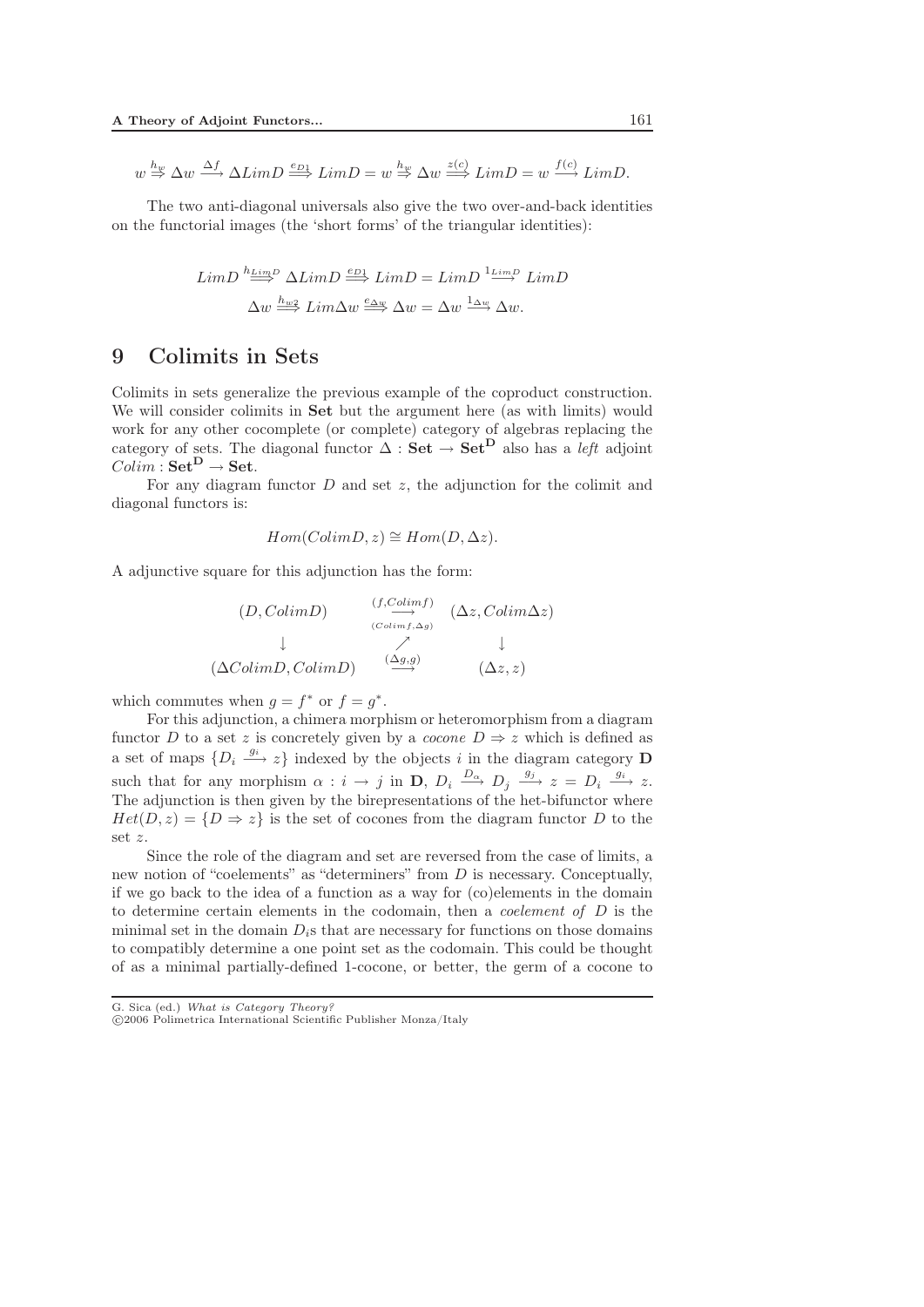$$
w \stackrel{h_w}{\Rightarrow} \Delta w \stackrel{\Delta f}{\longrightarrow} \Delta LimD \stackrel{e_{D_1}}{\Longrightarrow} LimD = w \stackrel{h_w}{\Rightarrow} \Delta w \stackrel{z(c)}{\Longrightarrow} LimD = w \stackrel{f(c)}{\longrightarrow} LimD.
$$

The two anti-diagonal universals also give the two over-and-back identities on the functorial images (the 'short forms' of the triangular identities):

$$
LimD \stackrel{h_{LimD}}{\Longrightarrow} \Delta LimD \stackrel{e_{D1}}{\Longrightarrow} LimD = LimD \stackrel{1_{LimD}}{\Longrightarrow} LimD
$$

$$
\Delta w \stackrel{h_{w2}}{\Longrightarrow} Lim\Delta w \stackrel{e_{\Delta w}}{\Longrightarrow} \Delta w = \Delta w \stackrel{1_{\Delta w}}{\Longrightarrow} \Delta w.
$$

### 9 Colimits in Sets

Colimits in sets generalize the previous example of the coproduct construction. We will consider colimits in **Set** but the argument here (as with limits) would work for any other cocomplete (or complete) category of algebras replacing the category of sets. The diagonal functor  $\Delta$ :  $\mathbf{Set} \to \mathbf{Set}^{\mathbf{D}}$  also has a *left* adjoint  $Colim : \mathbf{Set}^{\mathbf{D}} \to \mathbf{Set}.$ 

For any diagram functor  $D$  and set  $z$ , the adjunction for the colimit and diagonal functors is:

$$
Hom(ColimD, z) \cong Hom(D, \Delta z).
$$

A adjunctive square for this adjunction has the form:

$$
(D, ColimD) \xrightarrow{\begin{array}{c} (f, Colimf) \\ \xrightarrow{\qquad \qquad} (\Delta z, Colim\Delta z) \end{array}} (\Delta z, Colim\Delta z)
$$

$$
\downarrow \xrightarrow{\qquad \qquad } (\Delta ColimD, ColimD) \xrightarrow{\begin{array}{c} (\Delta g,g) \\ \xrightarrow{\qquad \qquad} (\Delta z,z) \end{array}} (\Delta z, z)
$$

which commutes when  $q = f^*$  or  $f = q^*$ .

For this adjunction, a chimera morphism or heteromorphism from a diagram functor D to a set z is concretely given by a *cocone*  $D \Rightarrow z$  which is defined as a set of maps  $\{D_i \stackrel{g_i}{\longrightarrow} z\}$  indexed by the objects i in the diagram category **D** such that for any morphism  $\alpha : i \to j$  in **D**,  $D_i \xrightarrow{D_{\alpha}} D_j \xrightarrow{g_j} z = D_i \xrightarrow{g_i} z$ . The adjunction is then given by the birepresentations of the het-bifunctor where  $Het(D, z)=\{D\Rightarrow z\}$  is the set of cocones from the diagram functor D to the set z.

Since the role of the diagram and set are reversed from the case of limits, a new notion of "coelements" as "determiners" from D is necessary. Conceptually, if we go back to the idea of a function as a way for (co)elements in the domain to determine certain elements in the codomain, then a *coelement of* D is the minimal set in the domain  $D_i$ s that are necessary for functions on those domains to compatibly determine a one point set as the codomain. This could be thought of as a minimal partially-defined 1-cocone, or better, the germ of a cocone to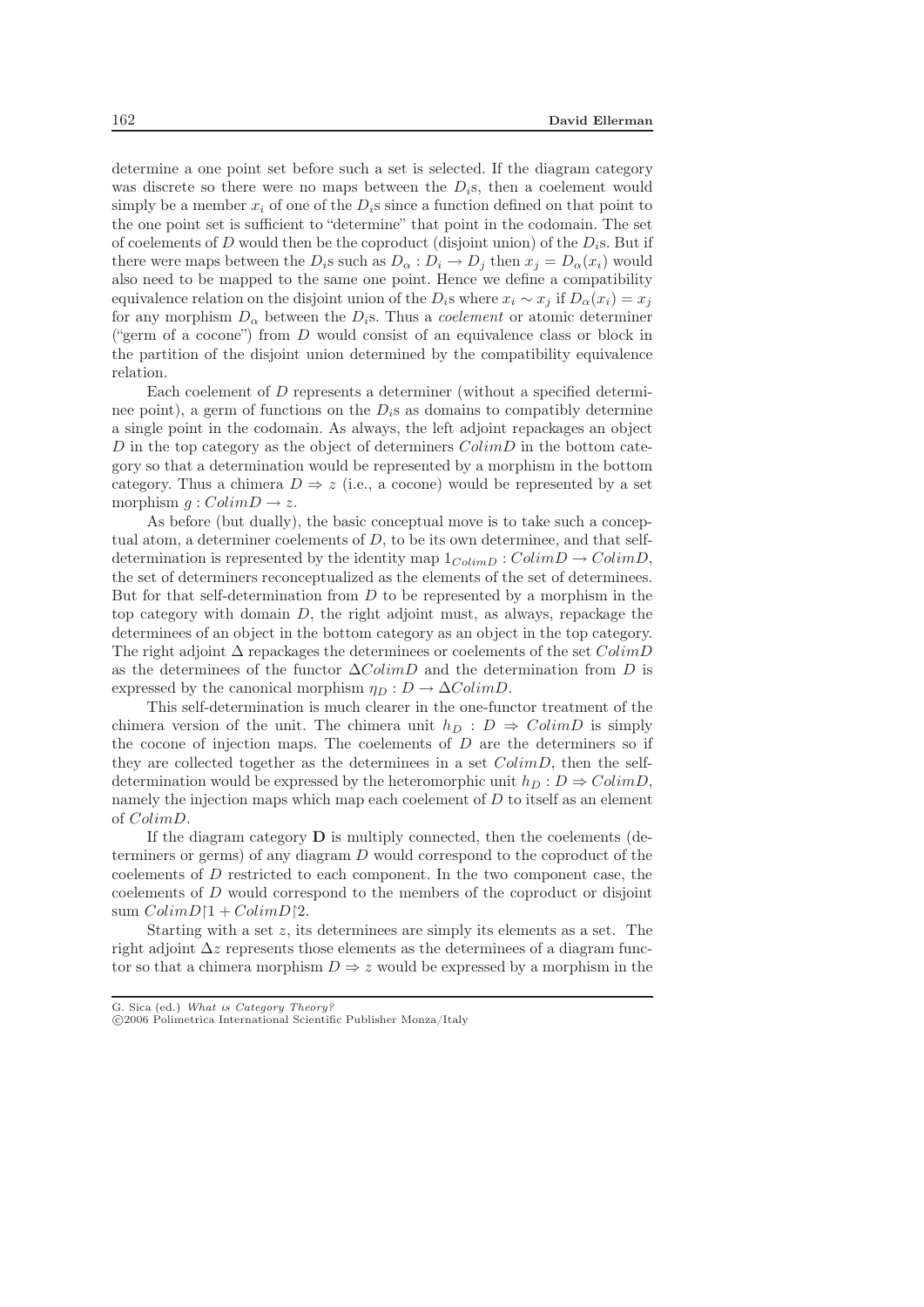determine a one point set before such a set is selected. If the diagram category was discrete so there were no maps between the  $D_i$ s, then a coelement would simply be a member  $x_i$  of one of the  $D_i$ s since a function defined on that point to the one point set is sufficient to "determine" that point in the codomain. The set of coelements of D would then be the coproduct (disjoint union) of the  $D_i$ s. But if there were maps between the  $D_i$ s such as  $D_\alpha : D_i \to D_j$  then  $x_j = D_\alpha(x_i)$  would also need to be mapped to the same one point. Hence we define a compatibility equivalence relation on the disjoint union of the D<sub>i</sub>s where  $x_i \sim x_j$  if  $D_{\alpha}(x_i) = x_j$ for any morphism  $D_{\alpha}$  between the  $D_i$ s. Thus a *coelement* or atomic determiner ("germ of a cocone") from  $D$  would consist of an equivalence class or block in the partition of the disjoint union determined by the compatibility equivalence relation.

Each coelement of D represents a determiner (without a specified determinee point), a germ of functions on the  $D_i$ s as domains to compatibly determine a single point in the codomain. As always, the left adjoint repackages an object D in the top category as the object of determiners  $ColimD$  in the bottom category so that a determination would be represented by a morphism in the bottom category. Thus a chimera  $D \Rightarrow z$  (i.e., a cocone) would be represented by a set morphism  $q:ColimD \rightarrow z$ .

As before (but dually), the basic conceptual move is to take such a conceptual atom, a determiner coelements of  $D$ , to be its own determinee, and that selfdetermination is represented by the identity map  $1_{ColimD} : ColimD \rightarrow ColimD$ , the set of determiners reconceptualized as the elements of the set of determinees. But for that self-determination from  $D$  to be represented by a morphism in the top category with domain D, the right adjoint must, as always, repackage the determinees of an object in the bottom category as an object in the top category. The right adjoint  $\Delta$  repackages the determinees or coelements of the set  $ColimD$ as the determinees of the functor  $\Delta ColimD$  and the determination from D is expressed by the canonical morphism  $\eta_D : D \to \Delta ColimD$ .

This self-determination is much clearer in the one-functor treatment of the chimera version of the unit. The chimera unit  $h_D : D \Rightarrow ColimD$  is simply the cocone of injection maps. The coelements of  $D$  are the determiners so if they are collected together as the determinees in a set  $ColimD$ , then the selfdetermination would be expressed by the heteromorphic unit  $h_D : D \Rightarrow ColimD$ , namely the injection maps which map each coelement of  $D$  to itself as an element of ColimD.

If the diagram category **D** is multiply connected, then the coelements (determiners or germs) of any diagram D would correspond to the coproduct of the coelements of D restricted to each component. In the two component case, the coelements of D would correspond to the members of the coproduct or disjoint sum  $ColimD\uparrow 1 + ColimD\uparrow 2$ .

Starting with a set  $z$ , its determinees are simply its elements as a set. The right adjoint  $\Delta z$  represents those elements as the determinees of a diagram functor so that a chimera morphism  $D \Rightarrow z$  would be expressed by a morphism in the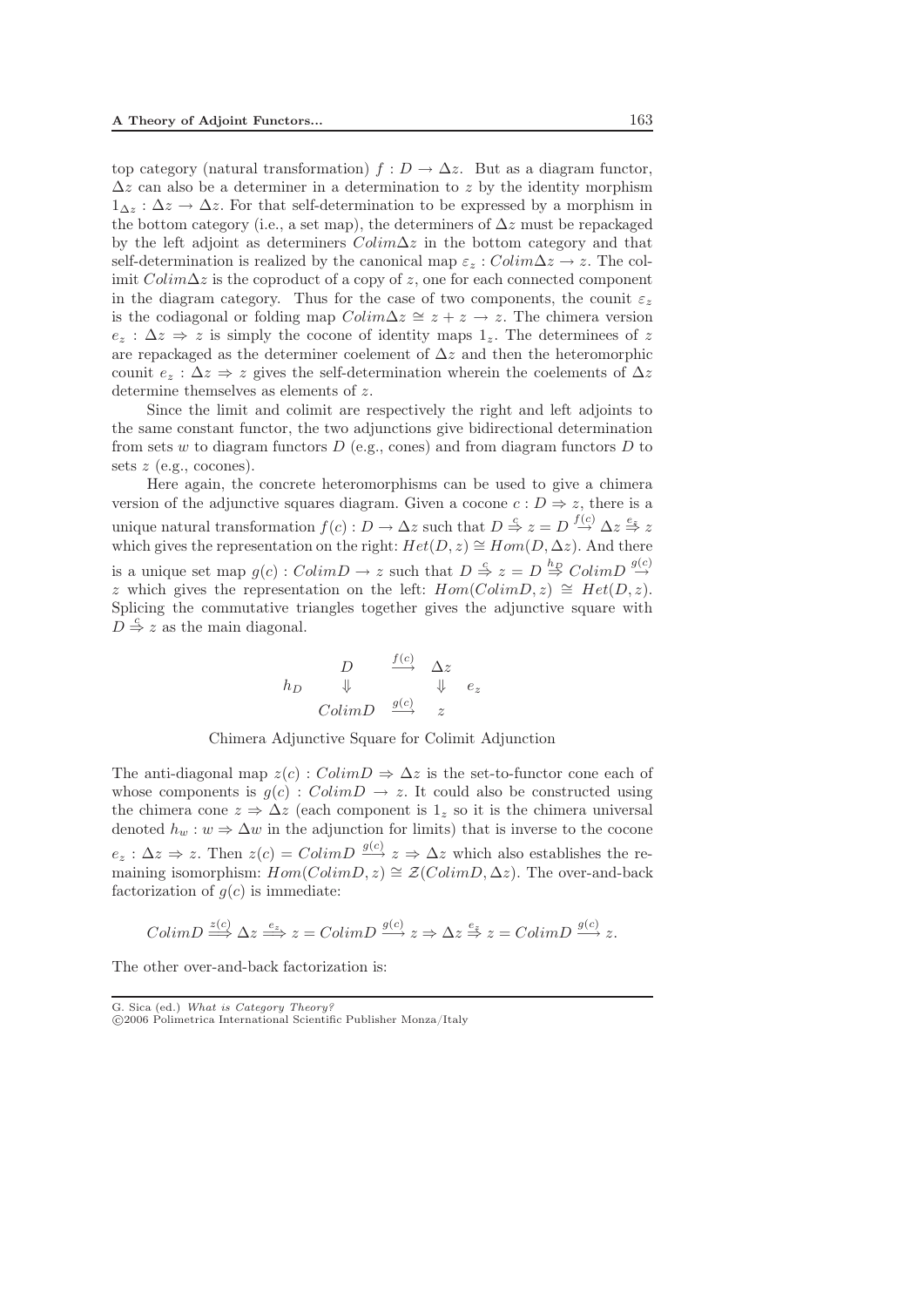top category (natural transformation)  $f: D \to \Delta z$ . But as a diagram functor,  $\Delta z$  can also be a determiner in a determination to z by the identity morphism  $1_{\Delta z}$ :  $\Delta z \rightarrow \Delta z$ . For that self-determination to be expressed by a morphism in the bottom category (i.e., a set map), the determiners of  $\Delta z$  must be repackaged by the left adjoint as determiners  $Colim\Delta z$  in the bottom category and that self-determination is realized by the canonical map  $\varepsilon_z : Colim\Delta z \to z$ . The colimit  $Colim\Delta z$  is the coproduct of a copy of z, one for each connected component in the diagram category. Thus for the case of two components, the counit  $\varepsilon_z$ is the codiagonal or folding map  $Colim\Delta z \cong z + z \rightarrow z$ . The chimera version  $e_z$ :  $\Delta z \Rightarrow z$  is simply the cocone of identity maps 1,. The determinees of z are repackaged as the determiner coelement of  $\Delta z$  and then the heteromorphic counit  $e_z : \Delta z \Rightarrow z$  gives the self-determination wherein the coelements of  $\Delta z$ determine themselves as elements of z.

Since the limit and colimit are respectively the right and left adjoints to the same constant functor, the two adjunctions give bidirectional determination from sets w to diagram functors  $D$  (e.g., cones) and from diagram functors  $D$  to sets  $z$  (e.g., cocones).

Here again, the concrete heteromorphisms can be used to give a chimera version of the adjunctive squares diagram. Given a cocone  $c : D \Rightarrow z$ , there is a unique natural transformation  $f(c) : D \to \Delta z$  such that  $D \stackrel{c}{\Rightarrow} z = D \stackrel{f(c)}{\to} \Delta z \stackrel{e_z}{\Rightarrow} z$ which gives the representation on the right:  $Het(D,z)\cong Hom(D,\Delta z)$ . And there is a unique set map  $g(c) : ColimD \to z$  such that  $D \stackrel{c}{\to} z = D \stackrel{h_D}{\to} ColimD \stackrel{g(c)}{\to}$ z which gives the representation on the left:  $Hom(ColimD, z) \cong Het(D, z)$ . Splicing the commutative triangles together gives the adjunctive square with  $\overrightarrow{D} \stackrel{c}{\Rightarrow} z$  as the main diagonal.

$$
h_D \quad \begin{array}{ccccc}\n & D & \xrightarrow{f(c)} & \Delta z \\
\Downarrow & & \Downarrow & e_z \\
\hline\n & ColimD & \xrightarrow{g(c)} & z\n\end{array}
$$

Chimera Adjunctive Square for Colimit Adjunction

The anti-diagonal map  $z(c)$ :  $ColimD \Rightarrow \Delta z$  is the set-to-functor cone each of whose components is  $g(c)$ :  $ColimD \rightarrow z$ . It could also be constructed using the chimera cone  $z \Rightarrow \Delta z$  (each component is  $1_z$  so it is the chimera universal denoted  $h_w : w \Rightarrow \Delta w$  in the adjunction for limits) that is inverse to the cocone  $e_z : \Delta z \Rightarrow z$ . Then  $z(c) = ColimD \stackrel{g(c)}{\longrightarrow} z \Rightarrow \Delta z$  which also establishes the remaining isomorphism:  $Hom(ColimD, z) \cong \mathcal{Z}(ColimD, \Delta z)$ . The over-and-back factorization of  $g(c)$  is immediate:

$$
ColimD \stackrel{z(c)}{\Longrightarrow} \Delta z \stackrel{e_z}{\Longrightarrow} z = ColimD \stackrel{g(c)}{\Longrightarrow} z \Rightarrow \Delta z \stackrel{e_z}{\Rightarrow} z = ColimD \stackrel{g(c)}{\Longrightarrow} z.
$$

The other over-and-back factorization is: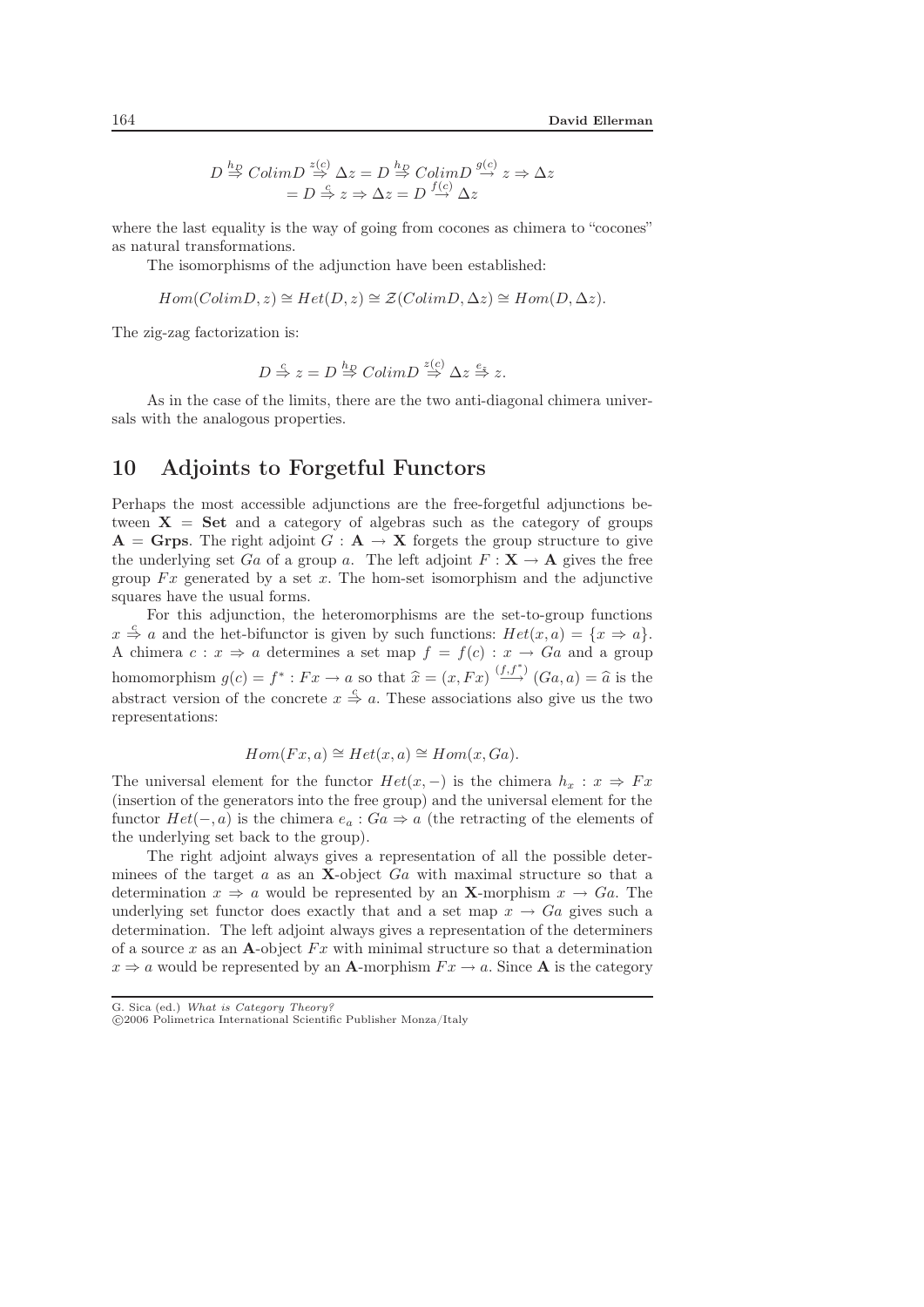$$
D \stackrel{hp}{\Rightarrow} ColimD \stackrel{z(c)}{\Rightarrow} \Delta z = D \stackrel{hp}{\Rightarrow} ColimD \stackrel{g(c)}{\rightarrow} z \Rightarrow \Delta z
$$

$$
= D \stackrel{f}{\Rightarrow} z \Rightarrow \Delta z = D \stackrel{f(c)}{\rightarrow} \Delta z
$$

where the last equality is the way of going from cocones as chimera to "cocones" as natural transformations.

The isomorphisms of the adjunction have been established:

$$
Hom(ColimD, z) \cong Het(D, z) \cong \mathcal{Z}(ColimD, \Delta z) \cong Hom(D, \Delta z).
$$

The zig-zag factorization is:

$$
D \stackrel{c}{\Rightarrow} z = D \stackrel{h_D}{\Rightarrow} ColimD \stackrel{z(c)}{\Rightarrow} \Delta z \stackrel{e_z}{\Rightarrow} z.
$$

As in the case of the limits, there are the two anti-diagonal chimera universals with the analogous properties.

# 10 Adjoints to Forgetful Functors

Perhaps the most accessible adjunctions are the free-forgetful adjunctions between  $X = Set$  and a category of algebras such as the category of groups  $A = G$ rps. The right adjoint  $G : A \rightarrow X$  forgets the group structure to give the underlying set Ga of a group a. The left adjoint  $F: \mathbf{X} \to \mathbf{A}$  gives the free group  $Fx$  generated by a set x. The hom-set isomorphism and the adjunctive squares have the usual forms.

For this adjunction, the heteromorphisms are the set-to-group functions  $x \stackrel{c}{\Rightarrow} a$  and the het-bifunctor is given by such functions:  $Het(x,a) = \{x \Rightarrow a\}.$ A chimera  $c: x \Rightarrow a$  determines a set map  $f = f(c): x \rightarrow Ga$  and a group homomorphism  $g(c) = f^* : Fx \to a$  so that  $\hat{x} = (x, Fx) \stackrel{(f, f^*)}{\longrightarrow} (Ga, a) = \hat{a}$  is the abstract version of the concrete  $x \stackrel{c}{\Rightarrow} a$ . These associations also give us the two representations:

$$
Hom(Fx, a) \cong Het(x, a) \cong Hom(x, Ga).
$$

The universal element for the functor  $Het(x,-)$  is the chimera  $h_x:x\Rightarrow Fx$ (insertion of the generators into the free group) and the universal element for the functor  $Het(-,a)$  is the chimera  $e_a:Ga\Rightarrow a$  (the retracting of the elements of the underlying set back to the group).

The right adjoint always gives a representation of all the possible determinees of the target a as an **X**-object Ga with maximal structure so that a determination  $x \Rightarrow a$  would be represented by an **X**-morphism  $x \rightarrow Ga$ . The underlying set functor does exactly that and a set map  $x \to Ga$  gives such a determination. The left adjoint always gives a representation of the determiners of a source x as an **A**-object  $Fx$  with minimal structure so that a determination  $x \Rightarrow a$  would be represented by an **A**-morphism  $Fx \rightarrow a$ . Since **A** is the category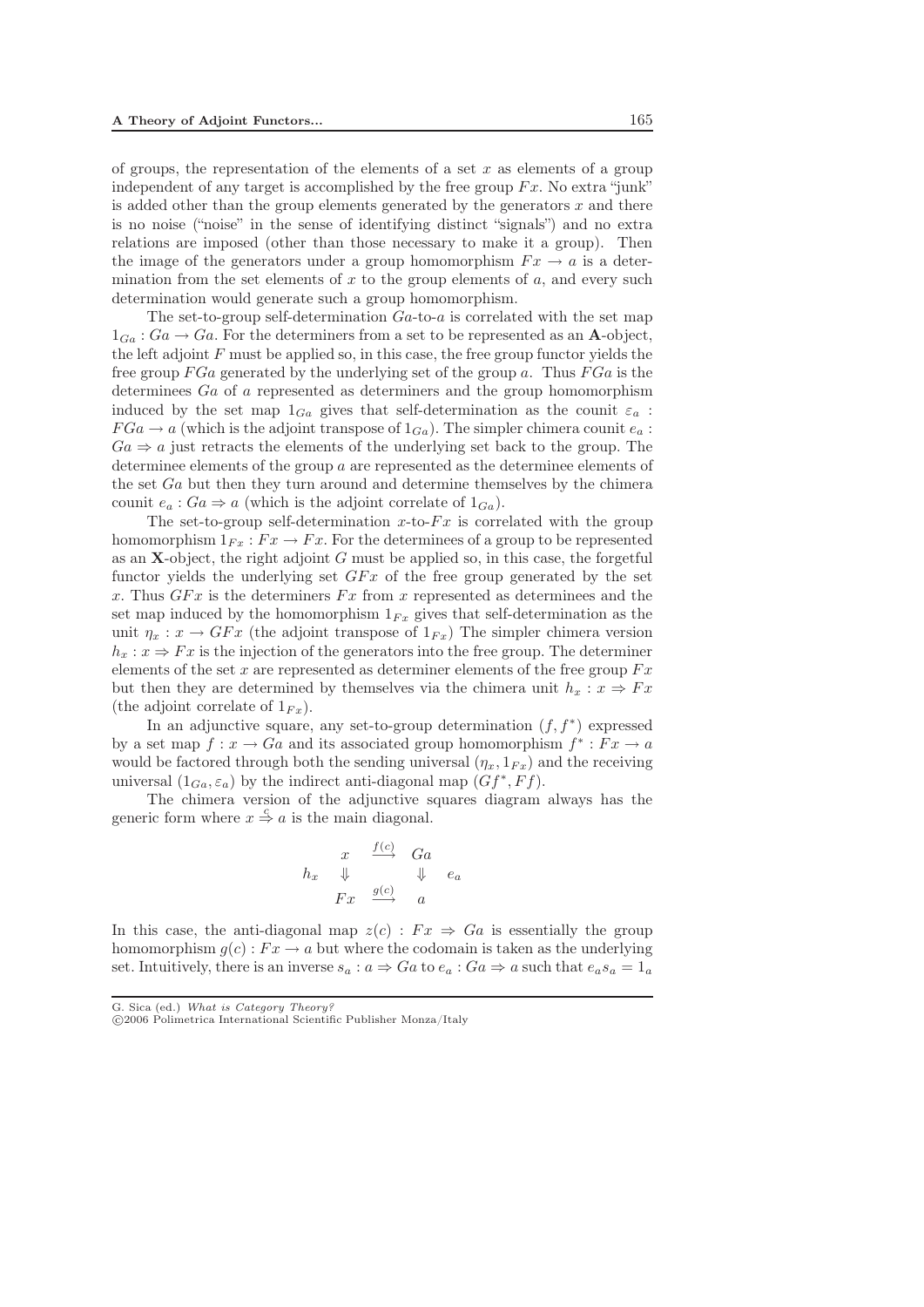of groups, the representation of the elements of a set  $x$  as elements of a group independent of any target is accomplished by the free group  $Fx$ . No extra "junk" is added other than the group elements generated by the generators  $x$  and there is no noise ("noise" in the sense of identifying distinct "signals") and no extra relations are imposed (other than those necessary to make it a group). Then the image of the generators under a group homomorphism  $Fx \rightarrow a$  is a determination from the set elements of x to the group elements of  $a$ , and every such determination would generate such a group homomorphism.

The set-to-group self-determination  $Ga$ -to-a is correlated with the set map  $1_{Ga}: Ga \rightarrow Ga$ . For the determiners from a set to be represented as an **A**-object, the left adjoint  $F$  must be applied so, in this case, the free group functor yields the free group  $FGa$  generated by the underlying set of the group a. Thus  $FGa$  is the determinees Ga of a represented as determiners and the group homomorphism induced by the set map  $1_{Ga}$  gives that self-determination as the counit  $\varepsilon_a$ :  $FGa \rightarrow a$  (which is the adjoint transpose of  $1_{Ga}$ ). The simpler chimera counit  $e_a$ :  $Ga \Rightarrow a$  just retracts the elements of the underlying set back to the group. The determinee elements of the group a are represented as the determinee elements of the set Ga but then they turn around and determine themselves by the chimera counit  $e_a: Ga \Rightarrow a$  (which is the adjoint correlate of  $1_{Ga}$ ).

The set-to-group self-determination x-to- $Fx$  is correlated with the group homomorphism  $1_{Fx}$ :  $Fx \rightarrow Fx$ . For the determinees of a group to be represented as an **X**-object, the right adjoint G must be applied so, in this case, the forgetful functor yields the underlying set  $GFx$  of the free group generated by the set x. Thus  $GFx$  is the determiners  $Fx$  from x represented as determinees and the set map induced by the homomorphism  $1_{Fx}$  gives that self-determination as the unit  $\eta_x : x \to GFx$  (the adjoint transpose of  $1_{Fx}$ ) The simpler chimera version  $h_x: x \Rightarrow Fx$  is the injection of the generators into the free group. The determiner elements of the set x are represented as determiner elements of the free group  $Fx$ but then they are determined by themselves via the chimera unit  $h_x : x \Rightarrow Fx$ (the adjoint correlate of  $1_{Fx}$ ).

In an adjunctive square, any set-to-group determination  $(f, f^*)$  expressed by a set map  $f: x \to Ga$  and its associated group homomorphism  $f^*: Fx \to a$ would be factored through both the sending universal  $(\eta_x, 1_{Fx})$  and the receiving universal  $(1_{Ga}, \varepsilon_a)$  by the indirect anti-diagonal map  $(Gf^*, Ff)$ .

The chimera version of the adjunctive squares diagram always has the generic form where  $x \stackrel{c}{\Rightarrow} a$  is the main diagonal.

$$
h_x \quad \Downarrow \quad \frac{f(c)}{\Downarrow} \quad \begin{array}{ccc} Ga \\ \downarrow & \downarrow & e_a \\ Fx & \xrightarrow{g(c)} & a \end{array}
$$

In this case, the anti-diagonal map  $z(c)$ :  $Fx \Rightarrow Ga$  is essentially the group homomorphism  $g(c): Fx \to a$  but where the codomain is taken as the underlying set. Intuitively, there is an inverse  $s_a : a \Rightarrow Ga$  to  $e_a : Ga \Rightarrow a$  such that  $e_a s_a = 1_a$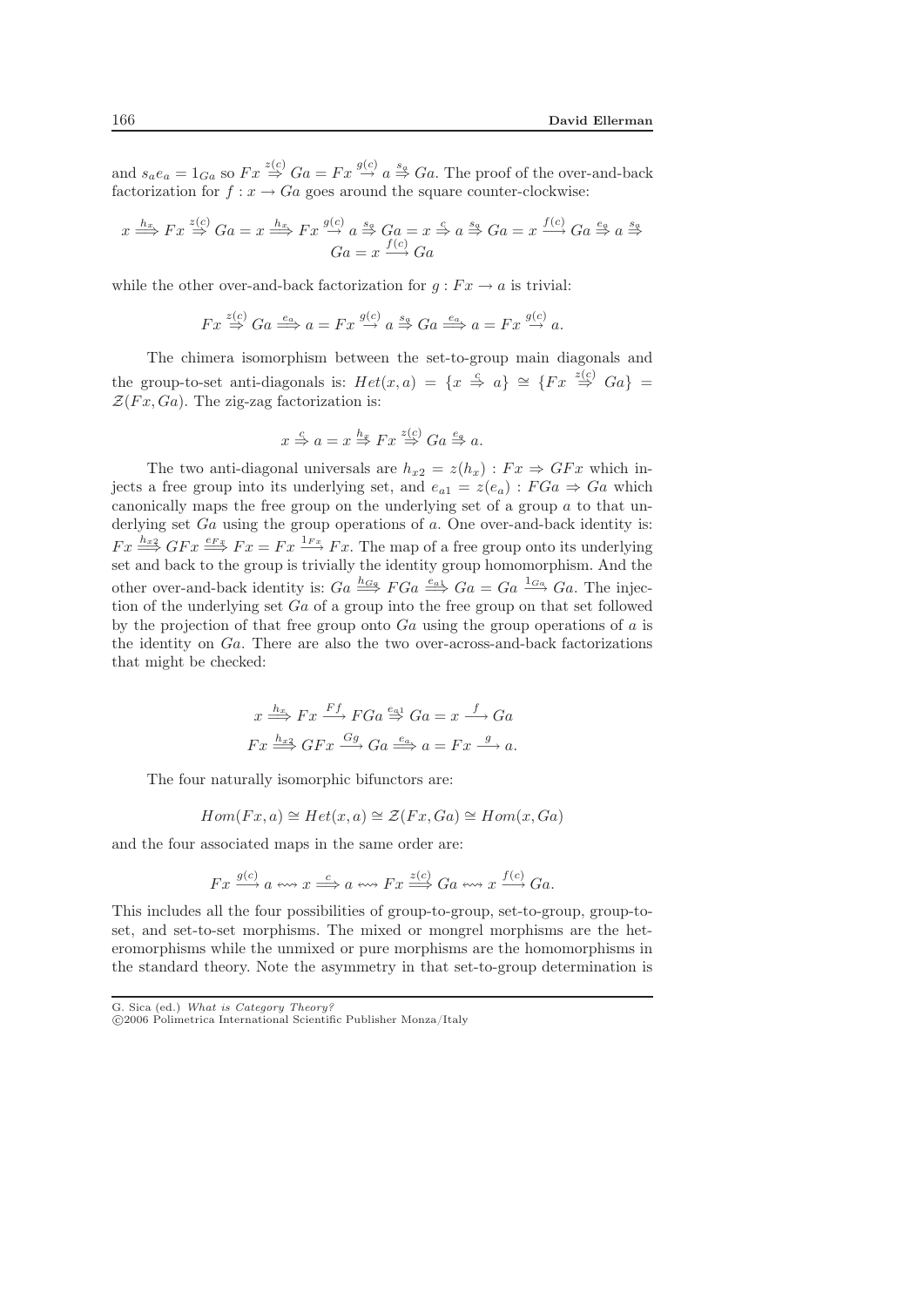and  $s_a e_a = 1_{Ga}$  so  $Fx \stackrel{z(c)}{\Rightarrow} Ga = Fx \stackrel{g(c)}{\rightarrow} a \stackrel{s_a}{\Rightarrow} Ga$ . The proof of the over-and-back factorization for  $f: x \to Ga$  goes around the square counter-clockwise:

$$
x \xrightarrow{h_x} Fx \xrightarrow{z(c)} Ga = x \xrightarrow{h_x} Fx \xrightarrow{g(c)} a \xrightarrow{s_g} Ga = x \xrightarrow{c} a \xrightarrow{s_g} Ga = x \xrightarrow{f(c)} Ga \xrightarrow{e_g} a \xrightarrow{s_g} Ga
$$

$$
Ga = x \xrightarrow{f(c)} Ga
$$

while the other over-and-back factorization for  $q : Fx \to a$  is trivial:

$$
Fx \stackrel{z(c)}{\Rightarrow} Ga \stackrel{e_a}{\Longrightarrow} a = Fx \stackrel{g(c)}{\rightarrow} a \stackrel{s_a}{\Rightarrow} Ga \stackrel{e_a}{\Longrightarrow} a = Fx \stackrel{g(c)}{\rightarrow} a.
$$

The chimera isomorphism between the set-to-group main diagonals and the group-to-set anti-diagonals is:  $Het(x,a)$  = { $x \stackrel{c}{\Rightarrow} a$ }  $\cong$  { $Fx \stackrel{z(c)}{\Rightarrow} Ga$ } =  $\mathcal{Z}(Fx,Ga)$ . The zig-zag factorization is:

$$
x \stackrel{c}{\Rightarrow} a = x \stackrel{h_x}{\Rightarrow} Fx \stackrel{z(c)}{\Rightarrow} Ga \stackrel{e_a}{\Rightarrow} a.
$$

The two anti-diagonal universals are  $h_{x2} = z(h_x) : F_x \Rightarrow G F_x$  which injects a free group into its underlying set, and  $e_{a1} = z(e_a) : FG_a \Rightarrow Ga$  which canonically maps the free group on the underlying set of a group a to that underlying set  $Ga$  using the group operations of  $a$ . One over-and-back identity is:  $Fx \stackrel{h_{x2}}{\Longrightarrow} GFx \stackrel{e_{Fx}}{\Longrightarrow} Fx = Fx \stackrel{1_{Fx}}{\longrightarrow} Fx$ . The map of a free group onto its underlying set and back to the group is trivially the identity group homomorphism. And the other over-and-back identity is:  $Ga \stackrel{h_{Ga}}{\Longrightarrow} FGa \stackrel{e_{a1}}{\Longrightarrow} Ga = Ga \stackrel{1_{Ga}}{\Longrightarrow} Ga$ . The injection of the underlying set  $Ga$  of a group into the free group on that set followed by the projection of that free group onto  $Ga$  using the group operations of a is the identity on Ga. There are also the two over-across-and-back factorizations that might be checked:

$$
x \stackrel{h_x}{\Longrightarrow} Fx \stackrel{Ff}{\longrightarrow} FGa \stackrel{e_{a1}}{\Rightarrow} Ga = x \stackrel{f}{\longrightarrow} Ga
$$

$$
Fx \stackrel{h_{x2}}{\Longrightarrow} GFx \stackrel{Gg}{\longrightarrow} Ga \stackrel{e_{a}}{\Longrightarrow} a = Fx \stackrel{g}{\longrightarrow} a.
$$

The four naturally isomorphic bifunctors are:

$$
Hom(Fx, a) \cong Het(x, a) \cong \mathcal{Z}(Fx, Ga) \cong Hom(x, Ga)
$$

and the four associated maps in the same order are:

$$
Fx \xrightarrow{g(c)} a \leftrightarrow x \xrightarrow{c} a \leftrightarrow Fx \xrightarrow{z(c)} Ga \leftrightarrow x \xrightarrow{f(c)} Ga.
$$

This includes all the four possibilities of group-to-group, set-to-group, group-toset, and set-to-set morphisms. The mixed or mongrel morphisms are the heteromorphisms while the unmixed or pure morphisms are the homomorphisms in the standard theory. Note the asymmetry in that set-to-group determination is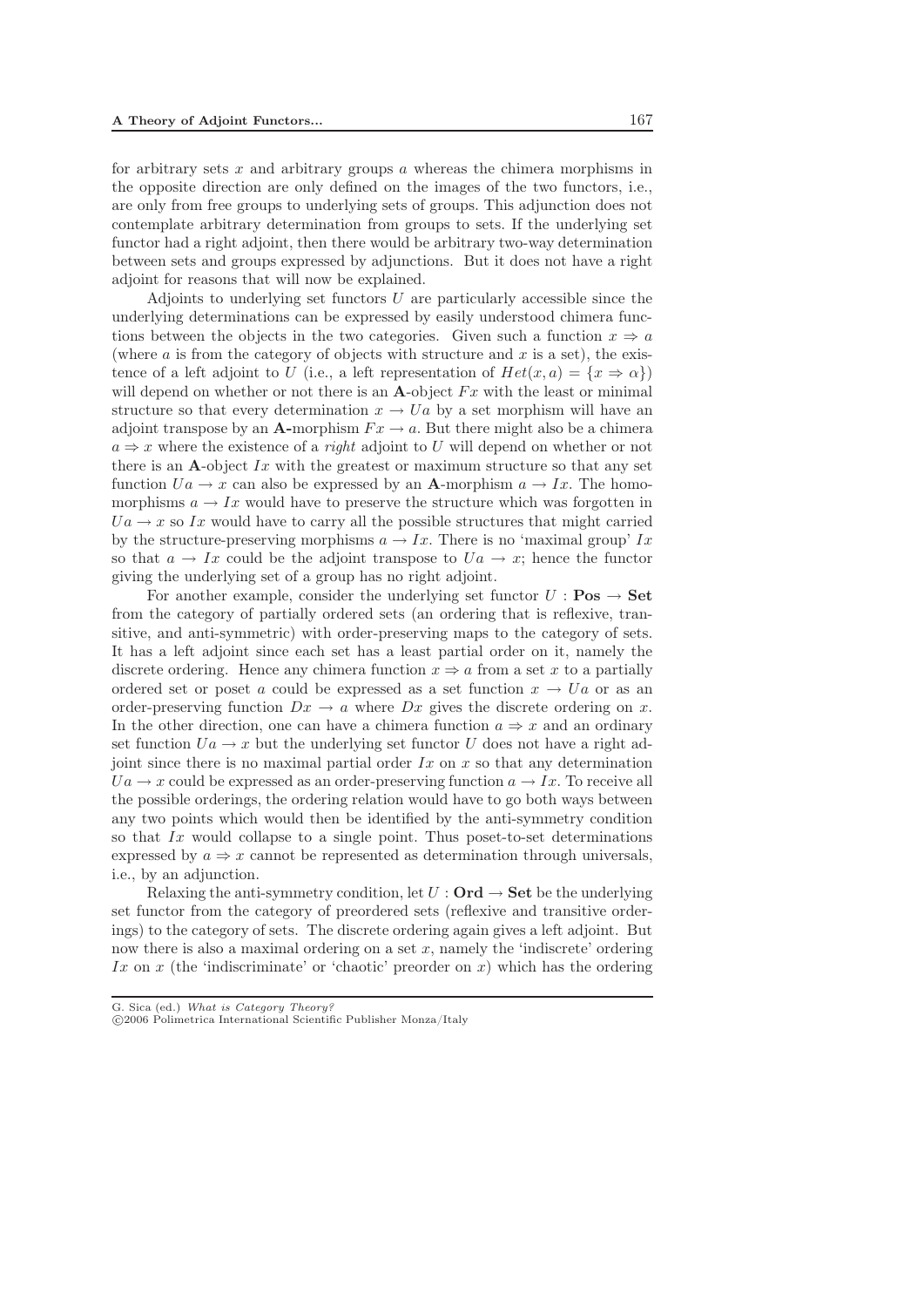for arbitrary sets  $x$  and arbitrary groups  $\alpha$  whereas the chimera morphisms in the opposite direction are only defined on the images of the two functors, i.e., are only from free groups to underlying sets of groups. This adjunction does not contemplate arbitrary determination from groups to sets. If the underlying set functor had a right adjoint, then there would be arbitrary two-way determination between sets and groups expressed by adjunctions. But it does not have a right adjoint for reasons that will now be explained.

Adjoints to underlying set functors  $U$  are particularly accessible since the underlying determinations can be expressed by easily understood chimera functions between the objects in the two categories. Given such a function  $x \Rightarrow a$ (where  $\alpha$  is from the category of objects with structure and  $x$  is a set), the existence of a left adjoint to U (i.e., a left representation of  $Het(x,a)=\{x\Rightarrow\alpha\}$ ) will depend on whether or not there is an  $\mathbf{A}$ -object  $Fx$  with the least or minimal structure so that every determination  $x \to Ua$  by a set morphism will have an adjoint transpose by an **A**-morphism  $Fx \rightarrow a$ . But there might also be a chimera a ⇒ x where the existence of a *right* adjoint to U will depend on whether or not there is an A-object  $Ix$  with the greatest or maximum structure so that any set function  $Ua \rightarrow x$  can also be expressed by an **A**-morphism  $a \rightarrow Ix$ . The homomorphisms  $a \to Ix$  would have to preserve the structure which was forgotten in  $Ua \rightarrow x$  so Ix would have to carry all the possible structures that might carried by the structure-preserving morphisms  $a \to Ix$ . There is no 'maximal group' Ix so that  $a \to Ix$  could be the adjoint transpose to  $Ua \to x$ ; hence the functor giving the underlying set of a group has no right adjoint.

For another example, consider the underlying set functor  $U : \textbf{Pos} \to \textbf{Set}$ from the category of partially ordered sets (an ordering that is reflexive, transitive, and anti-symmetric) with order-preserving maps to the category of sets. It has a left adjoint since each set has a least partial order on it, namely the discrete ordering. Hence any chimera function  $x \Rightarrow a$  from a set x to a partially ordered set or poset a could be expressed as a set function  $x \to Ua$  or as an order-preserving function  $Dx \to a$  where  $Dx$  gives the discrete ordering on x. In the other direction, one can have a chimera function  $a \Rightarrow x$  and an ordinary set function  $Ua \rightarrow x$  but the underlying set functor U does not have a right adjoint since there is no maximal partial order  $Ix$  on  $x$  so that any determination  $Ua \rightarrow x$  could be expressed as an order-preserving function  $a \rightarrow Ix$ . To receive all the possible orderings, the ordering relation would have to go both ways between any two points which would then be identified by the anti-symmetry condition so that  $Ix$  would collapse to a single point. Thus poset-to-set determinations expressed by  $a \Rightarrow x$  cannot be represented as determination through universals, i.e., by an adjunction.

Relaxing the anti-symmetry condition, let  $U : \mathbf{Ord} \to \mathbf{Set}$  be the underlying set functor from the category of preordered sets (reflexive and transitive orderings) to the category of sets. The discrete ordering again gives a left adjoint. But now there is also a maximal ordering on a set  $x$ , namely the 'indiscrete' ordering Ix on x (the 'indiscriminate' or 'chaotic' preorder on x) which has the ordering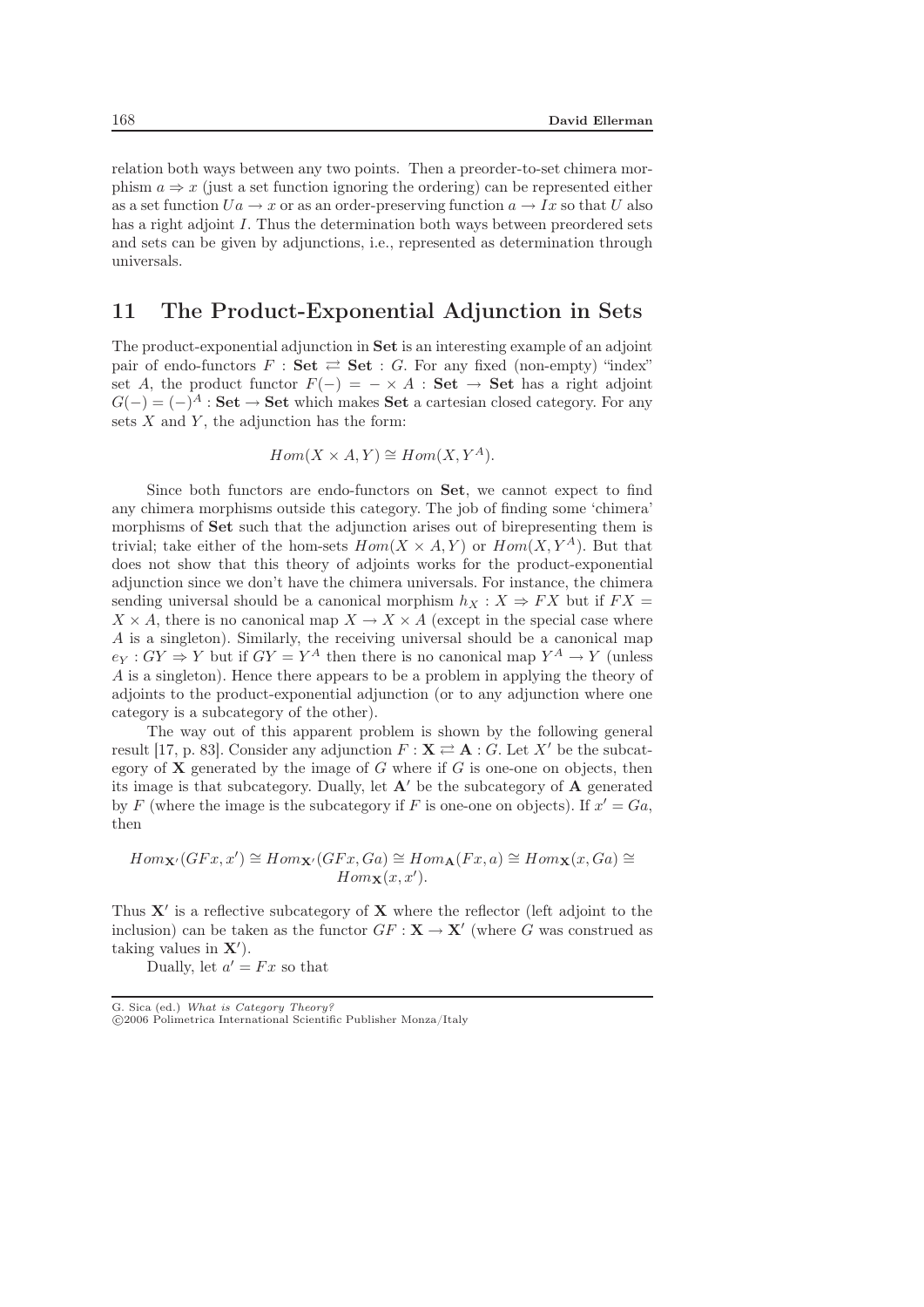relation both ways between any two points. Then a preorder-to-set chimera morphism  $a \Rightarrow x$  (just a set function ignoring the ordering) can be represented either as a set function  $Ua \to x$  or as an order-preserving function  $a \to Ix$  so that U also has a right adjoint I. Thus the determination both ways between preordered sets and sets can be given by adjunctions, i.e., represented as determination through universals.

## 11 The Product-Exponential Adjunction in Sets

The product-exponential adjunction in **Set** is an interesting example of an adjoint pair of endo-functors  $F : \mathbf{Set} \rightleftarrows \mathbf{Set} : G$ . For any fixed (non-empty) "index" set A, the product functor  $F(-) = - \times A$ : **Set**  $\rightarrow$  **Set** has a right adjoint  $G(-) = (-)^A : \mathbf{Set} \to \mathbf{Set}$  which makes **Set** a cartesian closed category. For any sets  $X$  and  $Y$ , the adjunction has the form:

$$
Hom(X \times A, Y) \cong Hom(X, Y^A).
$$

Since both functors are endo-functors on **Set**, we cannot expect to find any chimera morphisms outside this category. The job of finding some 'chimera' morphisms of **Set** such that the adjunction arises out of birepresenting them is trivial; take either of the hom-sets  $Hom(X \times A, Y)$  or  $Hom(X, Y^A)$ . But that does not show that this theory of adjoints works for the product-exponential adjunction since we don't have the chimera universals. For instance, the chimera sending universal should be a canonical morphism  $h_X : X \Rightarrow FX$  but if  $FX =$  $X \times A$ , there is no canonical map  $X \to X \times A$  (except in the special case where A is a singleton). Similarly, the receiving universal should be a canonical map  $e_Y : GY \Rightarrow Y$  but if  $GY = Y^A$  then there is no canonical map  $Y^A \to Y$  (unless A is a singleton). Hence there appears to be a problem in applying the theory of adjoints to the product-exponential adjunction (or to any adjunction where one category is a subcategory of the other).

The way out of this apparent problem is shown by the following general result [17, p. 83]. Consider any adjunction  $F : \mathbf{X} \rightleftarrows \mathbf{A} : G$ . Let X' be the subcategory of  $X$  generated by the image of  $G$  where if  $G$  is one-one on objects, then its image is that subcategory. Dually, let  $A'$  be the subcategory of  $A$  generated by F (where the image is the subcategory if F is one-one on objects). If  $x' = Ga$ , then

$$
Hom_{\mathbf{X}'}(GFx, x') \cong Hom_{\mathbf{X}'}(GFx, Ga) \cong Hom_{\mathbf{A}}(Fx, a) \cong Hom_{\mathbf{X}}(x, Ga) \cong Hom_{\mathbf{X}}(x, Ga)
$$

Thus **X** is a reflective subcategory of **X** where the reflector (left adjoint to the inclusion) can be taken as the functor  $GF : \mathbf{X} \to \mathbf{X}'$  (where G was construed as taking values in **X** ).

Dually, let  $a' = Fx$  so that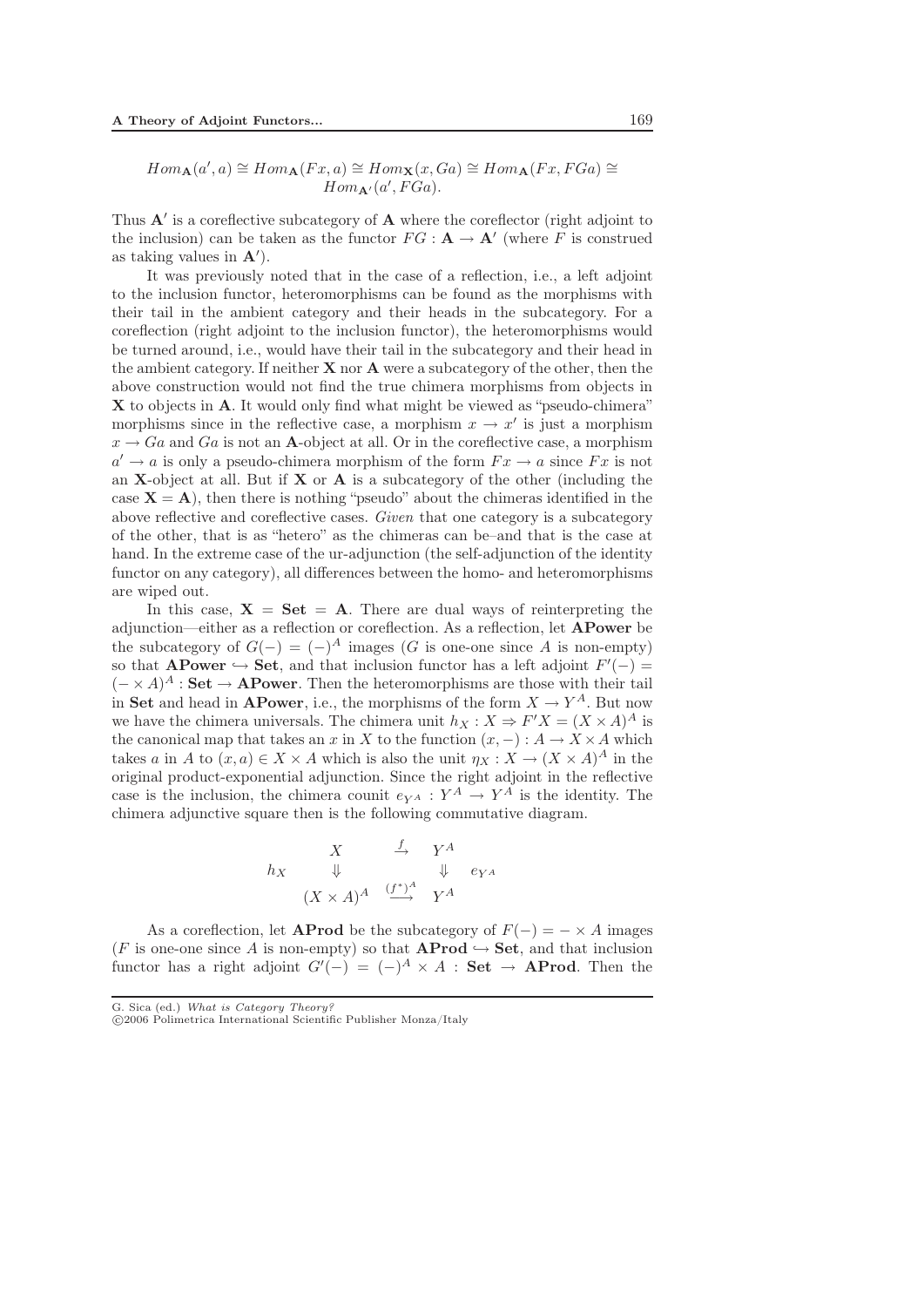$$
Hom_{\mathbf{A}}(a',a) \cong Hom_{\mathbf{A}}(Fx,a) \cong Hom_{\mathbf{X}}(x,Ga) \cong Hom_{\mathbf{A}}(Fx,FGa) \cong Hom_{\mathbf{A}'}(a',FGa).
$$

Thus **A**' is a coreflective subcategory of **A** where the coreflector (right adjoint to the inclusion) can be taken as the functor  $FG : \mathbf{A} \to \mathbf{A}'$  (where F is construed as taking values in **A** ).

It was previously noted that in the case of a reflection, i.e., a left adjoint to the inclusion functor, heteromorphisms can be found as the morphisms with their tail in the ambient category and their heads in the subcategory. For a coreflection (right adjoint to the inclusion functor), the heteromorphisms would be turned around, i.e., would have their tail in the subcategory and their head in the ambient category. If neither **X** nor **A** were a subcategory of the other, then the above construction would not find the true chimera morphisms from objects in **X** to objects in **A**. It would only find what might be viewed as "pseudo-chimera" morphisms since in the reflective case, a morphism  $x \to x'$  is just a morphism  $x \to Ga$  and Ga is not an **A**-object at all. Or in the coreflective case, a morphism  $a' \rightarrow a$  is only a pseudo-chimera morphism of the form  $Fx \rightarrow a$  since  $Fx$  is not an **X**-object at all. But if **X** or **A** is a subcategory of the other (including the case  $X = A$ ), then there is nothing "pseudo" about the chimeras identified in the above reflective and coreflective cases. *Given* that one category is a subcategory of the other, that is as "hetero" as the chimeras can be–and that is the case at hand. In the extreme case of the ur-adjunction (the self-adjunction of the identity functor on any category), all differences between the homo- and heteromorphisms are wiped out.

In this case,  $X = Set = A$ . There are dual ways of reinterpreting the adjunction—either as a reflection or coreflection. As a reflection, let **APower** be the subcategory of  $G(-) = (-)^A$  images (G is one-one since A is non-empty) so that **APower**  $\hookrightarrow$  **Set**, and that inclusion functor has a left adjoint  $F'(-) =$  $(- \times A)^A$ : **Set**  $\rightarrow$  **APower**. Then the heteromorphisms are those with their tail in **Set** and head in **APower**, i.e., the morphisms of the form  $X \to Y^A$ . But now we have the chimera universals. The chimera unit  $h_X : X \Rightarrow F'X = (X \times A)^A$  is the canonical map that takes an x in X to the function  $(x, -) : A \to X \times A$  which takes a in A to  $(x, a) \in X \times A$  which is also the unit  $\eta_X : X \to (X \times A)^A$  in the original product-exponential adjunction. Since the right adjoint in the reflective case is the inclusion, the chimera counit  $e_{Y^A}: Y^A \to Y^A$  is the identity. The chimera adjunctive square then is the following commutative diagram.

$$
h_X \xrightarrow{\qquad X \qquad \xrightarrow{f} \qquad Y^A \qquad}_{\qquad \downarrow \qquad \downarrow \qquad e_{Y^A}
$$
\n
$$
(X \times A)^A \xrightarrow{(f^*)^A} Y^A
$$

As a coreflection, let **AProd** be the subcategory of  $F(-) = - \times A$  images (F is one-one since A is non-empty) so that **AProd**  $\hookrightarrow$  **Set**, and that inclusion functor has a right adjoint  $G'(-) = (-)^A \times A$  : **Set**  $\rightarrow$  **AProd**. Then the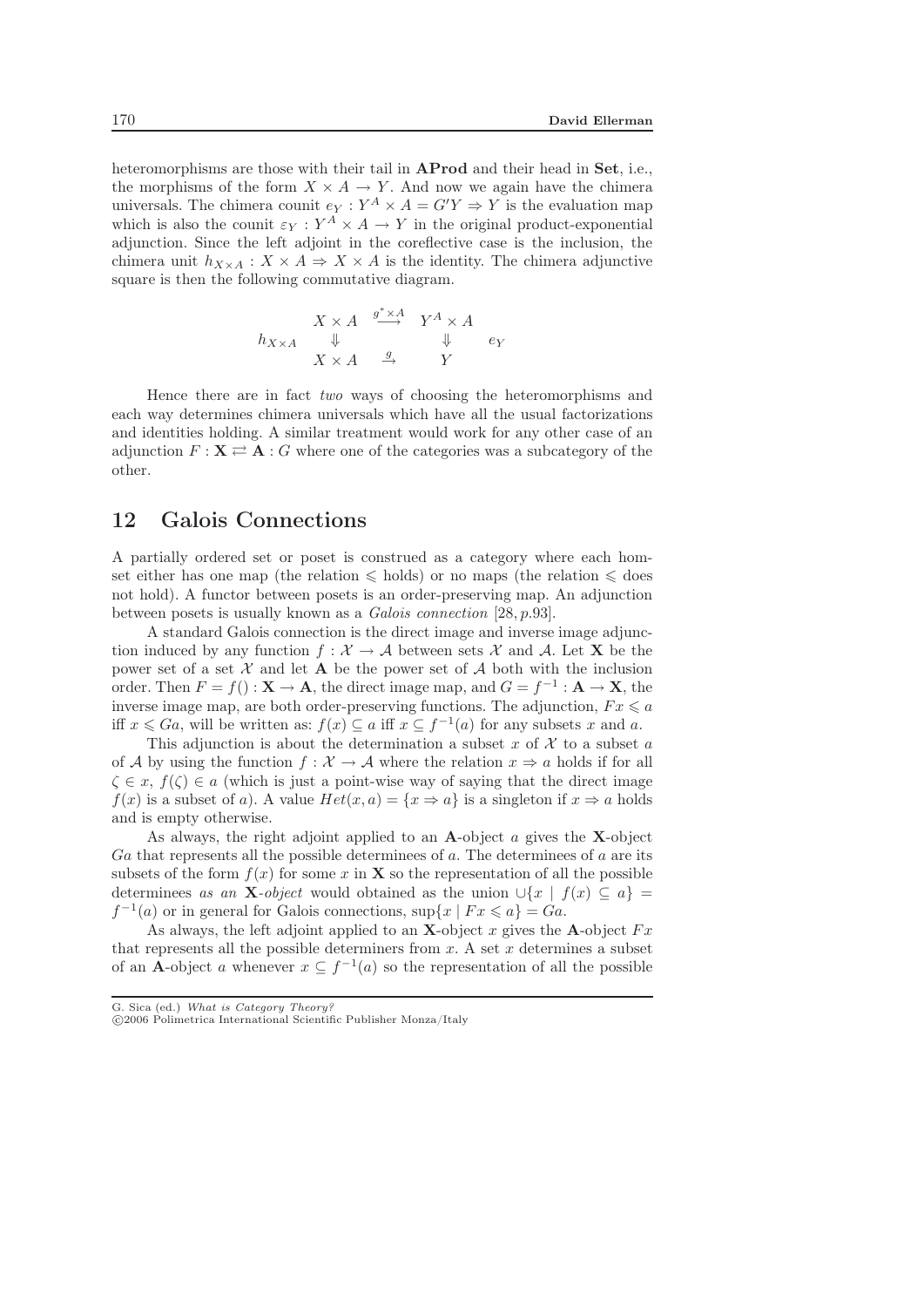heteromorphisms are those with their tail in **AProd** and their head in **Set**, i.e., the morphisms of the form  $X \times A \rightarrow Y$ . And now we again have the chimera universals. The chimera counit  $e_Y : Y^A \times A = G'Y \Rightarrow Y$  is the evaluation map which is also the counit  $\varepsilon_Y : Y^A \times A \to Y$  in the original product-exponential adjunction. Since the left adjoint in the coreflective case is the inclusion, the chimera unit  $h_{X\times A}: X\times A \Rightarrow X\times A$  is the identity. The chimera adjunctive square is then the following commutative diagram.

$$
\begin{array}{ccc}\n & X \times A & \xrightarrow{g^* \times A} & Y^A \times A \\
\Downarrow & & \Downarrow & & \Downarrow & e_Y \\
 & X \times A & \xrightarrow{g} & Y & \\
\end{array}
$$

Hence there are in fact *two* ways of choosing the heteromorphisms and each way determines chimera universals which have all the usual factorizations and identities holding. A similar treatment would work for any other case of an adjunction  $F: \mathbf{X} \rightleftarrows \mathbf{A} : G$  where one of the categories was a subcategory of the other.

## 12 Galois Connections

A partially ordered set or poset is construed as a category where each homset either has one map (the relation  $\leqslant$  holds) or no maps (the relation  $\leqslant$  does not hold). A functor between posets is an order-preserving map. An adjunction between posets is usually known as a *Galois connection* [28, p.93].

A standard Galois connection is the direct image and inverse image adjunction induced by any function  $f : \mathcal{X} \to \mathcal{A}$  between sets  $\mathcal{X}$  and  $\mathcal{A}$ . Let **X** be the power set of a set  $\mathcal X$  and let **A** be the power set of  $\mathcal A$  both with the inclusion order. Then  $F = f() : \mathbf{X} \to \mathbf{A}$ , the direct image map, and  $G = f^{-1} : \mathbf{A} \to \mathbf{X}$ , the inverse image map, are both order-preserving functions. The adjunction,  $Fx\leqslant a$ iff  $x \leq Ga$ , will be written as:  $f(x) \subseteq a$  iff  $x \subseteq f^{-1}(a)$  for any subsets x and a.

This adjunction is about the determination a subset x of X to a subset a of A by using the function  $f: \mathcal{X} \to \mathcal{A}$  where the relation  $x \Rightarrow a$  holds if for all  $\zeta \in x$ ,  $f(\zeta) \in a$  (which is just a point-wise way of saying that the direct image  $f(x)$  is a subset of a). A value  $Het(x,a)=\{x\Rightarrow a\}$  is a singleton if  $x\Rightarrow a$  holds and is empty otherwise.

As always, the right adjoint applied to an **A**-object a gives the **X**-object  $Ga$  that represents all the possible determinees of a. The determinees of a are its subsets of the form  $f(x)$  for some x in **X** so the representation of all the possible determinees *as an* **X***-object* would obtained as the union  $\cup \{x \mid f(x) \subseteq a\}$  $f^{-1}(a)$  or in general for Galois connections,  $\sup\{x \mid Fx \leq a\} = Ga$ .

As always, the left adjoint applied to an **X**-object x gives the **A**-object  $Fx$ that represents all the possible determiners from  $x$ . A set  $x$  determines a subset of an **A**-object a whenever  $x \subseteq f^{-1}(a)$  so the representation of all the possible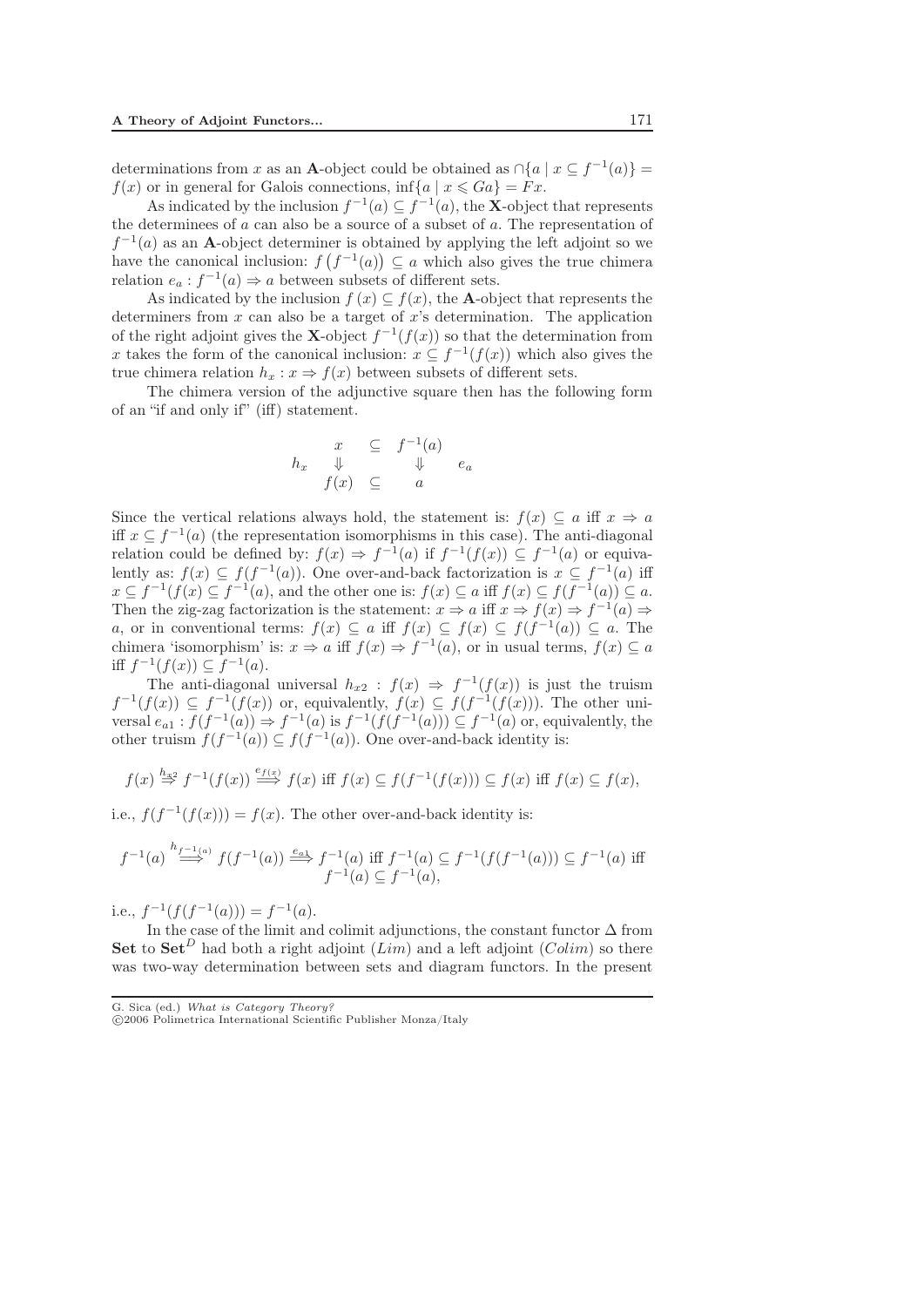determinations from x as an **A**-object could be obtained as  $\cap$ {a | x  $\subset$  f<sup>-1</sup>(a)} =  $f(x)$  or in general for Galois connections,  $\inf\{a \mid x \leq G a\} = Fx$ .

As indicated by the inclusion  $f^{-1}(a) \subseteq f^{-1}(a)$ , the **X**-object that represents the determinees of  $a$  can also be a source of a subset of  $a$ . The representation of  $f^{-1}(a)$  as an **A**-object determiner is obtained by applying the left adjoint so we have the canonical inclusion:  $f(f^{-1}(a)) \subseteq a$  which also gives the true chimera relation  $e_a : f^{-1}(a) \Rightarrow a$  between subsets of different sets.

As indicated by the inclusion  $f(x) \subseteq f(x)$ , the **A**-object that represents the determiners from  $x$  can also be a target of  $x$ 's determination. The application of the right adjoint gives the **X**-object  $f^{-1}(f(x))$  so that the determination from x takes the form of the canonical inclusion:  $x \nsubseteq f^{-1}(f(x))$  which also gives the true chimera relation  $h_x : x \Rightarrow f(x)$  between subsets of different sets.

The chimera version of the adjunctive square then has the following form of an "if and only if" (iff) statement.

$$
h_x \quad \downarrow \quad \subseteq \quad f^{-1}(a)
$$
  

$$
f(x) \quad \subseteq \quad a \quad e_a
$$

Since the vertical relations always hold, the statement is:  $f(x) \subseteq a$  iff  $x \Rightarrow a$ iff  $x \text{ }\subset f^{-1}(a)$  (the representation isomorphisms in this case). The anti-diagonal relation could be defined by:  $f(x) \Rightarrow f^{-1}(a)$  if  $f^{-1}(f(x)) \subseteq f^{-1}(a)$  or equivalently as:  $f(x) \subseteq f(f^{-1}(a))$ . One over-and-back factorization is  $x \subseteq f^{-1}(a)$  iff  $x \nsubseteq f^{-1}(f(x) \subseteq f^{-1}(a))$ , and the other one is:  $f(x) \subseteq a$  iff  $f(x) \subseteq f(f^{-1}(a)) \subseteq a$ . Then the zig-zag factorization is the statement:  $x \Rightarrow a$  iff  $x \Rightarrow f(x) \Rightarrow f^{-1}(a) \Rightarrow$ a, or in conventional terms:  $f(x) \subseteq a$  iff  $f(x) \subseteq f(x) \subseteq f(f^{-1}(a)) \subseteq a$ . The chimera 'isomorphism' is:  $x \Rightarrow a$  iff  $f(x) \Rightarrow f^{-1}(a)$ , or in usual terms,  $f(x) \subseteq a$ iff  $f^{-1}(f(x)) \subseteq f^{-1}(a)$ .

The anti-diagonal universal  $h_{x2}$ :  $f(x) \Rightarrow f^{-1}(f(x))$  is just the truism  $f^{-1}(f(x)) \subseteq f^{-1}(f(x))$  or, equivalently,  $f(x) \subseteq f(f^{-1}(f(x)))$ . The other universal  $e_{a1}$ :  $f(f^{-1}(a)) \Rightarrow f^{-1}(a)$  is  $f^{-1}(f(f^{-1}(a))) \subseteq f^{-1}(a)$  or, equivalently, the other truism  $f(f^{-1}(a)) \subset f(f^{-1}(a))$ . One over-and-back identity is:

$$
f(x) \stackrel{h_{x2}}{\Rightarrow} f^{-1}(f(x)) \stackrel{e_{f(x)}}{\Longrightarrow} f(x) \text{ iff } f(x) \subseteq f(f^{-1}(f(x))) \subseteq f(x) \text{ iff } f(x) \subseteq f(x),
$$

i.e.,  $f(f^{-1}(f(x))) = f(x)$ . The other over-and-back identity is:

$$
f^{-1}(a) \stackrel{h_{f^{-1}(a)}}{\Longrightarrow} f(f^{-1}(a)) \stackrel{e_{a_1}}{\Longrightarrow} f^{-1}(a) \text{ iff } f^{-1}(a) \subseteq f^{-1}(f(f^{-1}(a))) \subseteq f^{-1}(a) \text{ iff }
$$
  
 $f^{-1}(a) \subseteq f^{-1}(a),$ 

i.e.,  $f^{-1}(f(f^{-1}(a))) = f^{-1}(a)$ .

In the case of the limit and colimit adjunctions, the constant functor  $\Delta$  from **Set** to **Set**<sup>D</sup> had both a right adjoint (Lim) and a left adjoint (Colim) so there was two-way determination between sets and diagram functors. In the present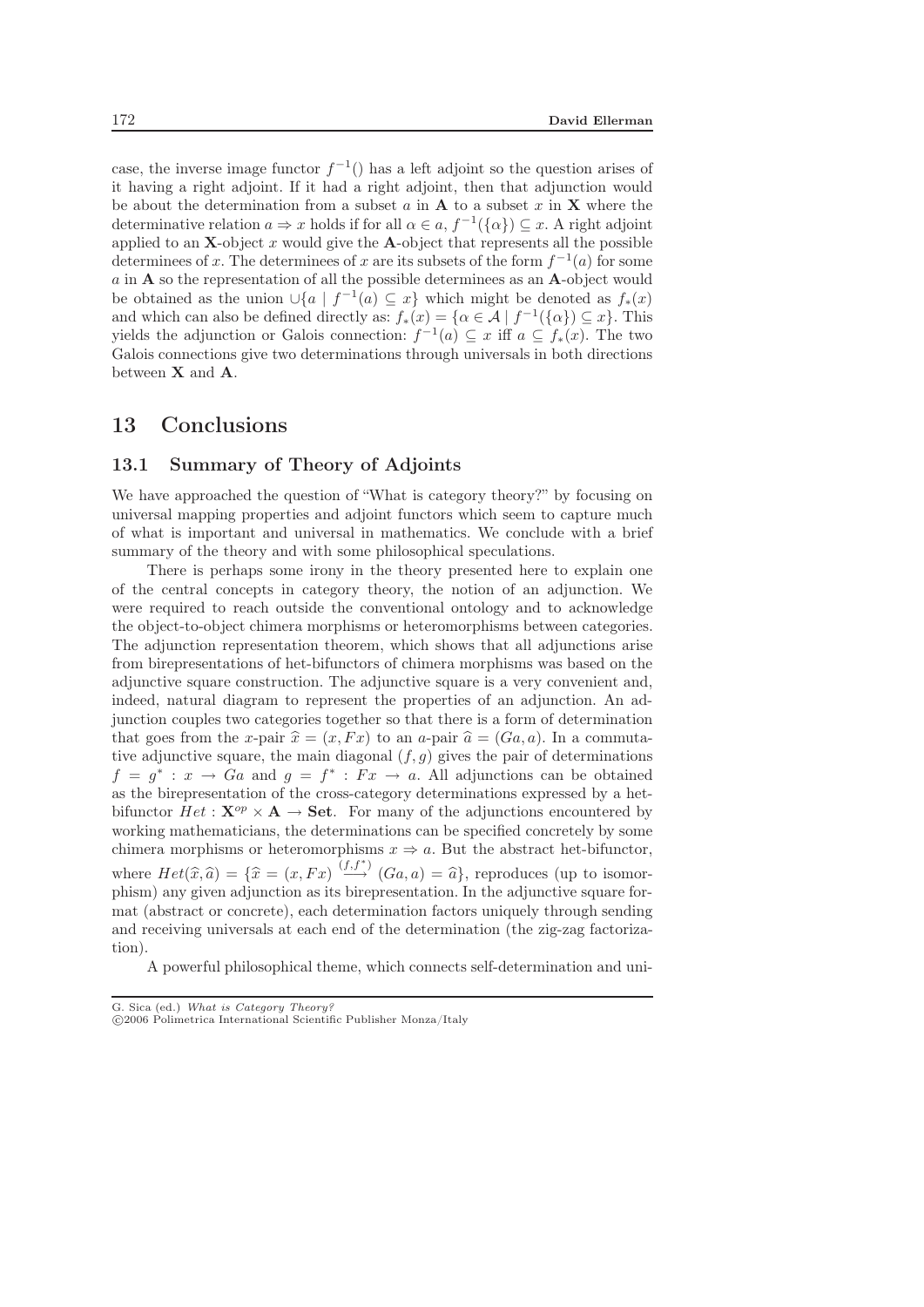case, the inverse image functor  $f^{-1}$ () has a left adjoint so the question arises of it having a right adjoint. If it had a right adjoint, then that adjunction would be about the determination from a subset  $a$  in  $A$  to a subset  $x$  in  $X$  where the determinative relation  $a \Rightarrow x$  holds if for all  $\alpha \in a$ ,  $f^{-1}(\{\alpha\}) \subseteq x$ . A right adjoint applied to an  $X$ -object x would give the  $A$ -object that represents all the possible determinees of x. The determinees of x are its subsets of the form  $f^{-1}(a)$  for some a in **A** so the representation of all the possible determinees as an **A**-object would be obtained as the union ∪{a |  $f^{-1}(a) \subseteq x$ } which might be denoted as  $f_*(x)$ and which can also be defined directly as:  $f_*(x) = {\alpha \in \mathcal{A} \mid f^{-1}(\{\alpha\}) \subset x}$ . This yields the adjunction or Galois connection:  $f^{-1}(a) \subseteq x$  iff  $a \subseteq f_*(x)$ . The two Galois connections give two determinations through universals in both directions between **X** and **A**.

# 13 Conclusions

#### 13.1 Summary of Theory of Adjoints

We have approached the question of "What is category theory?" by focusing on universal mapping properties and adjoint functors which seem to capture much of what is important and universal in mathematics. We conclude with a brief summary of the theory and with some philosophical speculations.

There is perhaps some irony in the theory presented here to explain one of the central concepts in category theory, the notion of an adjunction. We were required to reach outside the conventional ontology and to acknowledge the object-to-object chimera morphisms or heteromorphisms between categories. The adjunction representation theorem, which shows that all adjunctions arise from birepresentations of het-bifunctors of chimera morphisms was based on the adjunctive square construction. The adjunctive square is a very convenient and, indeed, natural diagram to represent the properties of an adjunction. An adjunction couples two categories together so that there is a form of determination that goes from the x-pair  $\hat{x} = (x, Fx)$  to an a-pair  $\hat{a} = (Ga, a)$ . In a commuta-<br>tive adjunctive square, the main diagonal (f, a) gives the pair of determinations tive adjunctive square, the main diagonal  $(f,g)$  gives the pair of determinations  $f = g^* : x \to Ga$  and  $g = f^* : Fx \to a$ . All adjunctions can be obtained as the birepresentation of the cross-category determinations expressed by a hetbifunctor  $Het:\mathbf{X}^{op}\times\mathbf{A}\rightarrow\mathbf{Set}$ . For many of the adjunctions encountered by working mathematicians, the determinations can be specified concretely by some chimera morphisms or heteromorphisms  $x \Rightarrow a$ . But the abstract het-bifunctor, where  $Het(\widehat{x},\widehat{a})=\{\widehat{x}=(x,Fx)\stackrel{(f,f^*)}{\longrightarrow}(Ga,a)=\widehat{a}\}\text{, reproduces (up to isomorphism) any given solution as its biran  
reaction. In the adjunctive square for$ phism) any given adjunction as its birepresentation. In the adjunctive square format (abstract or concrete), each determination factors uniquely through sending and receiving universals at each end of the determination (the zig-zag factorization).

A powerful philosophical theme, which connects self-determination and uni-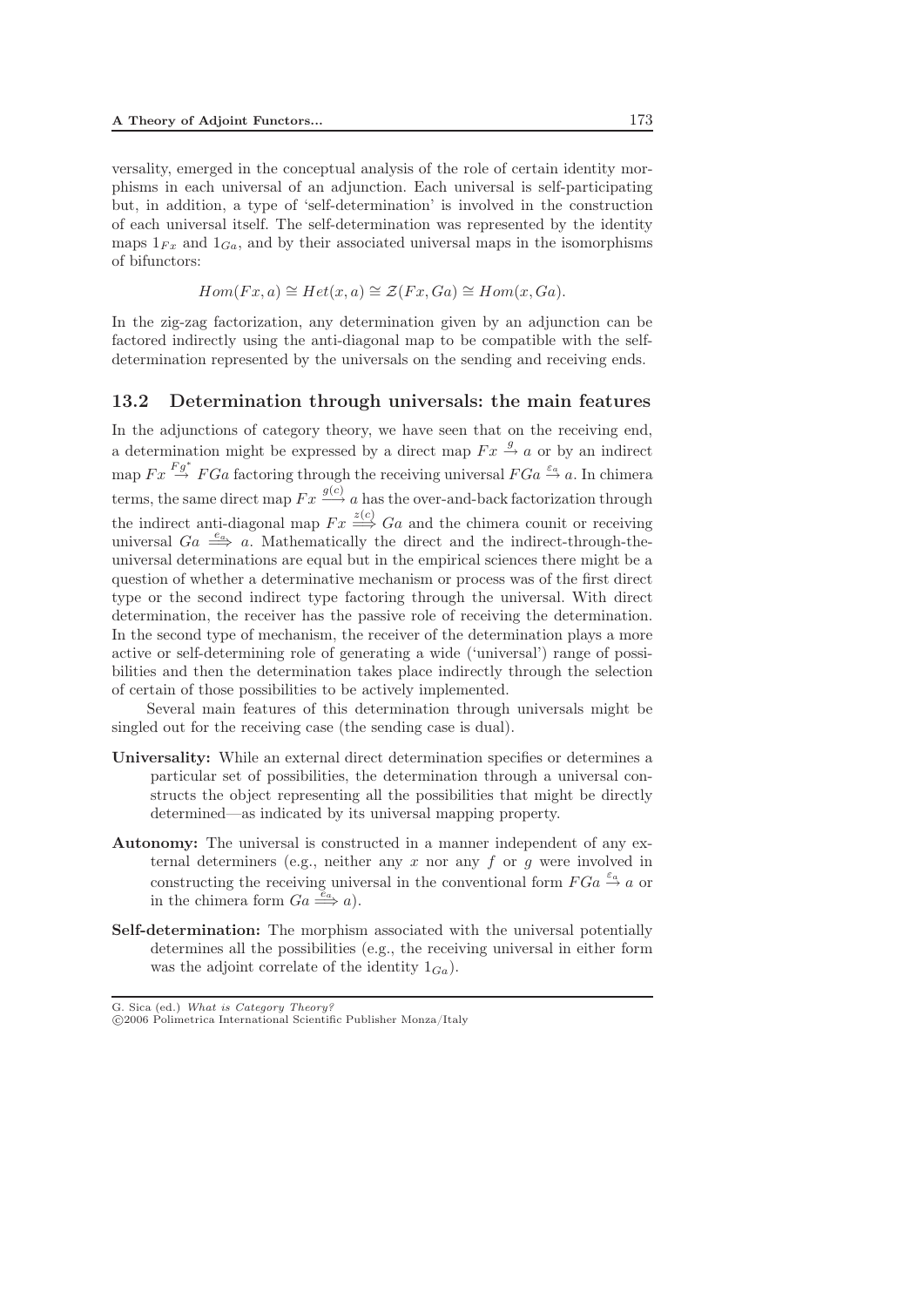versality, emerged in the conceptual analysis of the role of certain identity morphisms in each universal of an adjunction. Each universal is self-participating but, in addition, a type of 'self-determination' is involved in the construction of each universal itself. The self-determination was represented by the identity maps  $1_{Fx}$  and  $1_{Ga}$ , and by their associated universal maps in the isomorphisms of bifunctors:

$$
Hom(Fx, a) \cong Het(x, a) \cong \mathcal{Z}(Fx, Ga) \cong Hom(x, Ga).
$$

In the zig-zag factorization, any determination given by an adjunction can be factored indirectly using the anti-diagonal map to be compatible with the selfdetermination represented by the universals on the sending and receiving ends.

#### 13.2 Determination through universals: the main features

In the adjunctions of category theory, we have seen that on the receiving end, a determination might be expressed by a direct map  $Fx \stackrel{g}{\rightarrow} a$  or by an indirect map  $Fx \overset{Fg^*}{\rightarrow} FGa$  factoring through the receiving universal  $FGa \overset{\varepsilon_a}{\rightarrow} a$ . In chimera terms, the same direct map  $Fx \overset{g(c)}{\longrightarrow} a$  has the over-and-back factorization through the indirect anti-diagonal map  $Fx \stackrel{z(c)}{\Longrightarrow} Ga$  and the chimera counit or receiving universal  $Ga \stackrel{e_a}{\Longrightarrow} a$ . Mathematically the direct and the indirect-through-theuniversal determinations are equal but in the empirical sciences there might be a question of whether a determinative mechanism or process was of the first direct type or the second indirect type factoring through the universal. With direct determination, the receiver has the passive role of receiving the determination. In the second type of mechanism, the receiver of the determination plays a more active or self-determining role of generating a wide ('universal') range of possibilities and then the determination takes place indirectly through the selection of certain of those possibilities to be actively implemented.

Several main features of this determination through universals might be singled out for the receiving case (the sending case is dual).

- Universality: While an external direct determination specifies or determines a particular set of possibilities, the determination through a universal constructs the object representing all the possibilities that might be directly determined—as indicated by its universal mapping property.
- Autonomy: The universal is constructed in a manner independent of any external determiners (e.g., neither any  $x$  nor any  $f$  or  $g$  were involved in constructing the receiving universal in the conventional form  $FGa \stackrel{\varepsilon_a}{\rightarrow} a$  or in the chimera form  $Ga \stackrel{e_a}{\Longrightarrow} a$ ).
- Self-determination: The morphism associated with the universal potentially determines all the possibilities (e.g., the receiving universal in either form was the adjoint correlate of the identity  $1_{Ga}$ ).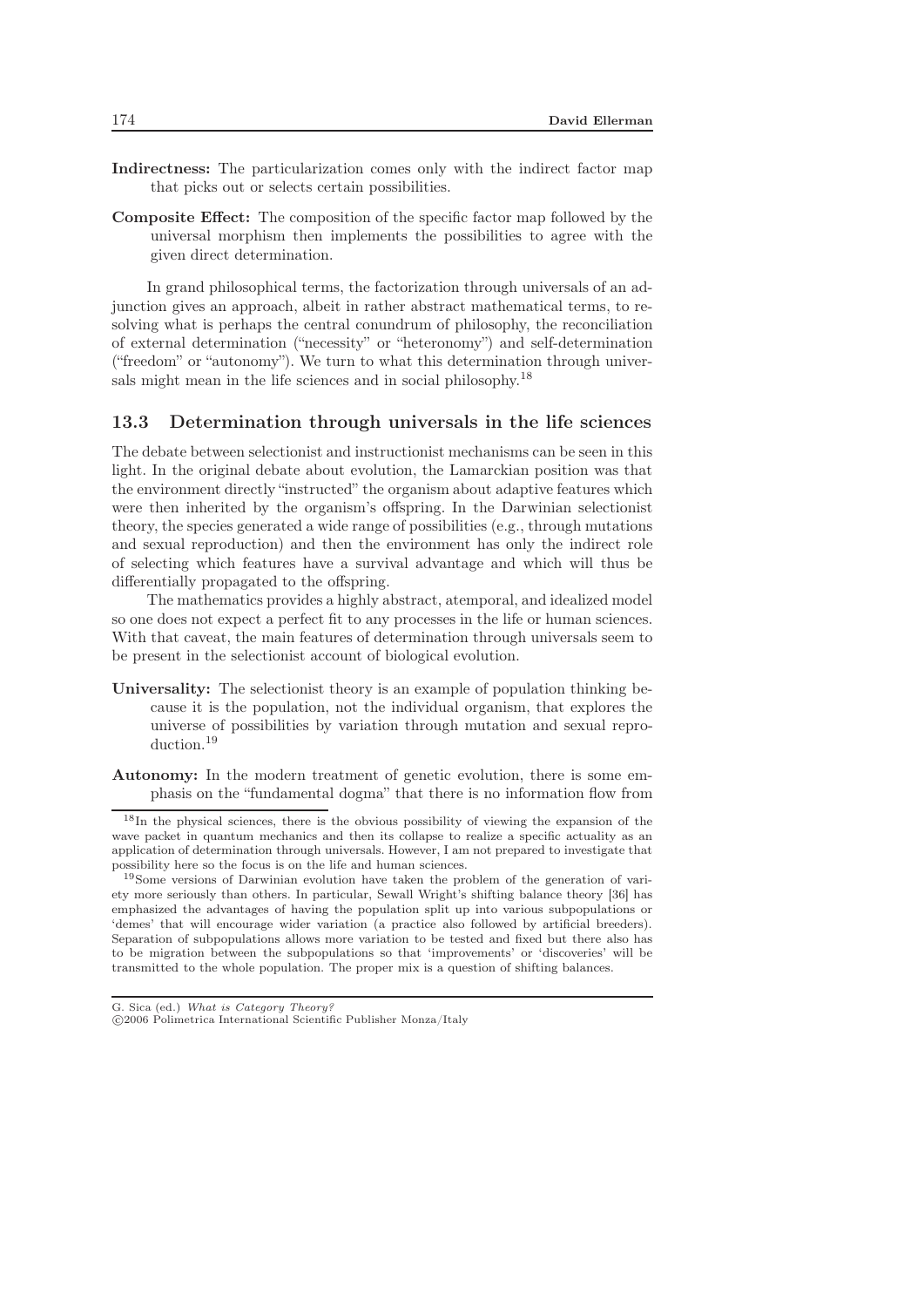- Indirectness: The particularization comes only with the indirect factor map that picks out or selects certain possibilities.
- Composite Effect: The composition of the specific factor map followed by the universal morphism then implements the possibilities to agree with the given direct determination.

In grand philosophical terms, the factorization through universals of an adjunction gives an approach, albeit in rather abstract mathematical terms, to resolving what is perhaps the central conundrum of philosophy, the reconciliation of external determination ("necessity" or "heteronomy") and self-determination ("freedom" or "autonomy"). We turn to what this determination through universals might mean in the life sciences and in social philosophy.<sup>18</sup>

#### 13.3 Determination through universals in the life sciences

The debate between selectionist and instructionist mechanisms can be seen in this light. In the original debate about evolution, the Lamarckian position was that the environment directly "instructed" the organism about adaptive features which were then inherited by the organism's offspring. In the Darwinian selectionist theory, the species generated a wide range of possibilities (e.g., through mutations and sexual reproduction) and then the environment has only the indirect role of selecting which features have a survival advantage and which will thus be differentially propagated to the offspring.

The mathematics provides a highly abstract, atemporal, and idealized model so one does not expect a perfect fit to any processes in the life or human sciences. With that caveat, the main features of determination through universals seem to be present in the selectionist account of biological evolution.

- Universality: The selectionist theory is an example of population thinking because it is the population, not the individual organism, that explores the universe of possibilities by variation through mutation and sexual reproduction.<sup>19</sup>
- Autonomy: In the modern treatment of genetic evolution, there is some emphasis on the "fundamental dogma" that there is no information flow from

<sup>18</sup>In the physical sciences, there is the obvious possibility of viewing the expansion of the wave packet in quantum mechanics and then its collapse to realize a specific actuality as an application of determination through universals. However, I am not prepared to investigate that possibility here so the focus is on the life and human sciences.

<sup>19</sup>Some versions of Darwinian evolution have taken the problem of the generation of variety more seriously than others. In particular, Sewall Wright's shifting balance theory [36] has emphasized the advantages of having the population split up into various subpopulations or 'demes' that will encourage wider variation (a practice also followed by artificial breeders). Separation of subpopulations allows more variation to be tested and fixed but there also has to be migration between the subpopulations so that 'improvements' or 'discoveries' will be transmitted to the whole population. The proper mix is a question of shifting balances.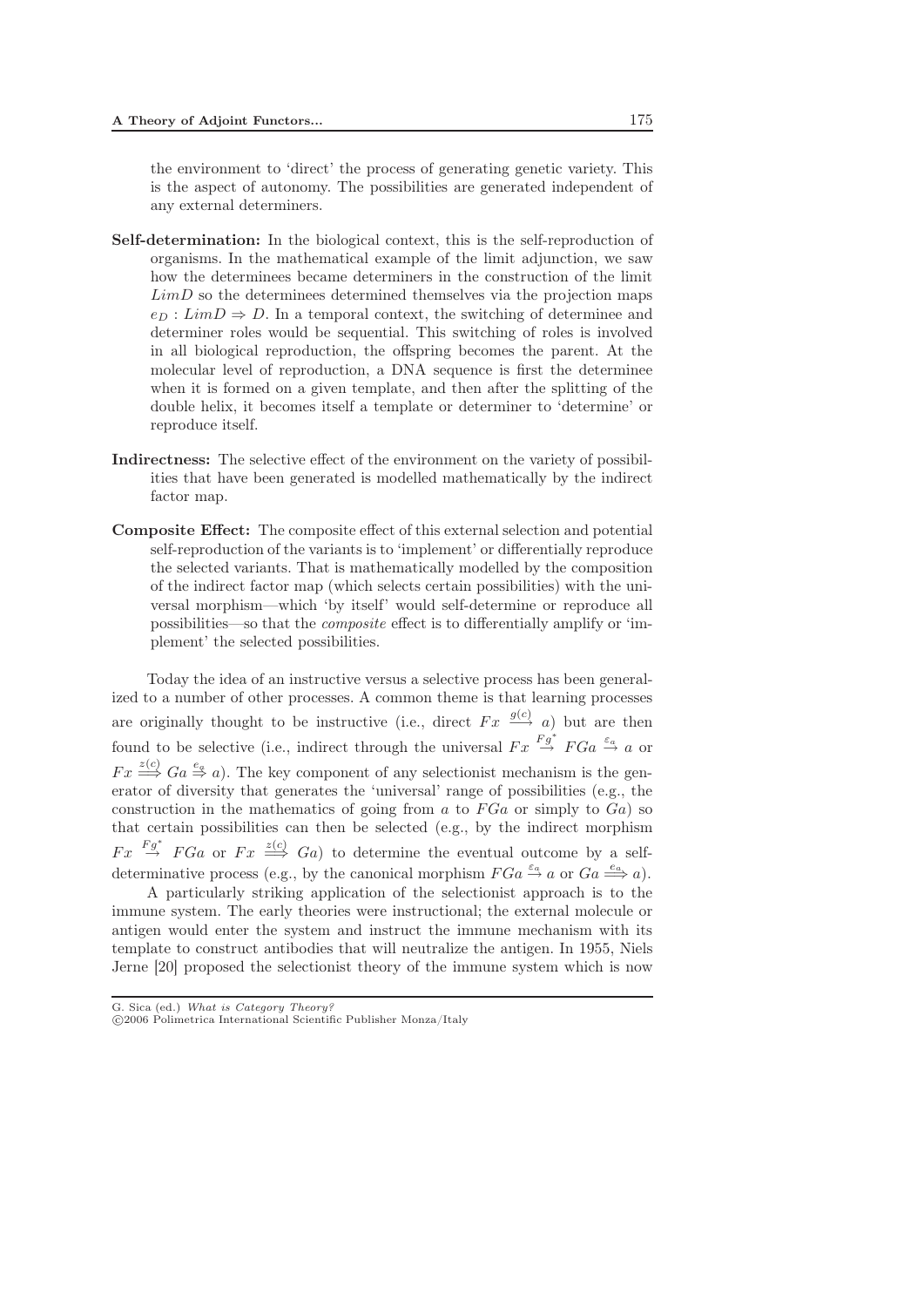the environment to 'direct' the process of generating genetic variety. This is the aspect of autonomy. The possibilities are generated independent of any external determiners.

- Self-determination: In the biological context, this is the self-reproduction of organisms. In the mathematical example of the limit adjunction, we saw how the determinees became determiners in the construction of the limit  $LimD$  so the determinees determined themselves via the projection maps  $e_D : LimD \Rightarrow D$ . In a temporal context, the switching of determinee and determiner roles would be sequential. This switching of roles is involved in all biological reproduction, the offspring becomes the parent. At the molecular level of reproduction, a DNA sequence is first the determinee when it is formed on a given template, and then after the splitting of the double helix, it becomes itself a template or determiner to 'determine' or reproduce itself.
- Indirectness: The selective effect of the environment on the variety of possibilities that have been generated is modelled mathematically by the indirect factor map.
- Composite Effect: The composite effect of this external selection and potential self-reproduction of the variants is to 'implement' or differentially reproduce the selected variants. That is mathematically modelled by the composition of the indirect factor map (which selects certain possibilities) with the universal morphism—which 'by itself' would self-determine or reproduce all possibilities—so that the *composite* effect is to differentially amplify or 'implement' the selected possibilities.

Today the idea of an instructive versus a selective process has been generalized to a number of other processes. A common theme is that learning processes are originally thought to be instructive (i.e., direct  $Fx \xrightarrow{g(c)} a$ ) but are then found to be selective (i.e., indirect through the universal  $Fx \stackrel{Fg^*}{\rightarrow} FGa \stackrel{\varepsilon_a}{\rightarrow} a$  or  $Fx \stackrel{z(c)}{\Longrightarrow} Ga \stackrel{e_a}{\Rightarrow} a$ . The key component of any selectionist mechanism is the generator of diversity that generates the 'universal' range of possibilities (e.g., the construction in the mathematics of going from a to  $FGa$  or simply to  $Ga$ ) so that certain possibilities can then be selected (e.g., by the indirect morphism  $Fx \stackrel{Fg^*}{\rightarrow} FGa$  or  $Fx \stackrel{z(c)}{\Longrightarrow} Ga$  to determine the eventual outcome by a selfdeterminative process (e.g., by the canonical morphism  $FGa \stackrel{\varepsilon_a}{\rightarrow} a$  or  $Ga \stackrel{e_a}{\Longrightarrow} a$ ).

A particularly striking application of the selectionist approach is to the immune system. The early theories were instructional; the external molecule or antigen would enter the system and instruct the immune mechanism with its template to construct antibodies that will neutralize the antigen. In 1955, Niels Jerne [20] proposed the selectionist theory of the immune system which is now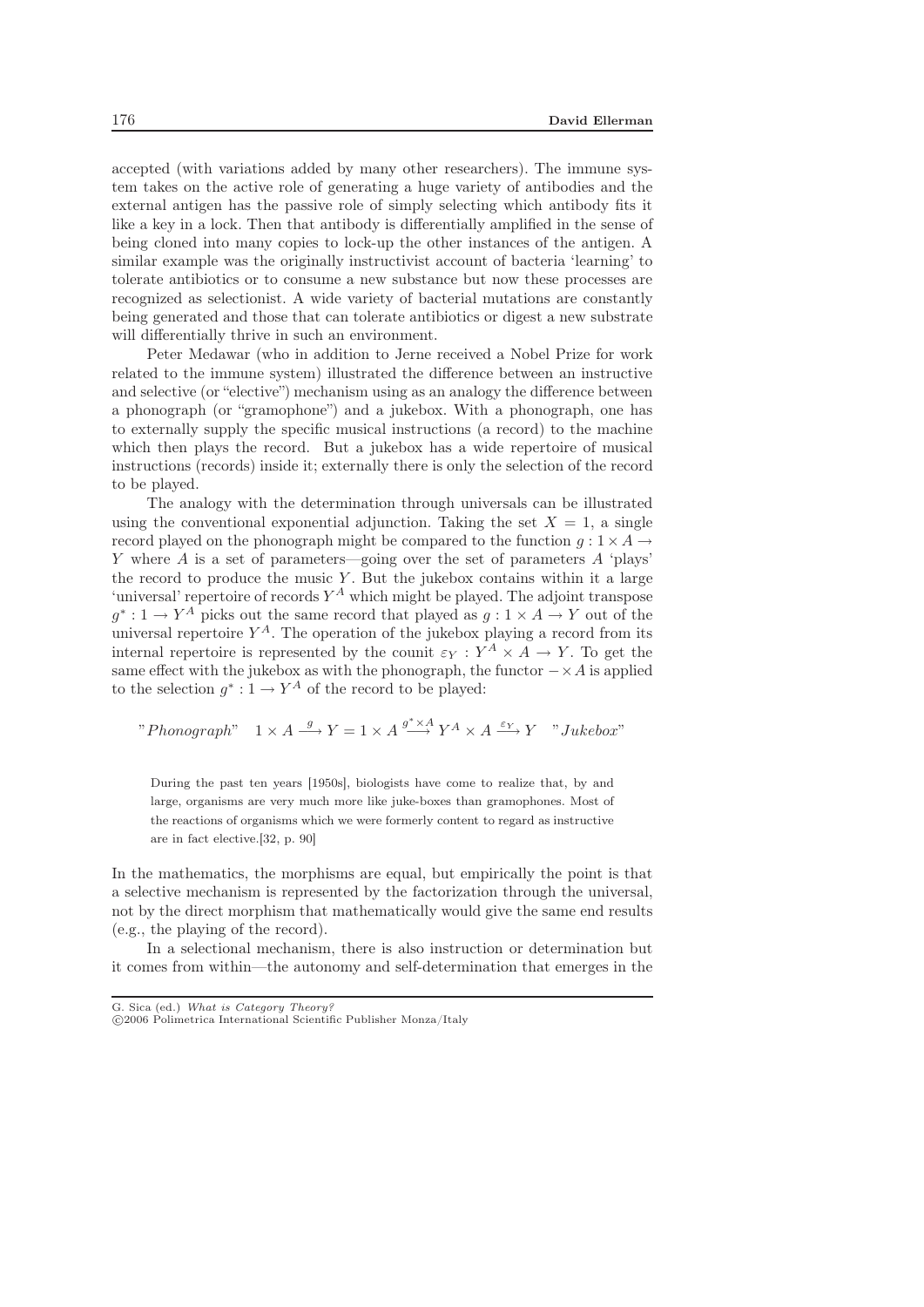accepted (with variations added by many other researchers). The immune system takes on the active role of generating a huge variety of antibodies and the external antigen has the passive role of simply selecting which antibody fits it like a key in a lock. Then that antibody is differentially amplified in the sense of being cloned into many copies to lock-up the other instances of the antigen. A similar example was the originally instructivist account of bacteria 'learning' to tolerate antibiotics or to consume a new substance but now these processes are recognized as selectionist. A wide variety of bacterial mutations are constantly being generated and those that can tolerate antibiotics or digest a new substrate will differentially thrive in such an environment.

Peter Medawar (who in addition to Jerne received a Nobel Prize for work related to the immune system) illustrated the difference between an instructive and selective (or "elective") mechanism using as an analogy the difference between a phonograph (or "gramophone") and a jukebox. With a phonograph, one has to externally supply the specific musical instructions (a record) to the machine which then plays the record. But a jukebox has a wide repertoire of musical instructions (records) inside it; externally there is only the selection of the record to be played.

The analogy with the determination through universals can be illustrated using the conventional exponential adjunction. Taking the set  $X = 1$ , a single record played on the phonograph might be compared to the function  $q: 1 \times A \rightarrow$ Y where A is a set of parameters—going over the set of parameters  $A$  'plays' the record to produce the music  $Y$ . But the jukebox contains within it a large 'universal' repertoire of records  $Y^A$  which might be played. The adjoint transpose  $q^*: 1 \to Y^A$  picks out the same record that played as  $q: 1 \times A \to Y$  out of the universal repertoire  $Y^A$ . The operation of the jukebox playing a record from its internal repertoire is represented by the counit  $\varepsilon_Y : Y^A \times A \to Y$ . To get the same effect with the jukebox as with the phonograph, the functor  $-\times A$  is applied to the selection  $q^*: 1 \to Y^A$  of the record to be played:

" *Phonograph*" 
$$
1 \times A \xrightarrow{g} Y = 1 \times A \xrightarrow{g^* \times A} Y^A \times A \xrightarrow{\varepsilon_Y} Y
$$
" *Jukebox*"

During the past ten years [1950s], biologists have come to realize that, by and large, organisms are very much more like juke-boxes than gramophones. Most of the reactions of organisms which we were formerly content to regard as instructive are in fact elective.[32, p. 90]

In the mathematics, the morphisms are equal, but empirically the point is that a selective mechanism is represented by the factorization through the universal, not by the direct morphism that mathematically would give the same end results (e.g., the playing of the record).

In a selectional mechanism, there is also instruction or determination but it comes from within—the autonomy and self-determination that emerges in the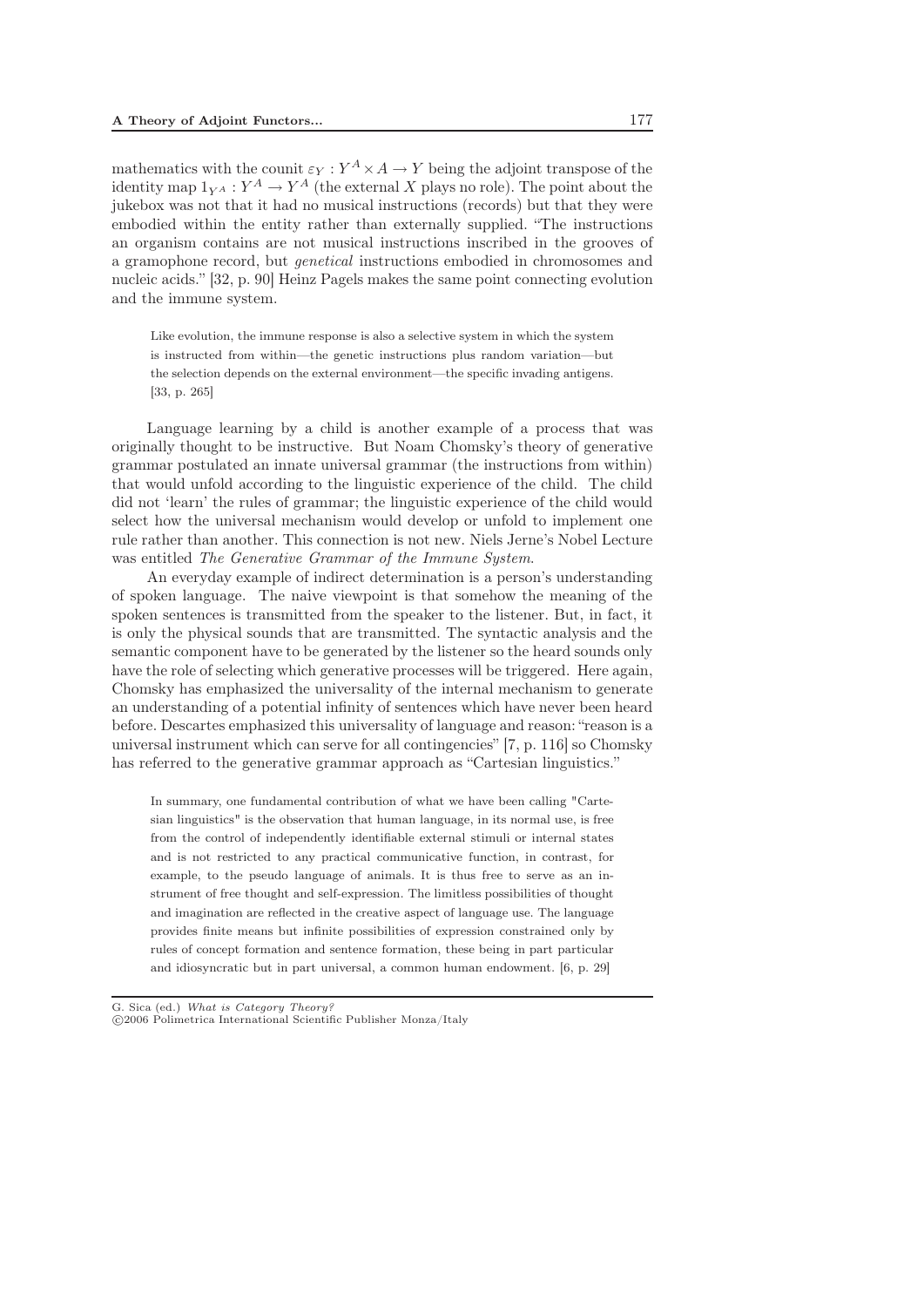mathematics with the counit  $\varepsilon_Y : Y^A \times A \to Y$  being the adjoint transpose of the identity map  $1_{VA}: Y^A \to Y^A$  (the external X plays no role). The point about the jukebox was not that it had no musical instructions (records) but that they were embodied within the entity rather than externally supplied. "The instructions an organism contains are not musical instructions inscribed in the grooves of a gramophone record, but *genetical* instructions embodied in chromosomes and nucleic acids." [32, p. 90] Heinz Pagels makes the same point connecting evolution and the immune system.

Like evolution, the immune response is also a selective system in which the system is instructed from within—the genetic instructions plus random variation—but the selection depends on the external environment—the specific invading antigens. [33, p. 265]

Language learning by a child is another example of a process that was originally thought to be instructive. But Noam Chomsky's theory of generative grammar postulated an innate universal grammar (the instructions from within) that would unfold according to the linguistic experience of the child. The child did not 'learn' the rules of grammar; the linguistic experience of the child would select how the universal mechanism would develop or unfold to implement one rule rather than another. This connection is not new. Niels Jerne's Nobel Lecture was entitled *The Generative Grammar of the Immune System*.

An everyday example of indirect determination is a person's understanding of spoken language. The naive viewpoint is that somehow the meaning of the spoken sentences is transmitted from the speaker to the listener. But, in fact, it is only the physical sounds that are transmitted. The syntactic analysis and the semantic component have to be generated by the listener so the heard sounds only have the role of selecting which generative processes will be triggered. Here again, Chomsky has emphasized the universality of the internal mechanism to generate an understanding of a potential infinity of sentences which have never been heard before. Descartes emphasized this universality of language and reason: "reason is a universal instrument which can serve for all contingencies" [7, p. 116] so Chomsky has referred to the generative grammar approach as "Cartesian linguistics."

In summary, one fundamental contribution of what we have been calling "Cartesian linguistics" is the observation that human language, in its normal use, is free from the control of independently identifiable external stimuli or internal states and is not restricted to any practical communicative function, in contrast, for example, to the pseudo language of animals. It is thus free to serve as an instrument of free thought and self-expression. The limitless possibilities of thought and imagination are reflected in the creative aspect of language use. The language provides finite means but infinite possibilities of expression constrained only by rules of concept formation and sentence formation, these being in part particular and idiosyncratic but in part universal, a common human endowment. [6, p. 29]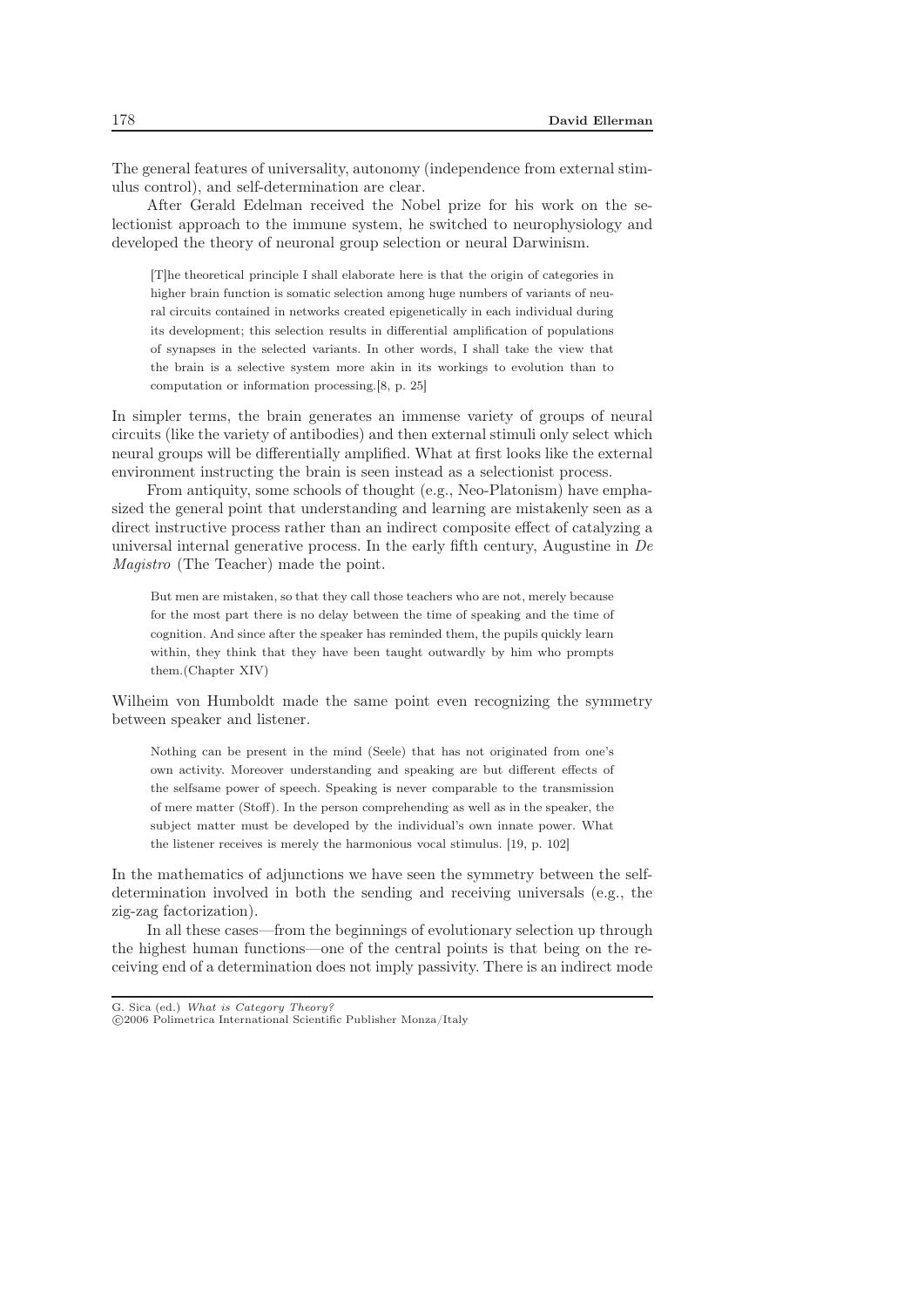The general features of universality, autonomy (independence from external stimulus control), and self-determination are clear.

After Gerald Edelman received the Nobel prize for his work on the selectionist approach to the immune system, he switched to neurophysiology and developed the theory of neuronal group selection or neural Darwinism.

[T]he theoretical principle I shall elaborate here is that the origin of categories in higher brain function is somatic selection among huge numbers of variants of neural circuits contained in networks created epigenetically in each individual during its development; this selection results in differential amplification of populations of synapses in the selected variants. In other words, I shall take the view that the brain is a selective system more akin in its workings to evolution than to computation or information processing.[8, p. 25]

In simpler terms, the brain generates an immense variety of groups of neural circuits (like the variety of antibodies) and then external stimuli only select which neural groups will be differentially amplified. What at first looks like the external environment instructing the brain is seen instead as a selectionist process.

From antiquity, some schools of thought (e.g., Neo-Platonism) have emphasized the general point that understanding and learning are mistakenly seen as a direct instructive process rather than an indirect composite effect of catalyzing a universal internal generative process. In the early fifth century, Augustine in *De Magistro* (The Teacher) made the point.

But men are mistaken, so that they call those teachers who are not, merely because for the most part there is no delay between the time of speaking and the time of cognition. And since after the speaker has reminded them, the pupils quickly learn within, they think that they have been taught outwardly by him who prompts them.(Chapter XIV)

Wilheim von Humboldt made the same point even recognizing the symmetry between speaker and listener.

Nothing can be present in the mind (Seele) that has not originated from one's own activity. Moreover understanding and speaking are but different effects of the selfsame power of speech. Speaking is never comparable to the transmission of mere matter (Stoff). In the person comprehending as well as in the speaker, the subject matter must be developed by the individual's own innate power. What the listener receives is merely the harmonious vocal stimulus. [19, p. 102]

In the mathematics of adjunctions we have seen the symmetry between the selfdetermination involved in both the sending and receiving universals (e.g., the zig-zag factorization).

In all these cases—from the beginnings of evolutionary selection up through the highest human functions—one of the central points is that being on the receiving end of a determination does not imply passivity. There is an indirect mode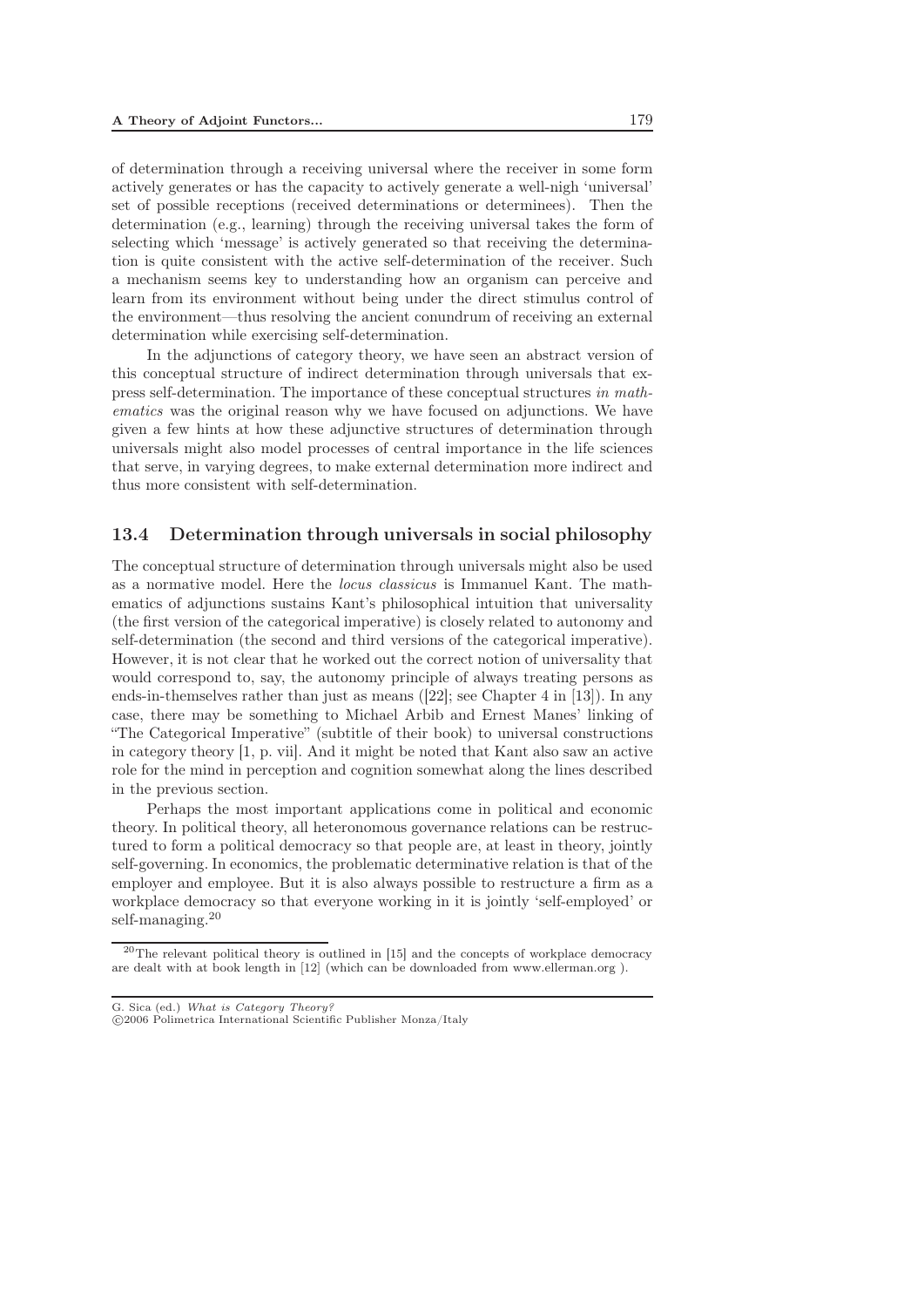of determination through a receiving universal where the receiver in some form actively generates or has the capacity to actively generate a well-nigh 'universal' set of possible receptions (received determinations or determinees). Then the determination (e.g., learning) through the receiving universal takes the form of selecting which 'message' is actively generated so that receiving the determination is quite consistent with the active self-determination of the receiver. Such a mechanism seems key to understanding how an organism can perceive and learn from its environment without being under the direct stimulus control of the environment—thus resolving the ancient conundrum of receiving an external determination while exercising self-determination.

In the adjunctions of category theory, we have seen an abstract version of this conceptual structure of indirect determination through universals that express self-determination. The importance of these conceptual structures *in mathematics* was the original reason why we have focused on adjunctions. We have given a few hints at how these adjunctive structures of determination through universals might also model processes of central importance in the life sciences that serve, in varying degrees, to make external determination more indirect and thus more consistent with self-determination.

#### 13.4 Determination through universals in social philosophy

The conceptual structure of determination through universals might also be used as a normative model. Here the *locus classicus* is Immanuel Kant. The mathematics of adjunctions sustains Kant's philosophical intuition that universality (the first version of the categorical imperative) is closely related to autonomy and self-determination (the second and third versions of the categorical imperative). However, it is not clear that he worked out the correct notion of universality that would correspond to, say, the autonomy principle of always treating persons as ends-in-themselves rather than just as means ([22]; see Chapter 4 in [13]). In any case, there may be something to Michael Arbib and Ernest Manes' linking of "The Categorical Imperative" (subtitle of their book) to universal constructions in category theory [1, p. vii]. And it might be noted that Kant also saw an active role for the mind in perception and cognition somewhat along the lines described in the previous section.

Perhaps the most important applications come in political and economic theory. In political theory, all heteronomous governance relations can be restructured to form a political democracy so that people are, at least in theory, jointly self-governing. In economics, the problematic determinative relation is that of the employer and employee. But it is also always possible to restructure a firm as a workplace democracy so that everyone working in it is jointly 'self-employed' or self-managing.<sup>20</sup>

<sup>20</sup>The relevant political theory is outlined in [15] and the concepts of workplace democracy are dealt with at book length in [12] (which can be downloaded from www.ellerman.org ).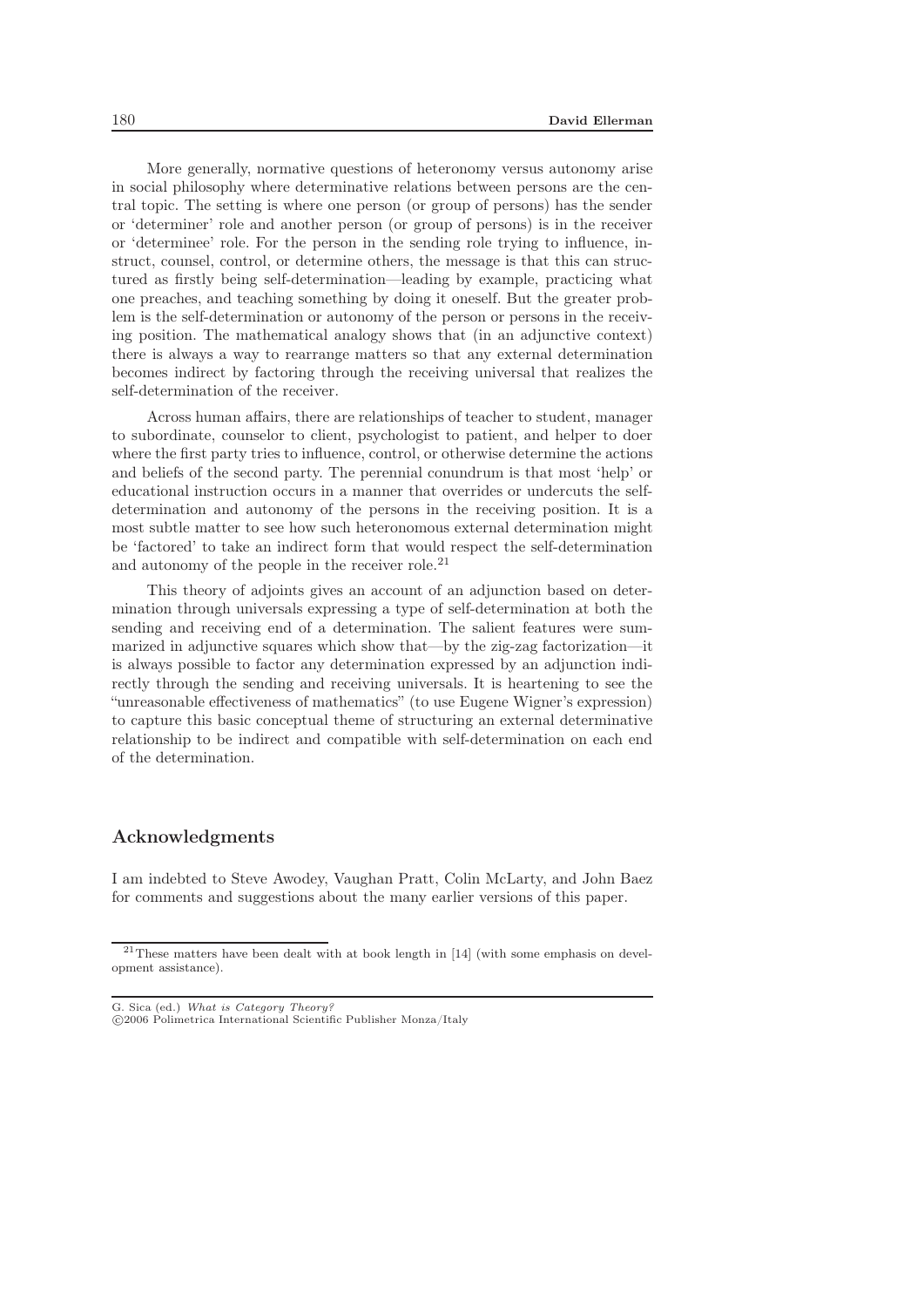More generally, normative questions of heteronomy versus autonomy arise in social philosophy where determinative relations between persons are the central topic. The setting is where one person (or group of persons) has the sender or 'determiner' role and another person (or group of persons) is in the receiver or 'determinee' role. For the person in the sending role trying to influence, instruct, counsel, control, or determine others, the message is that this can structured as firstly being self-determination—leading by example, practicing what one preaches, and teaching something by doing it oneself. But the greater problem is the self-determination or autonomy of the person or persons in the receiving position. The mathematical analogy shows that (in an adjunctive context) there is always a way to rearrange matters so that any external determination becomes indirect by factoring through the receiving universal that realizes the self-determination of the receiver.

Across human affairs, there are relationships of teacher to student, manager to subordinate, counselor to client, psychologist to patient, and helper to doer where the first party tries to influence, control, or otherwise determine the actions and beliefs of the second party. The perennial conundrum is that most 'help' or educational instruction occurs in a manner that overrides or undercuts the selfdetermination and autonomy of the persons in the receiving position. It is a most subtle matter to see how such heteronomous external determination might be 'factored' to take an indirect form that would respect the self-determination and autonomy of the people in the receiver role.<sup>21</sup>

This theory of adjoints gives an account of an adjunction based on determination through universals expressing a type of self-determination at both the sending and receiving end of a determination. The salient features were summarized in adjunctive squares which show that—by the zig-zag factorization—it is always possible to factor any determination expressed by an adjunction indirectly through the sending and receiving universals. It is heartening to see the "unreasonable effectiveness of mathematics" (to use Eugene Wigner's expression) to capture this basic conceptual theme of structuring an external determinative relationship to be indirect and compatible with self-determination on each end of the determination.

#### Acknowledgments

I am indebted to Steve Awodey, Vaughan Pratt, Colin McLarty, and John Baez for comments and suggestions about the many earlier versions of this paper.

 $21$ These matters have been dealt with at book length in [14] (with some emphasis on development assistance).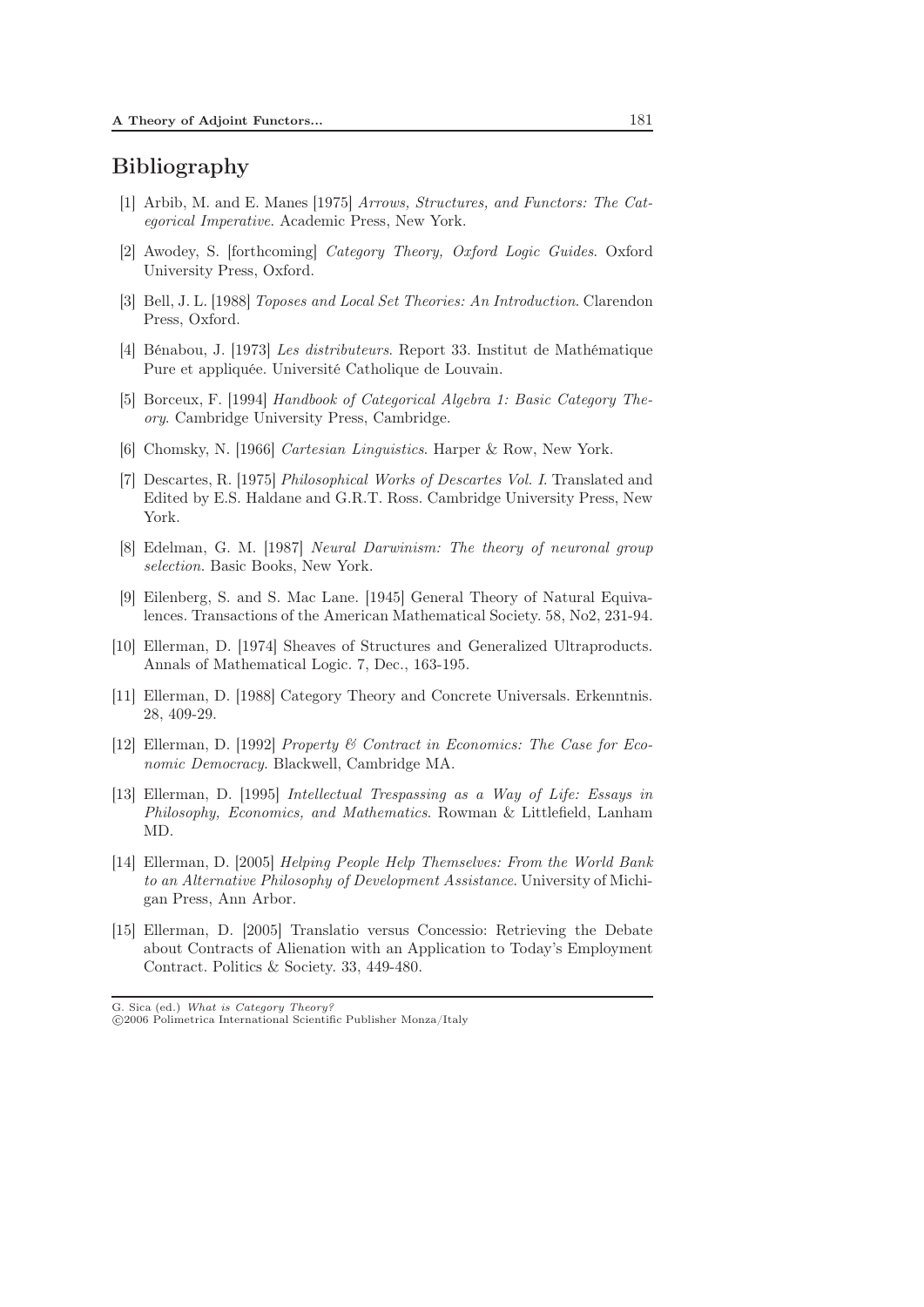# Bibliography

- [1] Arbib, M. and E. Manes [1975] *Arrows, Structures, and Functors: The Categorical Imperative*. Academic Press, New York.
- [2] Awodey, S. [forthcoming] *Category Theory, Oxford Logic Guides*. Oxford University Press, Oxford.
- [3] Bell, J. L. [1988] *Toposes and Local Set Theories: An Introduction*. Clarendon Press, Oxford.
- [4] Bénabou, J. [1973] *Les distributeurs*. Report 33. Institut de Mathématique Pure et appliquée. Université Catholique de Louvain.
- [5] Borceux, F. [1994] *Handbook of Categorical Algebra 1: Basic Category Theory*. Cambridge University Press, Cambridge.
- [6] Chomsky, N. [1966] *Cartesian Linguistics*. Harper & Row, New York.
- [7] Descartes, R. [1975] *Philosophical Works of Descartes Vol. I*. Translated and Edited by E.S. Haldane and G.R.T. Ross. Cambridge University Press, New York.
- [8] Edelman, G. M. [1987] *Neural Darwinism: The theory of neuronal group selection*. Basic Books, New York.
- [9] Eilenberg, S. and S. Mac Lane. [1945] General Theory of Natural Equivalences. Transactions of the American Mathematical Society. 58, No2, 231-94.
- [10] Ellerman, D. [1974] Sheaves of Structures and Generalized Ultraproducts. Annals of Mathematical Logic. 7, Dec., 163-195.
- [11] Ellerman, D. [1988] Category Theory and Concrete Universals. Erkenntnis. 28, 409-29.
- [12] Ellerman, D. [1992] *Property & Contract in Economics: The Case for Economic Democracy*. Blackwell, Cambridge MA.
- [13] Ellerman, D. [1995] *Intellectual Trespassing as a Way of Life: Essays in Philosophy, Economics, and Mathematics*. Rowman & Littlefield, Lanham MD.
- [14] Ellerman, D. [2005] *Helping People Help Themselves: From the World Bank to an Alternative Philosophy of Development Assistance*. University of Michigan Press, Ann Arbor.
- [15] Ellerman, D. [2005] Translatio versus Concessio: Retrieving the Debate about Contracts of Alienation with an Application to Today's Employment Contract. Politics & Society. 33, 449-480.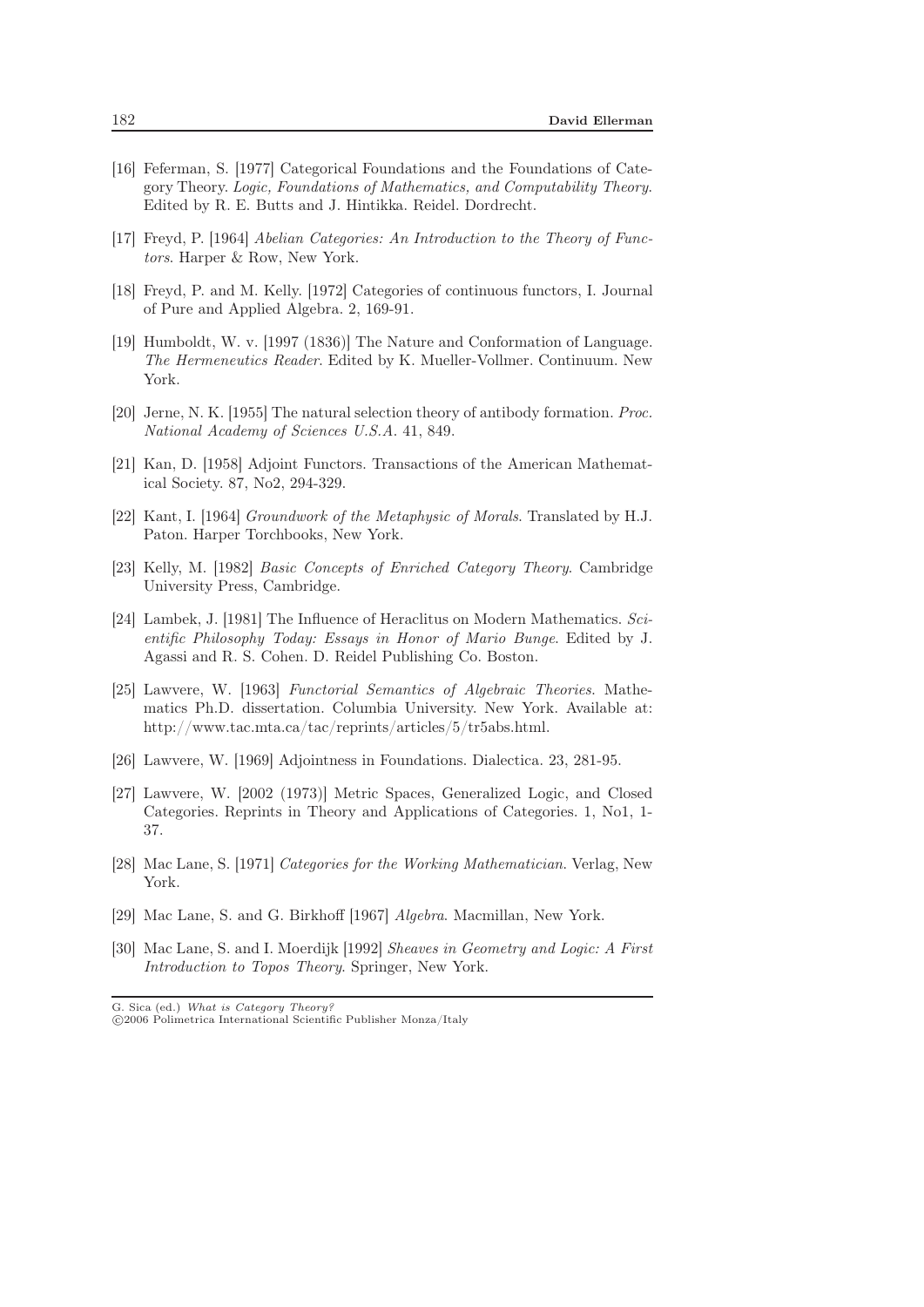- [16] Feferman, S. [1977] Categorical Foundations and the Foundations of Category Theory. *Logic, Foundations of Mathematics, and Computability Theory*. Edited by R. E. Butts and J. Hintikka. Reidel. Dordrecht.
- [17] Freyd, P. [1964] *Abelian Categories: An Introduction to the Theory of Functors*. Harper & Row, New York.
- [18] Freyd, P. and M. Kelly. [1972] Categories of continuous functors, I. Journal of Pure and Applied Algebra. 2, 169-91.
- [19] Humboldt, W. v. [1997 (1836)] The Nature and Conformation of Language. *The Hermeneutics Reader*. Edited by K. Mueller-Vollmer. Continuum. New York.
- [20] Jerne, N. K. [1955] The natural selection theory of antibody formation. *Proc. National Academy of Sciences U.S.A*. 41, 849.
- [21] Kan, D. [1958] Adjoint Functors. Transactions of the American Mathematical Society. 87, No2, 294-329.
- [22] Kant, I. [1964] *Groundwork of the Metaphysic of Morals*. Translated by H.J. Paton. Harper Torchbooks, New York.
- [23] Kelly, M. [1982] *Basic Concepts of Enriched Category Theory*. Cambridge University Press, Cambridge.
- [24] Lambek, J. [1981] The Influence of Heraclitus on Modern Mathematics. *Scientific Philosophy Today: Essays in Honor of Mario Bunge*. Edited by J. Agassi and R. S. Cohen. D. Reidel Publishing Co. Boston.
- [25] Lawvere, W. [1963] *Functorial Semantics of Algebraic Theories*. Mathematics Ph.D. dissertation. Columbia University. New York. Available at: http://www.tac.mta.ca/tac/reprints/articles/5/tr5abs.html.
- [26] Lawvere, W. [1969] Adjointness in Foundations. Dialectica. 23, 281-95.
- [27] Lawvere, W. [2002 (1973)] Metric Spaces, Generalized Logic, and Closed Categories. Reprints in Theory and Applications of Categories. 1, No1, 1- 37.
- [28] Mac Lane, S. [1971] *Categories for the Working Mathematician*. Verlag, New York.
- [29] Mac Lane, S. and G. Birkhoff [1967] *Algebra*. Macmillan, New York.
- [30] Mac Lane, S. and I. Moerdijk [1992] *Sheaves in Geometry and Logic: A First Introduction to Topos Theory*. Springer, New York.